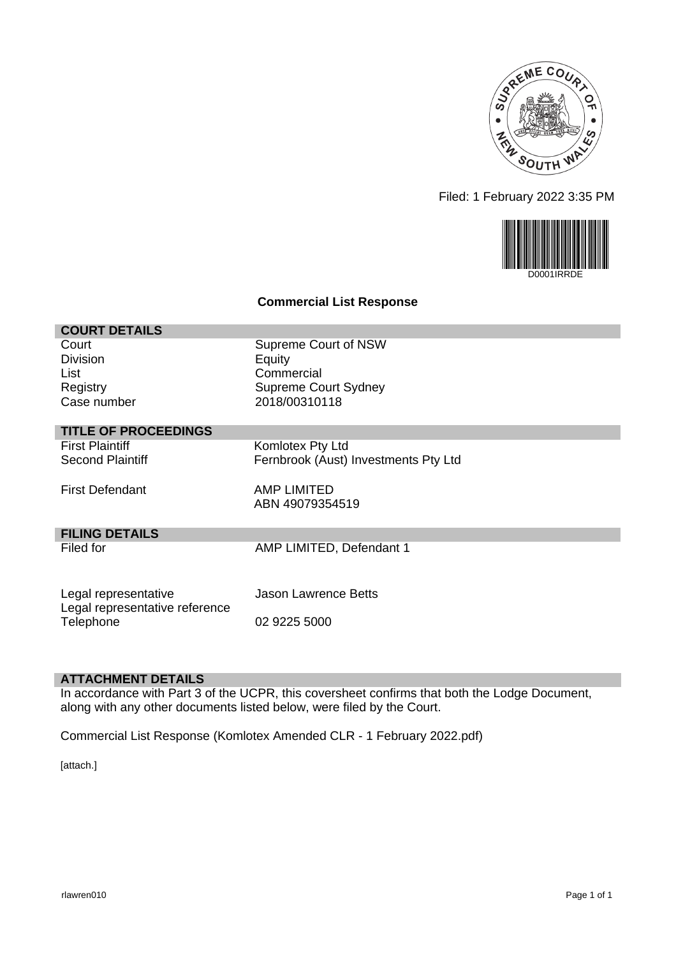

Filed: 1 February 2022 3:35 PM



#### **Commercial List Response**

| <b>COURT DETAILS</b>           |                                      |
|--------------------------------|--------------------------------------|
| Court                          | Supreme Court of NSW                 |
| <b>Division</b>                | Equity                               |
| List                           | Commercial                           |
| Registry                       | <b>Supreme Court Sydney</b>          |
| Case number                    | 2018/00310118                        |
| <b>TITLE OF PROCEEDINGS</b>    |                                      |
| <b>First Plaintiff</b>         | Komlotex Pty Ltd                     |
| <b>Second Plaintiff</b>        | Fernbrook (Aust) Investments Pty Ltd |
|                                |                                      |
| <b>First Defendant</b>         | AMP LIMITED                          |
|                                | ABN 49079354519                      |
| <b>FILING DETAILS</b>          |                                      |
| Filed for                      | AMP LIMITED, Defendant 1             |
|                                |                                      |
|                                |                                      |
| Legal representative           | Jason Lawrence Betts                 |
| Legal representative reference |                                      |
| Telephone                      | 02 9225 5000                         |

#### **ATTACHMENT DETAILS**

In accordance with Part 3 of the UCPR, this coversheet confirms that both the Lodge Document, along with any other documents listed below, were filed by the Court.

Commercial List Response (Komlotex Amended CLR - 1 February 2022.pdf)

[attach.]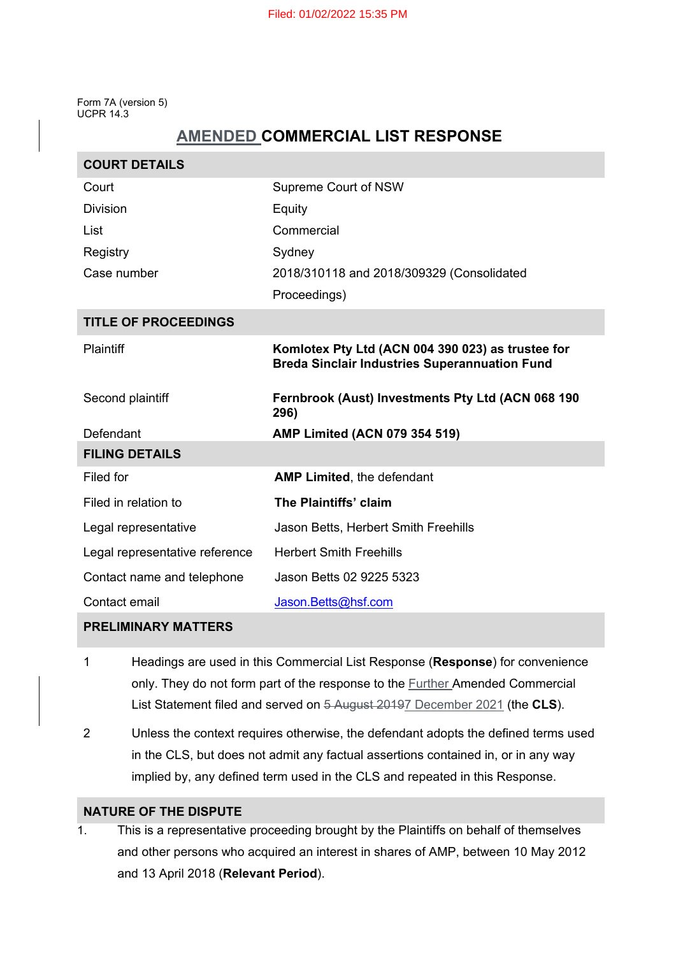Form 7A (version 5) UCPR 14.3

# **AMENDED COMMERCIAL LIST RESPONSE**

| <b>COURT DETAILS</b>           |                                                                                                           |
|--------------------------------|-----------------------------------------------------------------------------------------------------------|
| Court                          | Supreme Court of NSW                                                                                      |
| <b>Division</b>                | Equity                                                                                                    |
| List                           | Commercial                                                                                                |
| Registry                       | Sydney                                                                                                    |
| Case number                    | 2018/310118 and 2018/309329 (Consolidated                                                                 |
|                                | Proceedings)                                                                                              |
| <b>TITLE OF PROCEEDINGS</b>    |                                                                                                           |
| <b>Plaintiff</b>               | Komlotex Pty Ltd (ACN 004 390 023) as trustee for<br><b>Breda Sinclair Industries Superannuation Fund</b> |
|                                |                                                                                                           |
| Second plaintiff               | Fernbrook (Aust) Investments Pty Ltd (ACN 068 190<br>296)                                                 |
| Defendant                      | <b>AMP Limited (ACN 079 354 519)</b>                                                                      |
| <b>FILING DETAILS</b>          |                                                                                                           |
| Filed for                      | <b>AMP Limited, the defendant</b>                                                                         |
| Filed in relation to           | The Plaintiffs' claim                                                                                     |
| Legal representative           | Jason Betts, Herbert Smith Freehills                                                                      |
| Legal representative reference | <b>Herbert Smith Freehills</b>                                                                            |
| Contact name and telephone     | Jason Betts 02 9225 5323                                                                                  |

# **PRELIMINARY MATTERS**

- 1 Headings are used in this Commercial List Response (**Response**) for convenience only. They do not form part of the response to the **Further Amended Commercial** List Statement filed and served on 5 August 20197 December 2021 (the **CLS**).
- 2 Unless the context requires otherwise, the defendant adopts the defined terms used in the CLS, but does not admit any factual assertions contained in, or in any way implied by, any defined term used in the CLS and repeated in this Response.

# **NATURE OF THE DISPUTE**

1. This is a representative proceeding brought by the Plaintiffs on behalf of themselves and other persons who acquired an interest in shares of AMP, between 10 May 2012 and 13 April 2018 (**Relevant Period**).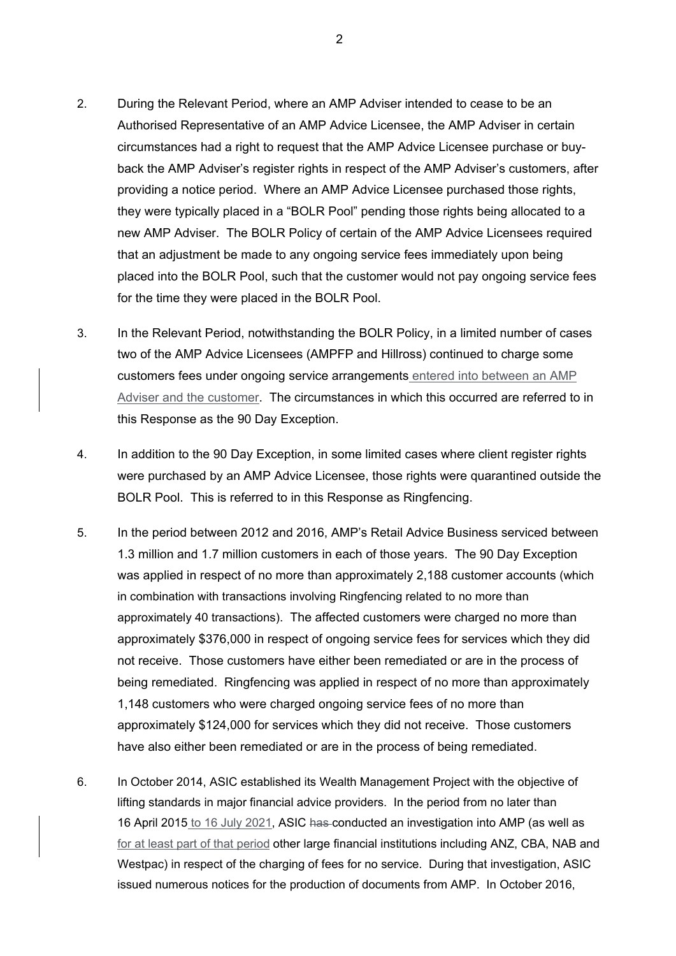- 2. During the Relevant Period, where an AMP Adviser intended to cease to be an Authorised Representative of an AMP Advice Licensee, the AMP Adviser in certain circumstances had a right to request that the AMP Advice Licensee purchase or buyback the AMP Adviser's register rights in respect of the AMP Adviser's customers, after providing a notice period. Where an AMP Advice Licensee purchased those rights, they were typically placed in a "BOLR Pool" pending those rights being allocated to a new AMP Adviser. The BOLR Policy of certain of the AMP Advice Licensees required that an adjustment be made to any ongoing service fees immediately upon being placed into the BOLR Pool, such that the customer would not pay ongoing service fees for the time they were placed in the BOLR Pool.
- 3. In the Relevant Period, notwithstanding the BOLR Policy, in a limited number of cases two of the AMP Advice Licensees (AMPFP and Hillross) continued to charge some customers fees under ongoing service arrangements entered into between an AMP Adviser and the customer. The circumstances in which this occurred are referred to in this Response as the 90 Day Exception.
- 4. In addition to the 90 Day Exception, in some limited cases where client register rights were purchased by an AMP Advice Licensee, those rights were quarantined outside the BOLR Pool. This is referred to in this Response as Ringfencing.
- 5. In the period between 2012 and 2016, AMP's Retail Advice Business serviced between 1.3 million and 1.7 million customers in each of those years. The 90 Day Exception was applied in respect of no more than approximately 2,188 customer accounts (which in combination with transactions involving Ringfencing related to no more than approximately 40 transactions). The affected customers were charged no more than approximately \$376,000 in respect of ongoing service fees for services which they did not receive. Those customers have either been remediated or are in the process of being remediated. Ringfencing was applied in respect of no more than approximately 1,148 customers who were charged ongoing service fees of no more than approximately \$124,000 for services which they did not receive. Those customers have also either been remediated or are in the process of being remediated.
- 6. In October 2014, ASIC established its Wealth Management Project with the objective of lifting standards in major financial advice providers. In the period from no later than 16 April 2015 to 16 July 2021, ASIC has conducted an investigation into AMP (as well as for at least part of that period other large financial institutions including ANZ, CBA, NAB and Westpac) in respect of the charging of fees for no service. During that investigation, ASIC issued numerous notices for the production of documents from AMP. In October 2016,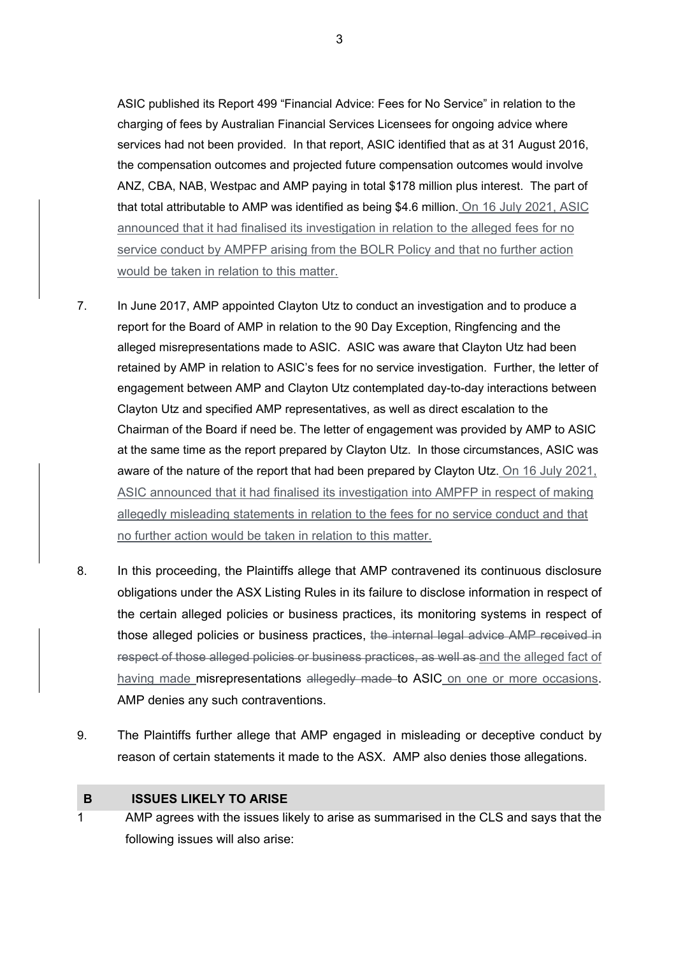ASIC published its Report 499 "Financial Advice: Fees for No Service" in relation to the charging of fees by Australian Financial Services Licensees for ongoing advice where services had not been provided. In that report, ASIC identified that as at 31 August 2016, the compensation outcomes and projected future compensation outcomes would involve ANZ, CBA, NAB, Westpac and AMP paying in total \$178 million plus interest. The part of that total attributable to AMP was identified as being \$4.6 million. On 16 July 2021, ASIC announced that it had finalised its investigation in relation to the alleged fees for no service conduct by AMPFP arising from the BOLR Policy and that no further action would be taken in relation to this matter.

- 7. In June 2017, AMP appointed Clayton Utz to conduct an investigation and to produce a report for the Board of AMP in relation to the 90 Day Exception, Ringfencing and the alleged misrepresentations made to ASIC. ASIC was aware that Clayton Utz had been retained by AMP in relation to ASIC's fees for no service investigation. Further, the letter of engagement between AMP and Clayton Utz contemplated day-to-day interactions between Clayton Utz and specified AMP representatives, as well as direct escalation to the Chairman of the Board if need be. The letter of engagement was provided by AMP to ASIC at the same time as the report prepared by Clayton Utz. In those circumstances, ASIC was aware of the nature of the report that had been prepared by Clayton Utz. On 16 July 2021, ASIC announced that it had finalised its investigation into AMPFP in respect of making allegedly misleading statements in relation to the fees for no service conduct and that no further action would be taken in relation to this matter.
- 8. In this proceeding, the Plaintiffs allege that AMP contravened its continuous disclosure obligations under the ASX Listing Rules in its failure to disclose information in respect of the certain alleged policies or business practices, its monitoring systems in respect of those alleged policies or business practices, the internal legal advice AMP received in respect of those alleged policies or business practices, as well as and the alleged fact of having made misrepresentations allegedly made to ASIC on one or more occasions. AMP denies any such contraventions.
- 9. The Plaintiffs further allege that AMP engaged in misleading or deceptive conduct by reason of certain statements it made to the ASX. AMP also denies those allegations.

#### **B ISSUES LIKELY TO ARISE**

1 AMP agrees with the issues likely to arise as summarised in the CLS and says that the following issues will also arise:

3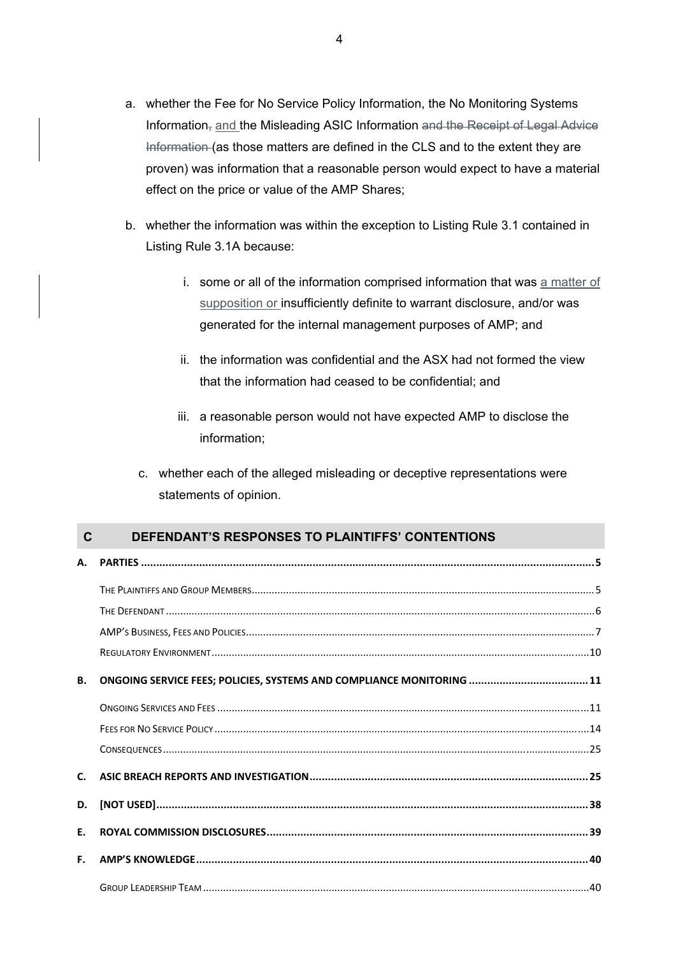- a. whether the Fee for No Service Policy Information, the No Monitoring Systems Information<sub>, and</sub> the Misleading ASIC Information and the Receipt of Legal Advice Information (as those matters are defined in the CLS and to the extent they are proven) was information that a reasonable person would expect to have a material effect on the price or value of the AMP Shares;
- b. whether the information was within the exception to Listing Rule 3.1 contained in Listing Rule 3.1A because:
	- i. some or all of the information comprised information that was a matter of supposition or insufficiently definite to warrant disclosure, and/or was generated for the internal management purposes of AMP; and
	- ii. the information was confidential and the ASX had not formed the view that the information had ceased to be confidential; and
	- iii. a reasonable person would not have expected AMP to disclose the information;
	- c. whether each of the alleged misleading or deceptive representations were statements of opinion.

# **C DEFENDANT'S RESPONSES TO PLAINTIFFS' CONTENTIONS**

| <b>B.</b>      | ONGOING SERVICE FEES; POLICIES, SYSTEMS AND COMPLIANCE MONITORING  11 |  |
|----------------|-----------------------------------------------------------------------|--|
|                |                                                                       |  |
|                |                                                                       |  |
|                |                                                                       |  |
| $\mathsf{C}$ . |                                                                       |  |
| D.             | $[NOT USED]$                                                          |  |
| Ε.             |                                                                       |  |
| F.             |                                                                       |  |
|                |                                                                       |  |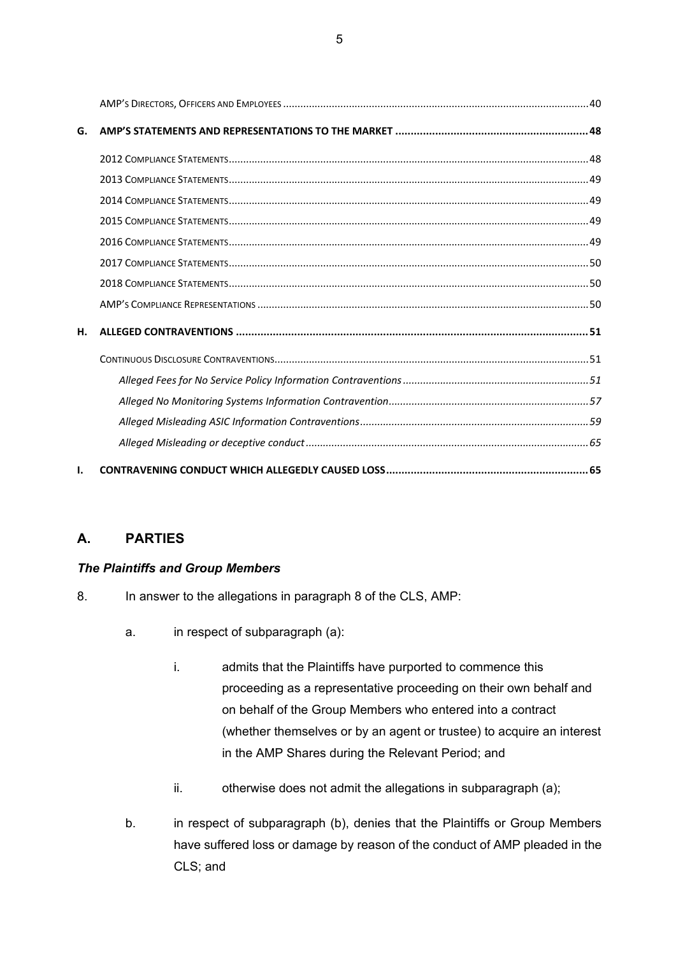| G. |  |
|----|--|
|    |  |
|    |  |
|    |  |
|    |  |
|    |  |
|    |  |
|    |  |
|    |  |
| н. |  |
|    |  |
|    |  |
|    |  |
|    |  |
|    |  |
| ı. |  |

# **A. PARTIES**

# *The Plaintiffs and Group Members*

- 8. In answer to the allegations in paragraph 8 of the CLS, AMP:
	- a. in respect of subparagraph (a):
		- i. admits that the Plaintiffs have purported to commence this proceeding as a representative proceeding on their own behalf and on behalf of the Group Members who entered into a contract (whether themselves or by an agent or trustee) to acquire an interest in the AMP Shares during the Relevant Period; and
		- ii. otherwise does not admit the allegations in subparagraph (a);
	- b. in respect of subparagraph (b), denies that the Plaintiffs or Group Members have suffered loss or damage by reason of the conduct of AMP pleaded in the CLS; and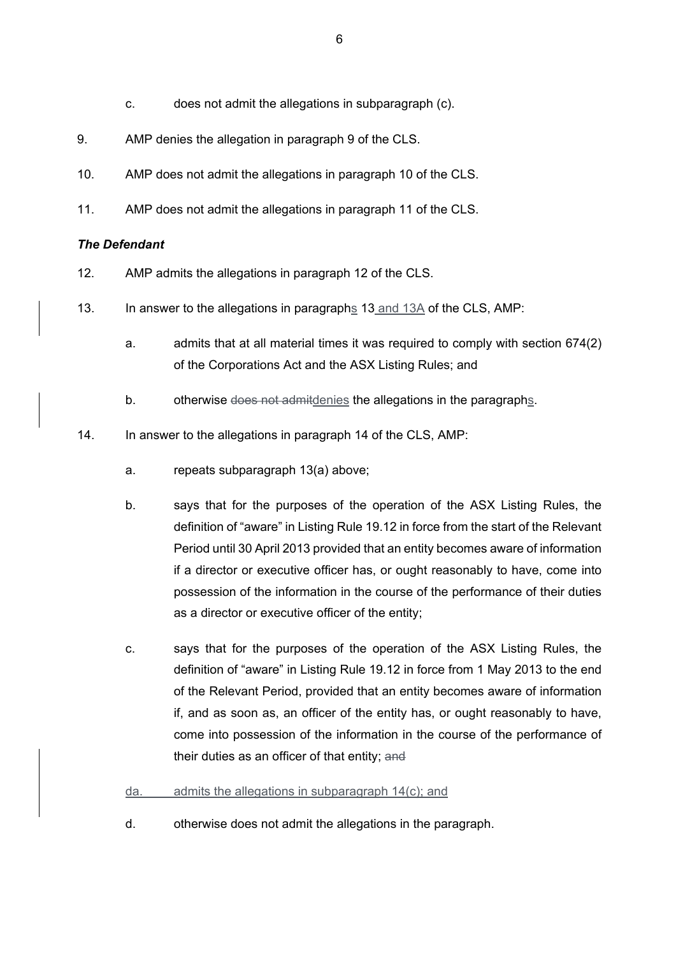- c. does not admit the allegations in subparagraph (c).
- 9. AMP denies the allegation in paragraph 9 of the CLS.
- 10. AMP does not admit the allegations in paragraph 10 of the CLS.
- 11. AMP does not admit the allegations in paragraph 11 of the CLS.

### *The Defendant*

- 12. AMP admits the allegations in paragraph 12 of the CLS.
- 13. In answer to the allegations in paragraphs 13 and 13A of the CLS, AMP:
	- a. admits that at all material times it was required to comply with section 674(2) of the Corporations Act and the ASX Listing Rules; and
	- b. otherwise does not admitdenies the allegations in the paragraphs.
- 14. In answer to the allegations in paragraph 14 of the CLS, AMP:
	- a. repeats subparagraph 13(a) above;
	- b. says that for the purposes of the operation of the ASX Listing Rules, the definition of "aware" in Listing Rule 19.12 in force from the start of the Relevant Period until 30 April 2013 provided that an entity becomes aware of information if a director or executive officer has, or ought reasonably to have, come into possession of the information in the course of the performance of their duties as a director or executive officer of the entity;
	- c. says that for the purposes of the operation of the ASX Listing Rules, the definition of "aware" in Listing Rule 19.12 in force from 1 May 2013 to the end of the Relevant Period, provided that an entity becomes aware of information if, and as soon as, an officer of the entity has, or ought reasonably to have, come into possession of the information in the course of the performance of their duties as an officer of that entity; and
	- da. admits the allegations in subparagraph 14(c); and
	- d. otherwise does not admit the allegations in the paragraph.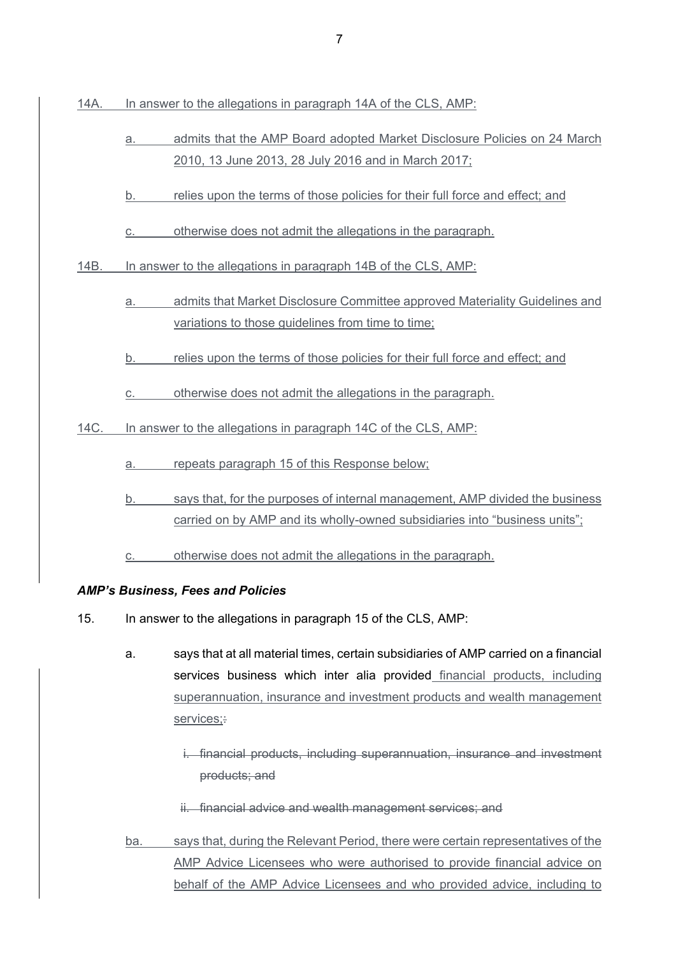14A. In answer to the allegations in paragraph 14A of the CLS, AMP:

- a. admits that the AMP Board adopted Market Disclosure Policies on 24 March 2010, 13 June 2013, 28 July 2016 and in March 2017;
- b. relies upon the terms of those policies for their full force and effect; and
- c. otherwise does not admit the allegations in the paragraph.

14B. In answer to the allegations in paragraph 14B of the CLS, AMP:

- a. admits that Market Disclosure Committee approved Materiality Guidelines and variations to those guidelines from time to time;
- b. relies upon the terms of those policies for their full force and effect; and

c. otherwise does not admit the allegations in the paragraph.

14C. In answer to the allegations in paragraph 14C of the CLS, AMP:

a. repeats paragraph 15 of this Response below;

b. says that, for the purposes of internal management, AMP divided the business carried on by AMP and its wholly-owned subsidiaries into "business units";

c. otherwise does not admit the allegations in the paragraph.

### *AMP's Business, Fees and Policies*

15. In answer to the allegations in paragraph 15 of the CLS, AMP:

- a. says that at all material times, certain subsidiaries of AMP carried on a financial services business which inter alia provided financial products, including superannuation, insurance and investment products and wealth management services:
	- i. financial products, including superannuation, insurance and investment products; and
	- ii. financial advice and wealth management services; and
- ba. says that, during the Relevant Period, there were certain representatives of the AMP Advice Licensees who were authorised to provide financial advice on behalf of the AMP Advice Licensees and who provided advice, including to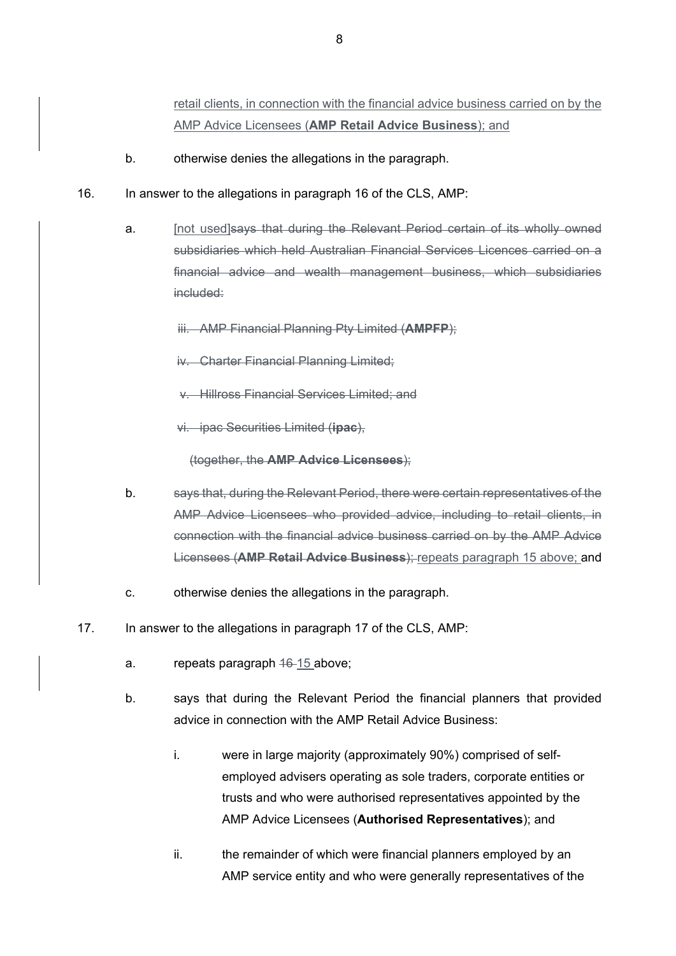retail clients, in connection with the financial advice business carried on by the AMP Advice Licensees (**AMP Retail Advice Business**); and

- b. otherwise denies the allegations in the paragraph.
- 16. In answer to the allegations in paragraph 16 of the CLS, AMP:
	- a. [not used]says that during the Relevant Period certain of its wholly owned subsidiaries which held Australian Financial Services Licences carried on a financial advice and wealth management business, which subsidiaries included:
		- iii. AMP Financial Planning Pty Limited (**AMPFP**);
		- iv. Charter Financial Planning Limited;
		- v. Hillross Financial Services Limited; and
		- vi. ipac Securities Limited (**ipac**),

(together, the **AMP Advice Licensees**);

- b. says that, during the Relevant Period, there were certain representatives of the AMP Advice Licensees who provided advice, including to retail clients, in connection with the financial advice business carried on by the AMP Advice Licensees (**AMP Retail Advice Business**); repeats paragraph 15 above; and
- c. otherwise denies the allegations in the paragraph.
- 17. In answer to the allegations in paragraph 17 of the CLS, AMP:
	- a. repeats paragraph 46-15 above;
	- b. says that during the Relevant Period the financial planners that provided advice in connection with the AMP Retail Advice Business:
		- i. were in large majority (approximately 90%) comprised of selfemployed advisers operating as sole traders, corporate entities or trusts and who were authorised representatives appointed by the AMP Advice Licensees (**Authorised Representatives**); and
		- ii. the remainder of which were financial planners employed by an AMP service entity and who were generally representatives of the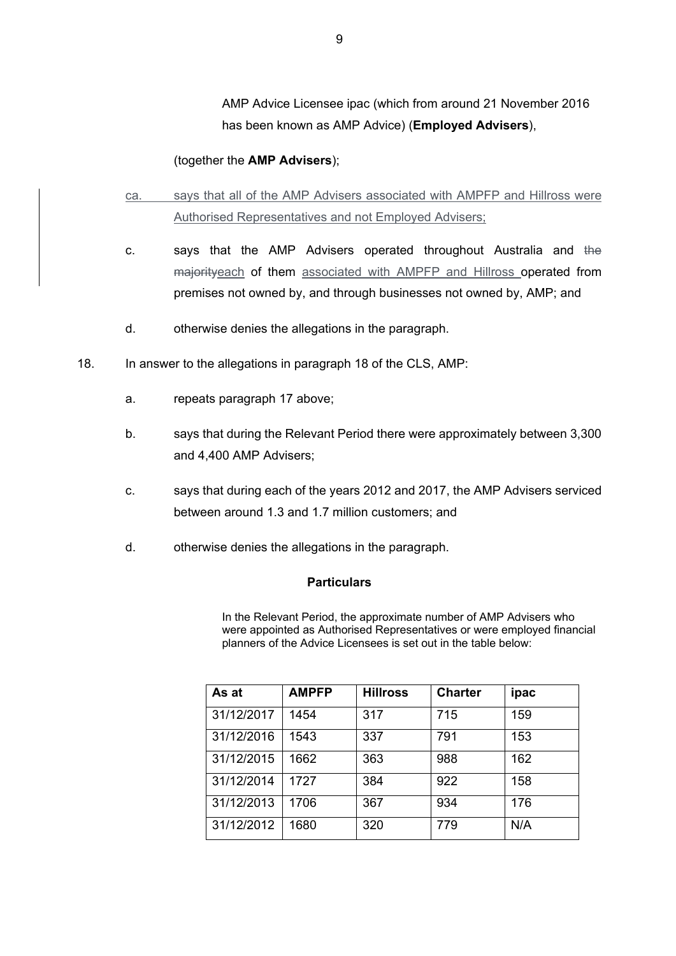AMP Advice Licensee ipac (which from around 21 November 2016 has been known as AMP Advice) (**Employed Advisers**),

#### (together the **AMP Advisers**);

- ca. says that all of the AMP Advisers associated with AMPFP and Hillross were Authorised Representatives and not Employed Advisers;
- c. says that the AMP Advisers operated throughout Australia and the majorityeach of them associated with AMPFP and Hillross operated from premises not owned by, and through businesses not owned by, AMP; and
- d. otherwise denies the allegations in the paragraph.
- 18. In answer to the allegations in paragraph 18 of the CLS, AMP:
	- a. repeats paragraph 17 above;
	- b. says that during the Relevant Period there were approximately between 3,300 and 4,400 AMP Advisers;
	- c. says that during each of the years 2012 and 2017, the AMP Advisers serviced between around 1.3 and 1.7 million customers; and
	- d. otherwise denies the allegations in the paragraph.

#### **Particulars**

In the Relevant Period, the approximate number of AMP Advisers who were appointed as Authorised Representatives or were employed financial planners of the Advice Licensees is set out in the table below:

| As at      | <b>AMPFP</b> | <b>Hillross</b> | <b>Charter</b> | ipac |
|------------|--------------|-----------------|----------------|------|
| 31/12/2017 | 1454         | 317             | 715            | 159  |
| 31/12/2016 | 1543         | 337             | 791            | 153  |
| 31/12/2015 | 1662         | 363             | 988            | 162  |
| 31/12/2014 | 1727         | 384             | 922            | 158  |
| 31/12/2013 | 1706         | 367             | 934            | 176  |
| 31/12/2012 | 1680         | 320             | 779            | N/A  |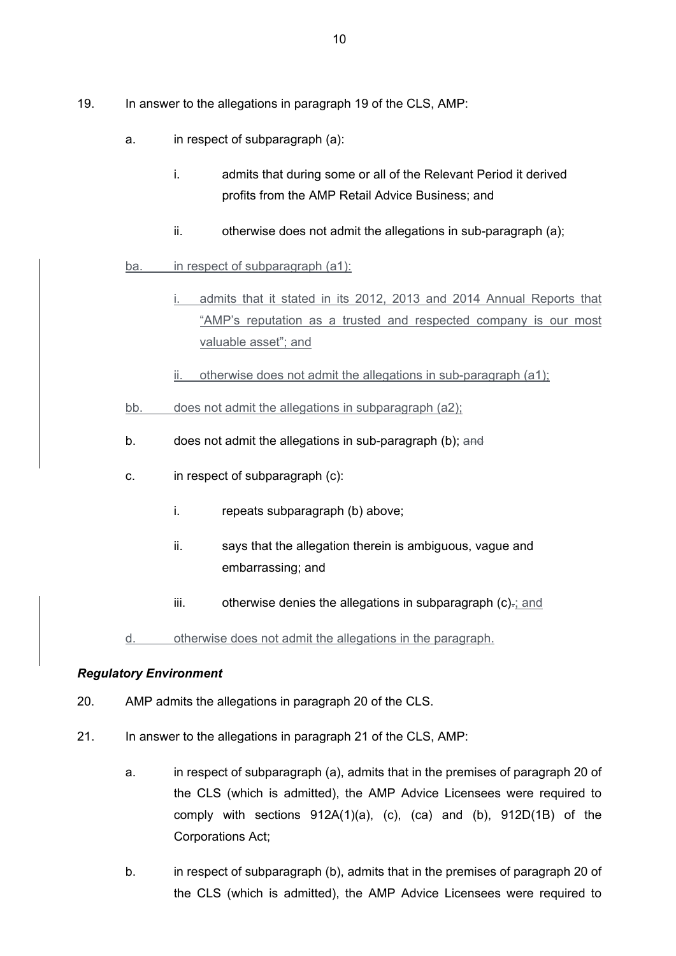- 19. In answer to the allegations in paragraph 19 of the CLS, AMP:
	- a. in respect of subparagraph (a):
		- i. admits that during some or all of the Relevant Period it derived profits from the AMP Retail Advice Business; and
		- ii. otherwise does not admit the allegations in sub-paragraph (a):

ba. in respect of subparagraph (a1):

- admits that it stated in its 2012, 2013 and 2014 Annual Reports that "AMP's reputation as a trusted and respected company is our most valuable asset"; and
- ii. otherwise does not admit the allegations in sub-paragraph (a1);

bb. does not admit the allegations in subparagraph (a2);

- b. does not admit the allegations in sub-paragraph (b); and
- c. in respect of subparagraph (c):
	- i. repeats subparagraph (b) above;
	- ii. says that the allegation therein is ambiguous, vague and embarrassing; and
	- $iii.$  otherwise denies the allegations in subparagraph  $(c)$ . and

d. otherwise does not admit the allegations in the paragraph.

### *Regulatory Environment*

- 20. AMP admits the allegations in paragraph 20 of the CLS.
- 21. In answer to the allegations in paragraph 21 of the CLS, AMP:
	- a. in respect of subparagraph (a), admits that in the premises of paragraph 20 of the CLS (which is admitted), the AMP Advice Licensees were required to comply with sections 912A(1)(a), (c), (ca) and (b), 912D(1B) of the Corporations Act;
	- b. in respect of subparagraph (b), admits that in the premises of paragraph 20 of the CLS (which is admitted), the AMP Advice Licensees were required to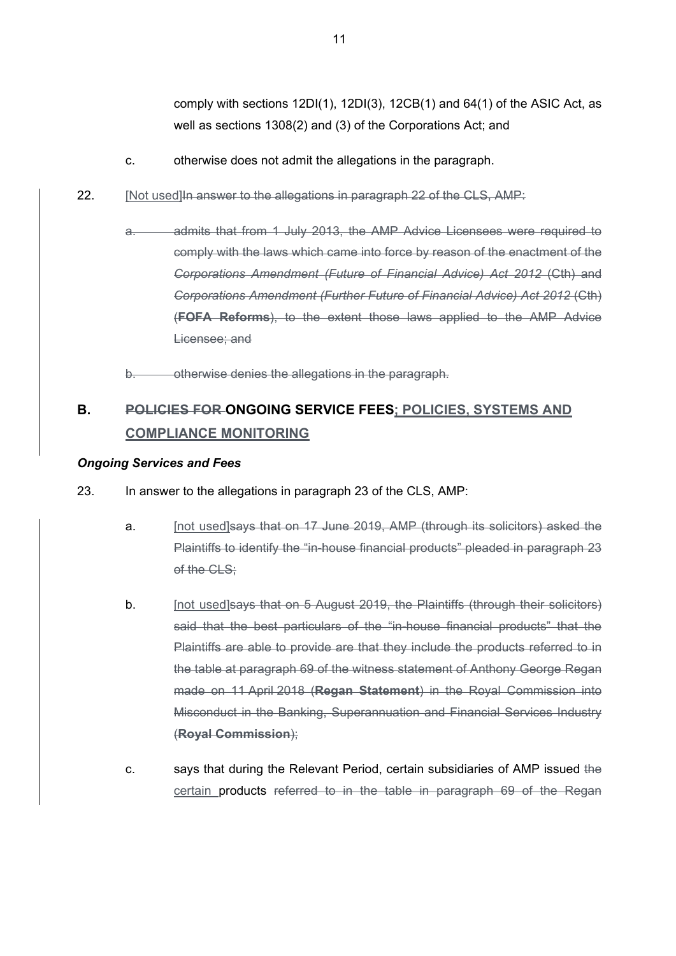comply with sections 12DI(1), 12DI(3), 12CB(1) and 64(1) of the ASIC Act, as well as sections 1308(2) and (3) of the Corporations Act; and

- c. otherwise does not admit the allegations in the paragraph.
- 22. [Not used] In answer to the allegations in paragraph 22 of the CLS, AMP:
	- a. admits that from 1 July 2013, the AMP Advice Licensees were required to comply with the laws which came into force by reason of the enactment of the *Corporations Amendment (Future of Financial Advice) Act 2012* (Cth) and *Corporations Amendment (Further Future of Financial Advice) Act 2012* (Cth) (**FOFA Reforms**), to the extent those laws applied to the AMP Advice Licensee; and

b. otherwise denies the allegations in the paragraph.

# **B. POLICIES FOR ONGOING SERVICE FEES; POLICIES, SYSTEMS AND COMPLIANCE MONITORING**

#### *Ongoing Services and Fees*

- 23. In answer to the allegations in paragraph 23 of the CLS, AMP:
	- a. [not used]says that on 17 June 2019, AMP (through its solicitors) asked the Plaintiffs to identify the "in-house financial products" pleaded in paragraph 23 of the CLS:
	- b. [not used]says that on 5 August 2019, the Plaintiffs (through their solicitors) said that the best particulars of the "in-house financial products" that the Plaintiffs are able to provide are that they include the products referred to in the table at paragraph 69 of the witness statement of Anthony George Regan made on 11 April 2018 (**Regan Statement**) in the Royal Commission into Misconduct in the Banking, Superannuation and Financial Services Industry (**Royal Commission**);
	- c. says that during the Relevant Period, certain subsidiaries of AMP issued the certain products referred to in the table in paragraph 69 of the Regan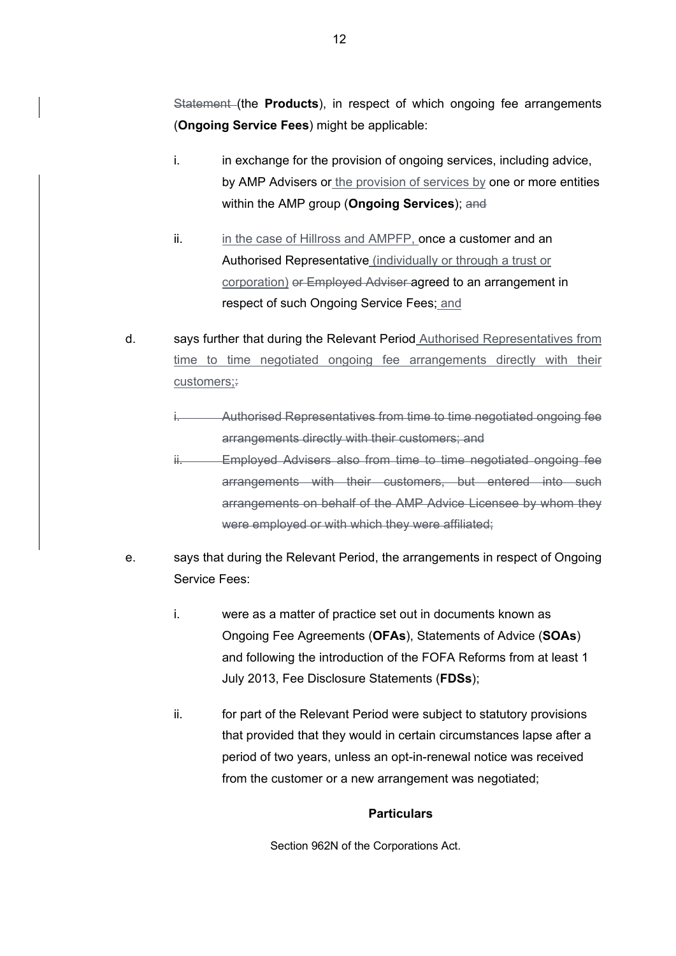Statement (the **Products**), in respect of which ongoing fee arrangements (**Ongoing Service Fees**) might be applicable:

- i. in exchange for the provision of ongoing services, including advice, by AMP Advisers or the provision of services by one or more entities within the AMP group (**Ongoing Services**); and
- ii. in the case of Hillross and AMPFP, once a customer and an Authorised Representative (individually or through a trust or corporation) or Employed Adviser agreed to an arrangement in respect of such Ongoing Service Fees; and
- d. says further that during the Relevant Period Authorised Representatives from time to time negotiated ongoing fee arrangements directly with their customers:
	- Authorised Representatives from time to time negotiated ongoing fee arrangements directly with their customers; and
	- **Employed Advisers also from time to time negotiated ongoing fee** arrangements with their customers, but entered into such arrangements on behalf of the AMP Advice Licensee by whom they were employed or with which they were affiliated;
- e. says that during the Relevant Period, the arrangements in respect of Ongoing Service Fees:
	- i. were as a matter of practice set out in documents known as Ongoing Fee Agreements (**OFAs**), Statements of Advice (**SOAs**) and following the introduction of the FOFA Reforms from at least 1 July 2013, Fee Disclosure Statements (**FDSs**);
	- ii. for part of the Relevant Period were subject to statutory provisions that provided that they would in certain circumstances lapse after a period of two years, unless an opt-in-renewal notice was received from the customer or a new arrangement was negotiated;

### **Particulars**

Section 962N of the Corporations Act.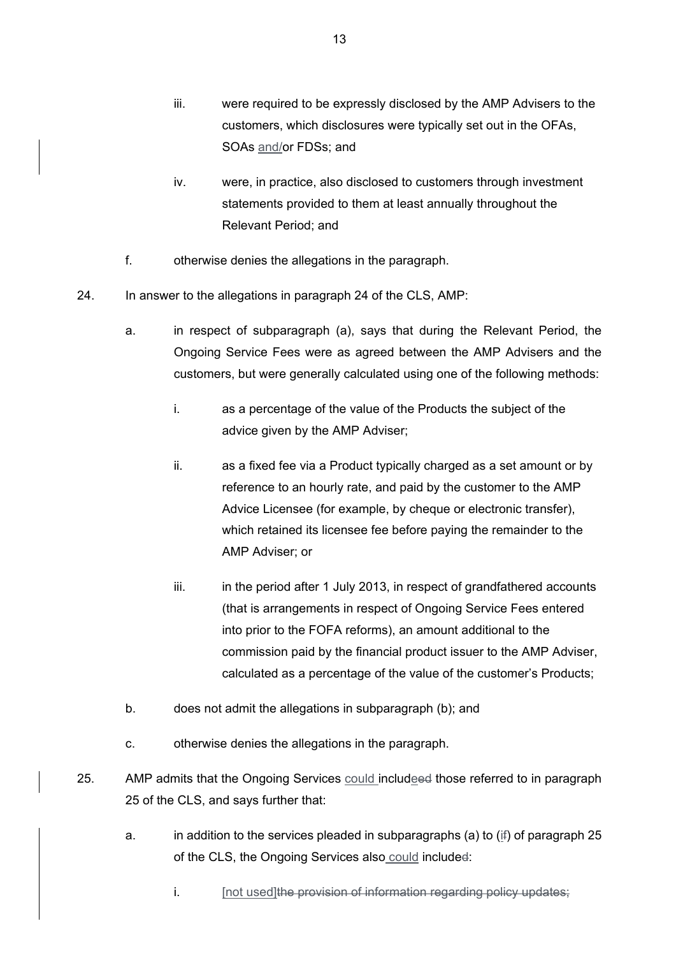- iii. were required to be expressly disclosed by the AMP Advisers to the customers, which disclosures were typically set out in the OFAs, SOAs and/or FDSs; and
- iv. were, in practice, also disclosed to customers through investment statements provided to them at least annually throughout the Relevant Period; and
- f. otherwise denies the allegations in the paragraph.
- 24. In answer to the allegations in paragraph 24 of the CLS, AMP:
	- a. in respect of subparagraph (a), says that during the Relevant Period, the Ongoing Service Fees were as agreed between the AMP Advisers and the customers, but were generally calculated using one of the following methods:
		- i. as a percentage of the value of the Products the subject of the advice given by the AMP Adviser;
		- ii. as a fixed fee via a Product typically charged as a set amount or by reference to an hourly rate, and paid by the customer to the AMP Advice Licensee (for example, by cheque or electronic transfer), which retained its licensee fee before paying the remainder to the AMP Adviser; or
		- iii. in the period after 1 July 2013, in respect of grandfathered accounts (that is arrangements in respect of Ongoing Service Fees entered into prior to the FOFA reforms), an amount additional to the commission paid by the financial product issuer to the AMP Adviser, calculated as a percentage of the value of the customer's Products;
	- b. does not admit the allegations in subparagraph (b); and
	- c. otherwise denies the allegations in the paragraph.
- 25. AMP admits that the Ongoing Services could includeed those referred to in paragraph 25 of the CLS, and says further that:
	- a. in addition to the services pleaded in subparagraphs (a) to (if) of paragraph 25 of the CLS, the Ongoing Services also could included:
		- i. [not used]the provision of information regarding policy updates;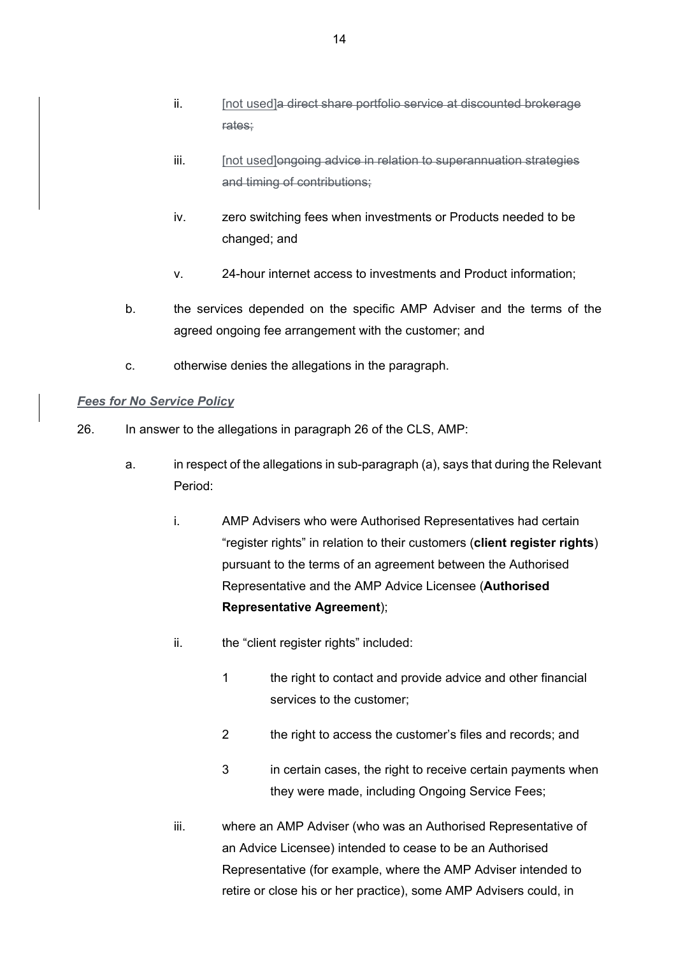- ii. [not used]a direct share portfolio service at discounted brokerage rates;
- iii. [not used]ongoing advice in relation to superannuation strategies and timing of contributions;
- iv. zero switching fees when investments or Products needed to be changed; and
- v. 24-hour internet access to investments and Product information;
- b. the services depended on the specific AMP Adviser and the terms of the agreed ongoing fee arrangement with the customer; and
- c. otherwise denies the allegations in the paragraph.

# *Fees for No Service Policy*

- 26. In answer to the allegations in paragraph 26 of the CLS, AMP:
	- a. in respect of the allegations in sub-paragraph (a), says that during the Relevant Period:
		- i. AMP Advisers who were Authorised Representatives had certain "register rights" in relation to their customers (**client register rights**) pursuant to the terms of an agreement between the Authorised Representative and the AMP Advice Licensee (**Authorised Representative Agreement**);
		- ii. the "client register rights" included:
			- 1 the right to contact and provide advice and other financial services to the customer;
			- 2 the right to access the customer's files and records; and
			- 3 in certain cases, the right to receive certain payments when they were made, including Ongoing Service Fees;
		- iii. where an AMP Adviser (who was an Authorised Representative of an Advice Licensee) intended to cease to be an Authorised Representative (for example, where the AMP Adviser intended to retire or close his or her practice), some AMP Advisers could, in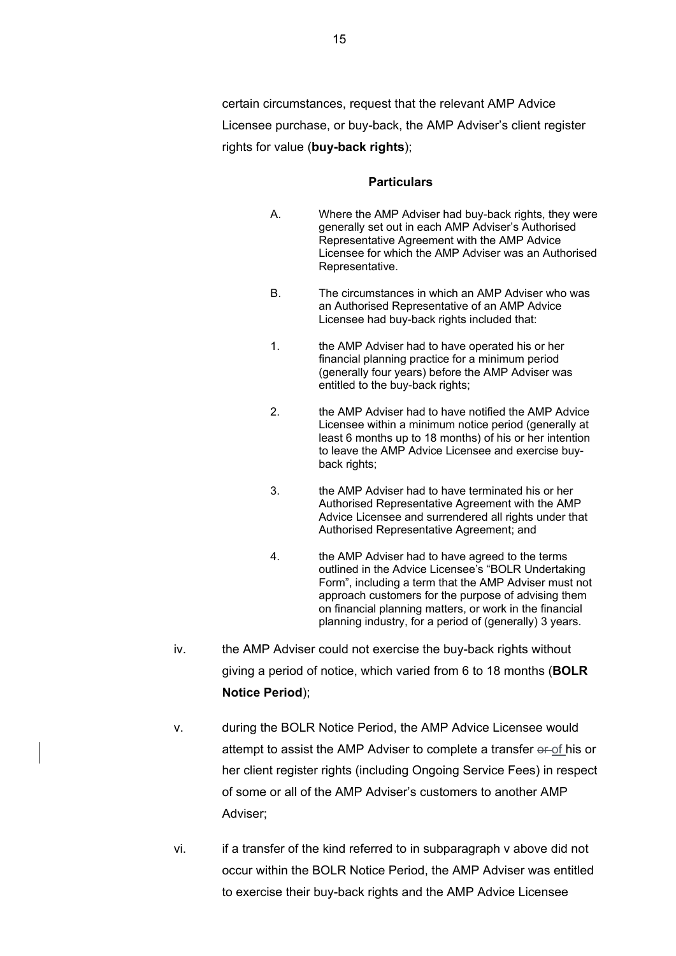certain circumstances, request that the relevant AMP Advice Licensee purchase, or buy-back, the AMP Adviser's client register rights for value (**buy-back rights**);

#### **Particulars**

- A. Where the AMP Adviser had buy-back rights, they were generally set out in each AMP Adviser's Authorised Representative Agreement with the AMP Advice Licensee for which the AMP Adviser was an Authorised Representative.
- B. The circumstances in which an AMP Adviser who was an Authorised Representative of an AMP Advice Licensee had buy-back rights included that:
- 1. the AMP Adviser had to have operated his or her financial planning practice for a minimum period (generally four years) before the AMP Adviser was entitled to the buy-back rights;
- 2. the AMP Adviser had to have notified the AMP Advice Licensee within a minimum notice period (generally at least 6 months up to 18 months) of his or her intention to leave the AMP Advice Licensee and exercise buyback rights;
- 3. the AMP Adviser had to have terminated his or her Authorised Representative Agreement with the AMP Advice Licensee and surrendered all rights under that Authorised Representative Agreement; and
- 4. the AMP Adviser had to have agreed to the terms outlined in the Advice Licensee's "BOLR Undertaking Form", including a term that the AMP Adviser must not approach customers for the purpose of advising them on financial planning matters, or work in the financial planning industry, for a period of (generally) 3 years.
- iv. the AMP Adviser could not exercise the buy-back rights without giving a period of notice, which varied from 6 to 18 months (**BOLR Notice Period**);
- v. during the BOLR Notice Period, the AMP Advice Licensee would attempt to assist the AMP Adviser to complete a transfer  $\theta$ -of his or her client register rights (including Ongoing Service Fees) in respect of some or all of the AMP Adviser's customers to another AMP Adviser;
- vi. if a transfer of the kind referred to in subparagraph v above did not occur within the BOLR Notice Period, the AMP Adviser was entitled to exercise their buy-back rights and the AMP Advice Licensee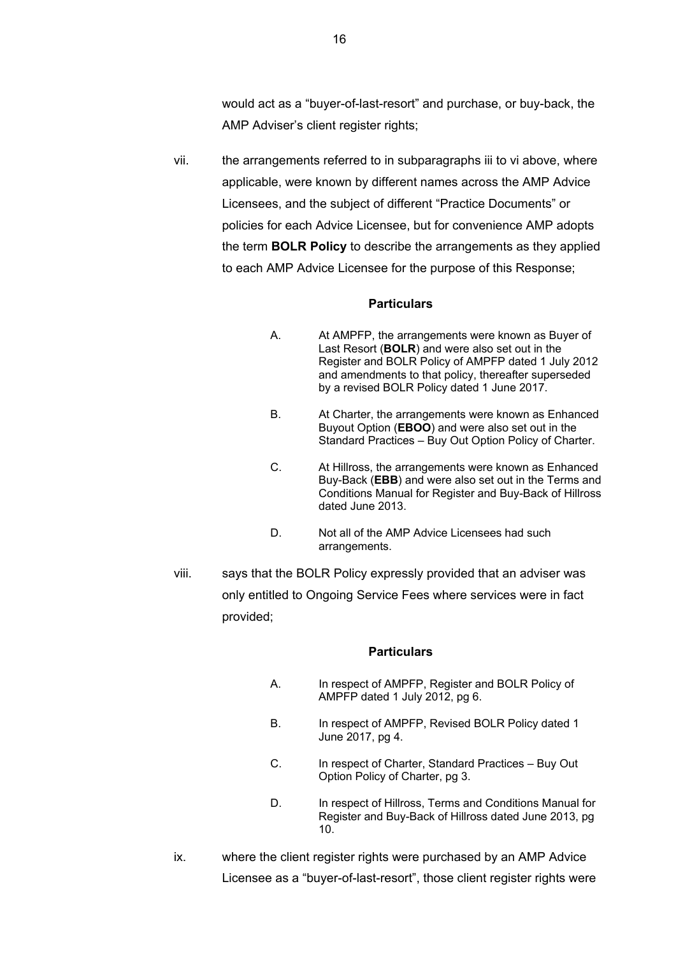would act as a "buyer-of-last-resort" and purchase, or buy-back, the AMP Adviser's client register rights;

vii. the arrangements referred to in subparagraphs iii to vi above, where applicable, were known by different names across the AMP Advice Licensees, and the subject of different "Practice Documents" or policies for each Advice Licensee, but for convenience AMP adopts the term **BOLR Policy** to describe the arrangements as they applied to each AMP Advice Licensee for the purpose of this Response;

#### **Particulars**

- A. At AMPFP, the arrangements were known as Buyer of Last Resort (**BOLR**) and were also set out in the Register and BOLR Policy of AMPFP dated 1 July 2012 and amendments to that policy, thereafter superseded by a revised BOLR Policy dated 1 June 2017.
- B. At Charter, the arrangements were known as Enhanced Buyout Option (**EBOO**) and were also set out in the Standard Practices – Buy Out Option Policy of Charter.
- C. At Hillross, the arrangements were known as Enhanced Buy-Back (**EBB**) and were also set out in the Terms and Conditions Manual for Register and Buy-Back of Hillross dated June 2013.
- D. Not all of the AMP Advice Licensees had such arrangements.
- viii. says that the BOLR Policy expressly provided that an adviser was only entitled to Ongoing Service Fees where services were in fact provided;

#### **Particulars**

- A. In respect of AMPFP, Register and BOLR Policy of AMPFP dated 1 July 2012, pg 6.
- B. In respect of AMPFP, Revised BOLR Policy dated 1 June 2017, pg 4.
- C. In respect of Charter, Standard Practices Buy Out Option Policy of Charter, pg 3.
- D. In respect of Hillross, Terms and Conditions Manual for Register and Buy-Back of Hillross dated June 2013, pg 10.
- ix. where the client register rights were purchased by an AMP Advice Licensee as a "buyer-of-last-resort", those client register rights were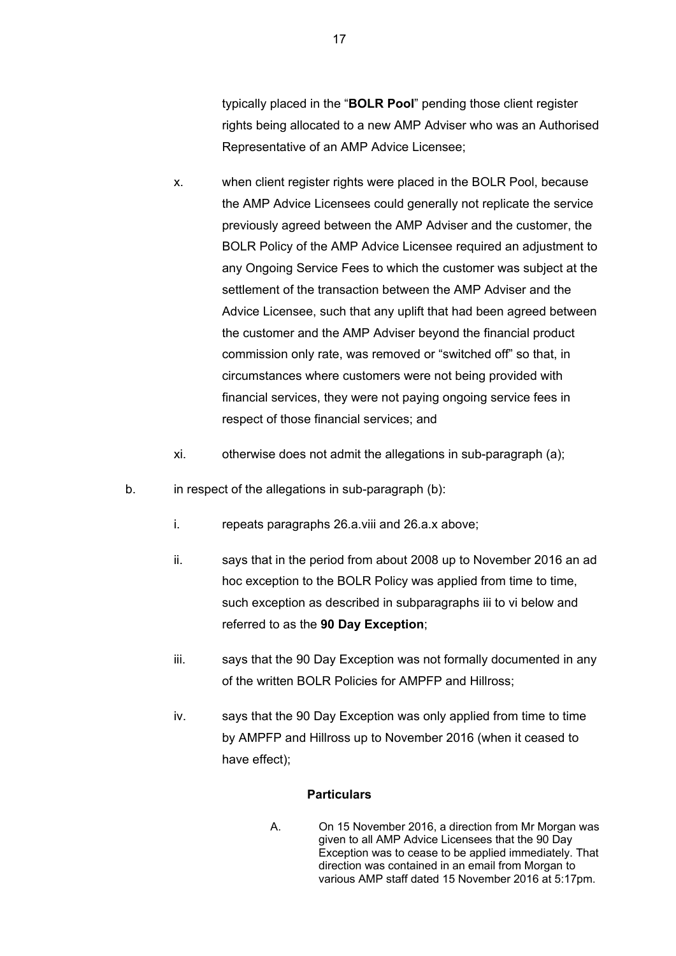typically placed in the "**BOLR Pool**" pending those client register rights being allocated to a new AMP Adviser who was an Authorised Representative of an AMP Advice Licensee;

- x. when client register rights were placed in the BOLR Pool, because the AMP Advice Licensees could generally not replicate the service previously agreed between the AMP Adviser and the customer, the BOLR Policy of the AMP Advice Licensee required an adjustment to any Ongoing Service Fees to which the customer was subject at the settlement of the transaction between the AMP Adviser and the Advice Licensee, such that any uplift that had been agreed between the customer and the AMP Adviser beyond the financial product commission only rate, was removed or "switched off" so that, in circumstances where customers were not being provided with financial services, they were not paying ongoing service fees in respect of those financial services; and
- xi. otherwise does not admit the allegations in sub-paragraph (a);
- b. in respect of the allegations in sub-paragraph (b):
	- i. repeats paragraphs 26.a.viii and 26.a.x above;
	- ii. says that in the period from about 2008 up to November 2016 an ad hoc exception to the BOLR Policy was applied from time to time, such exception as described in subparagraphs iii to vi below and referred to as the **90 Day Exception**;
	- iii. says that the 90 Day Exception was not formally documented in any of the written BOLR Policies for AMPFP and Hillross;
	- iv. says that the 90 Day Exception was only applied from time to time by AMPFP and Hillross up to November 2016 (when it ceased to have effect);

### **Particulars**

A. On 15 November 2016, a direction from Mr Morgan was given to all AMP Advice Licensees that the 90 Day Exception was to cease to be applied immediately. That direction was contained in an email from Morgan to various AMP staff dated 15 November 2016 at 5:17pm.

17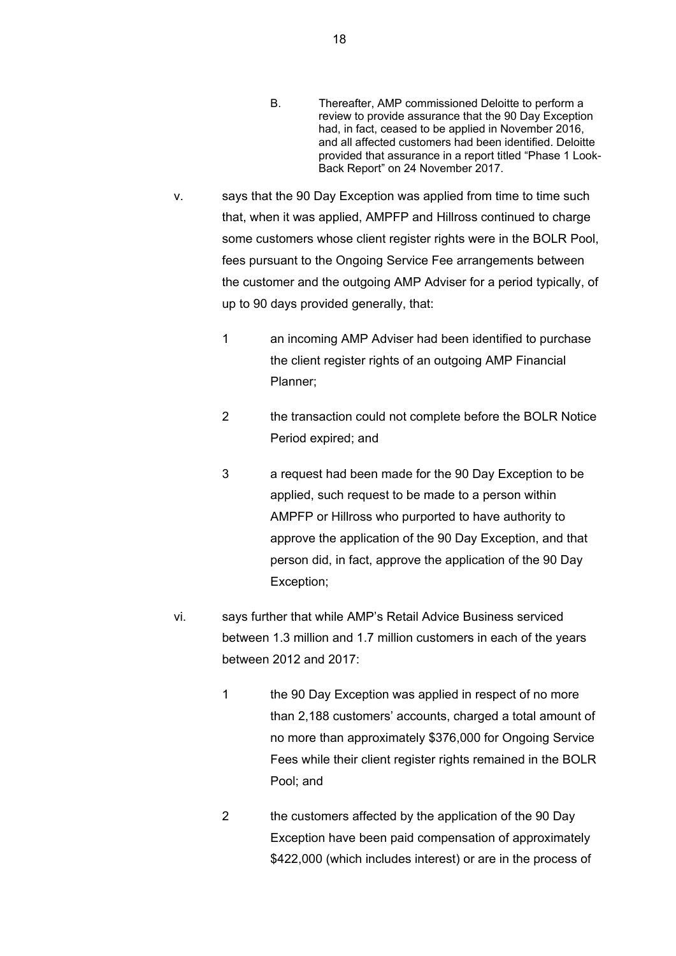- B. Thereafter, AMP commissioned Deloitte to perform a review to provide assurance that the 90 Day Exception had, in fact, ceased to be applied in November 2016, and all affected customers had been identified. Deloitte provided that assurance in a report titled "Phase 1 Look-Back Report" on 24 November 2017.
- v. says that the 90 Day Exception was applied from time to time such that, when it was applied, AMPFP and Hillross continued to charge some customers whose client register rights were in the BOLR Pool, fees pursuant to the Ongoing Service Fee arrangements between the customer and the outgoing AMP Adviser for a period typically, of up to 90 days provided generally, that:
	- 1 an incoming AMP Adviser had been identified to purchase the client register rights of an outgoing AMP Financial Planner;
	- 2 the transaction could not complete before the BOLR Notice Period expired; and
	- 3 a request had been made for the 90 Day Exception to be applied, such request to be made to a person within AMPFP or Hillross who purported to have authority to approve the application of the 90 Day Exception, and that person did, in fact, approve the application of the 90 Day Exception;
- vi. says further that while AMP's Retail Advice Business serviced between 1.3 million and 1.7 million customers in each of the years between 2012 and 2017:
	- 1 the 90 Day Exception was applied in respect of no more than 2,188 customers' accounts, charged a total amount of no more than approximately \$376,000 for Ongoing Service Fees while their client register rights remained in the BOLR Pool; and
	- 2 the customers affected by the application of the 90 Day Exception have been paid compensation of approximately \$422,000 (which includes interest) or are in the process of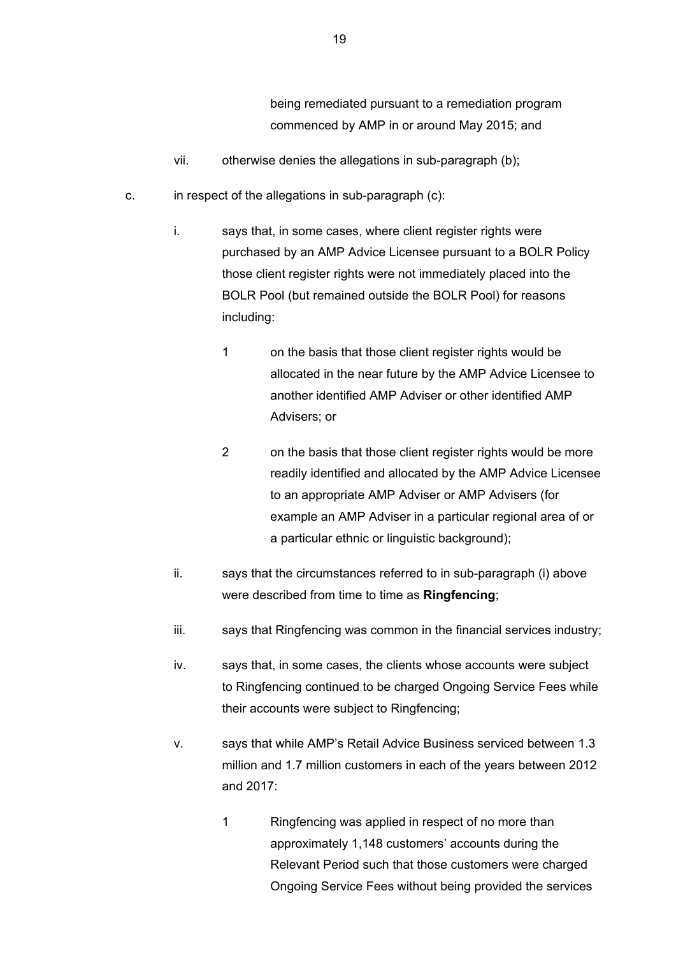being remediated pursuant to a remediation program commenced by AMP in or around May 2015; and

- vii. otherwise denies the allegations in sub-paragraph (b);
- c. in respect of the allegations in sub-paragraph (c):
	- i. says that, in some cases, where client register rights were purchased by an AMP Advice Licensee pursuant to a BOLR Policy those client register rights were not immediately placed into the BOLR Pool (but remained outside the BOLR Pool) for reasons including:
		- 1 on the basis that those client register rights would be allocated in the near future by the AMP Advice Licensee to another identified AMP Adviser or other identified AMP Advisers; or
		- 2 on the basis that those client register rights would be more readily identified and allocated by the AMP Advice Licensee to an appropriate AMP Adviser or AMP Advisers (for example an AMP Adviser in a particular regional area of or a particular ethnic or linguistic background);
	- ii. says that the circumstances referred to in sub-paragraph (i) above were described from time to time as **Ringfencing**;
	- iii. says that Ringfencing was common in the financial services industry;
	- iv. says that, in some cases, the clients whose accounts were subject to Ringfencing continued to be charged Ongoing Service Fees while their accounts were subject to Ringfencing;
	- v. says that while AMP's Retail Advice Business serviced between 1.3 million and 1.7 million customers in each of the years between 2012 and 2017:
		- 1 Ringfencing was applied in respect of no more than approximately 1,148 customers' accounts during the Relevant Period such that those customers were charged Ongoing Service Fees without being provided the services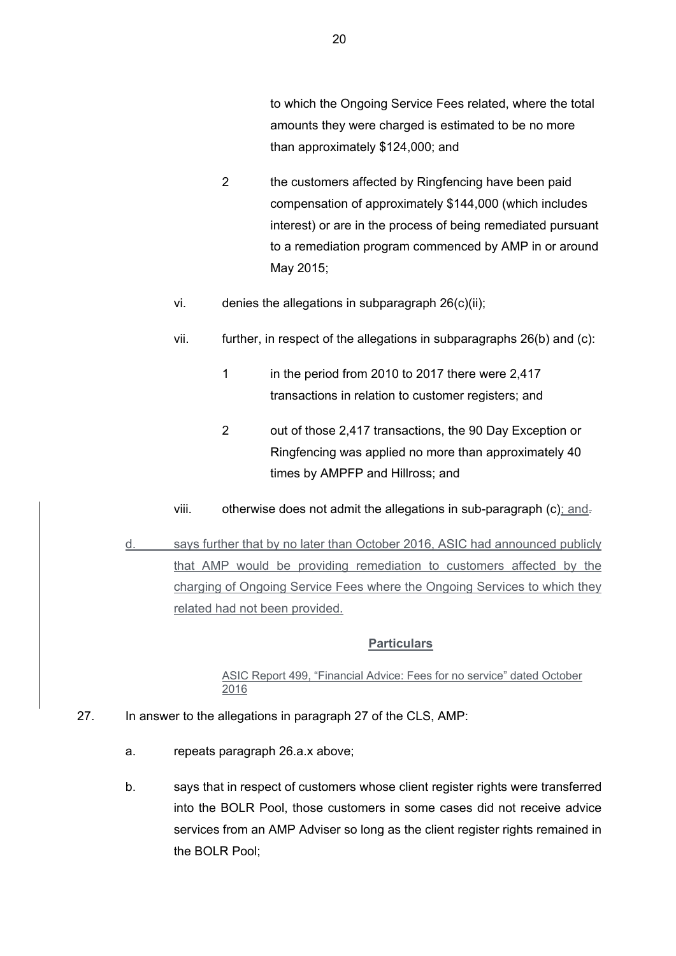to which the Ongoing Service Fees related, where the total amounts they were charged is estimated to be no more than approximately \$124,000; and

- 2 the customers affected by Ringfencing have been paid compensation of approximately \$144,000 (which includes interest) or are in the process of being remediated pursuant to a remediation program commenced by AMP in or around May 2015;
- vi. denies the allegations in subparagraph 26(c)(ii);
- vii. further, in respect of the allegations in subparagraphs 26(b) and (c):
	- 1 in the period from 2010 to 2017 there were 2,417 transactions in relation to customer registers; and
	- 2 out of those 2,417 transactions, the 90 Day Exception or Ringfencing was applied no more than approximately 40 times by AMPFP and Hillross; and
- viii. otherwise does not admit the allegations in sub-paragraph  $(c)$ ; and-
- d. says further that by no later than October 2016, ASIC had announced publicly that AMP would be providing remediation to customers affected by the charging of Ongoing Service Fees where the Ongoing Services to which they related had not been provided.

### **Particulars**

### ASIC Report 499, "Financial Advice: Fees for no service" dated October 2016

- 27. In answer to the allegations in paragraph 27 of the CLS, AMP:
	- a. repeats paragraph 26.a.x above;
	- b. says that in respect of customers whose client register rights were transferred into the BOLR Pool, those customers in some cases did not receive advice services from an AMP Adviser so long as the client register rights remained in the BOLR Pool;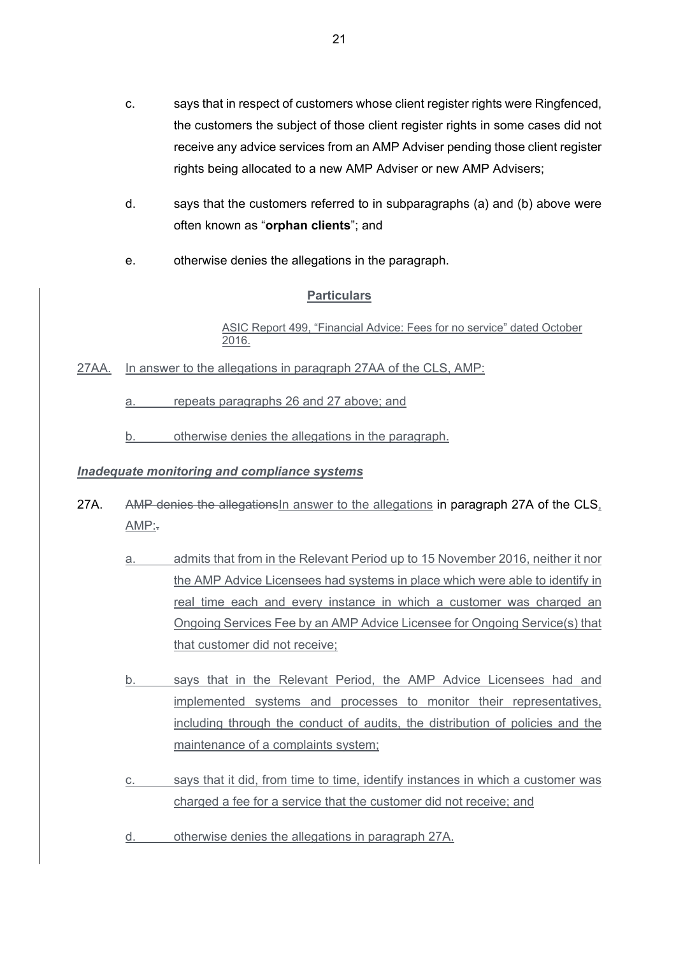- c. says that in respect of customers whose client register rights were Ringfenced, the customers the subject of those client register rights in some cases did not receive any advice services from an AMP Adviser pending those client register rights being allocated to a new AMP Adviser or new AMP Advisers;
- d. says that the customers referred to in subparagraphs (a) and (b) above were often known as "**orphan clients**"; and
- e. otherwise denies the allegations in the paragraph.

ASIC Report 499, "Financial Advice: Fees for no service" dated October 2016.

27AA. In answer to the allegations in paragraph 27AA of the CLS, AMP:

a. repeats paragraphs 26 and 27 above; and

b. otherwise denies the allegations in the paragraph.

# *Inadequate monitoring and compliance systems*

- 27A. AMP denies the allegations in answer to the allegations in paragraph 27A of the CLS.  $AMP:$ 
	- a. admits that from in the Relevant Period up to 15 November 2016, neither it nor the AMP Advice Licensees had systems in place which were able to identify in real time each and every instance in which a customer was charged an Ongoing Services Fee by an AMP Advice Licensee for Ongoing Service(s) that that customer did not receive;
	- b. says that in the Relevant Period, the AMP Advice Licensees had and implemented systems and processes to monitor their representatives, including through the conduct of audits, the distribution of policies and the maintenance of a complaints system;
	- c. says that it did, from time to time, identify instances in which a customer was charged a fee for a service that the customer did not receive; and
	- d. otherwise denies the allegations in paragraph 27A.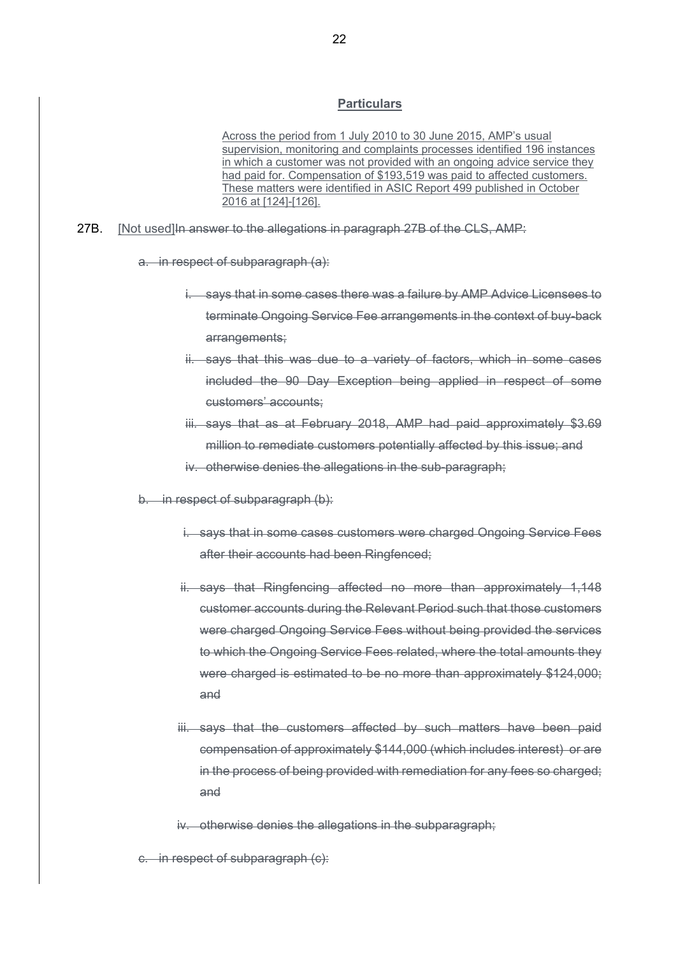Across the period from 1 July 2010 to 30 June 2015, AMP's usual supervision, monitoring and complaints processes identified 196 instances in which a customer was not provided with an ongoing advice service they had paid for. Compensation of \$193,519 was paid to affected customers. These matters were identified in ASIC Report 499 published in October 2016 at [124]-[126].

27B. [Not used]In answer to the allegations in paragraph 27B of the CLS, AMP:

a. in respect of subparagraph (a):

- i. says that in some cases there was a failure by AMP Advice Licensees to terminate Ongoing Service Fee arrangements in the context of buy-back arrangements;
- ii. says that this was due to a variety of factors, which in some cases included the 90 Day Exception being applied in respect of some customers' accounts;
- iii. says that as at February 2018, AMP had paid approximately \$3.69 million to remediate customers potentially affected by this issue; and
- iv. otherwise denies the allegations in the sub-paragraph;
- b. in respect of subparagraph (b):
	- i. says that in some cases customers were charged Ongoing Service Fees after their accounts had been Ringfenced;
	- ii. says that Ringfencing affected no more than approximately 1,148 customer accounts during the Relevant Period such that those customers were charged Ongoing Service Fees without being provided the services to which the Ongoing Service Fees related, where the total amounts they were charged is estimated to be no more than approximately \$124,000; and
	- iii. says that the customers affected by such matters have been paid compensation of approximately \$144,000 (which includes interest) or are in the process of being provided with remediation for any fees so charged; and
	- iv. otherwise denies the allegations in the subparagraph;

c. in respect of subparagraph (c):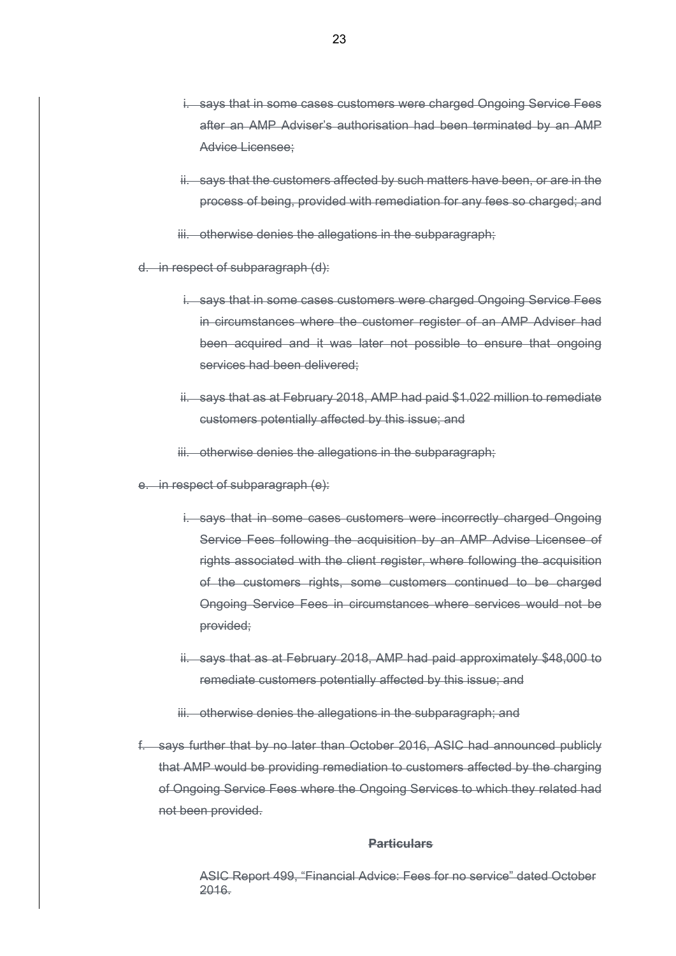- i. says that in some cases customers were charged Ongoing Service Fees after an AMP Adviser's authorisation had been terminated by an AMP Advice Licensee;
- ii. says that the customers affected by such matters have been, or are in the process of being, provided with remediation for any fees so charged; and
- iii. otherwise denies the allegations in the subparagraph:
- d. in respect of subparagraph (d):
	- i. says that in some cases customers were charged Ongoing Service Fees in circumstances where the customer register of an AMP Adviser had been acquired and it was later not possible to ensure that ongoing services had been delivered:
	- ii. says that as at February 2018, AMP had paid \$1.022 million to remediate customers potentially affected by this issue; and
	- iii. otherwise denies the allegations in the subparagraph;
- e. in respect of subparagraph (e):
	- i. says that in some cases customers were incorrectly charged Ongoing Service Fees following the acquisition by an AMP Advise Licensee of rights associated with the client register, where following the acquisition of the customers rights, some customers continued to be charged Ongoing Service Fees in circumstances where services would not be provided;
	- ii. says that as at February 2018, AMP had paid approximately \$48,000 to remediate customers potentially affected by this issue; and
	- iii. otherwise denies the allegations in the subparagraph; and
- f. says further that by no later than October 2016, ASIC had announced publicly that AMP would be providing remediation to customers affected by the charging of Ongoing Service Fees where the Ongoing Services to which they related had not been provided.

ASIC Report 499, "Financial Advice: Fees for no service" dated October 2016.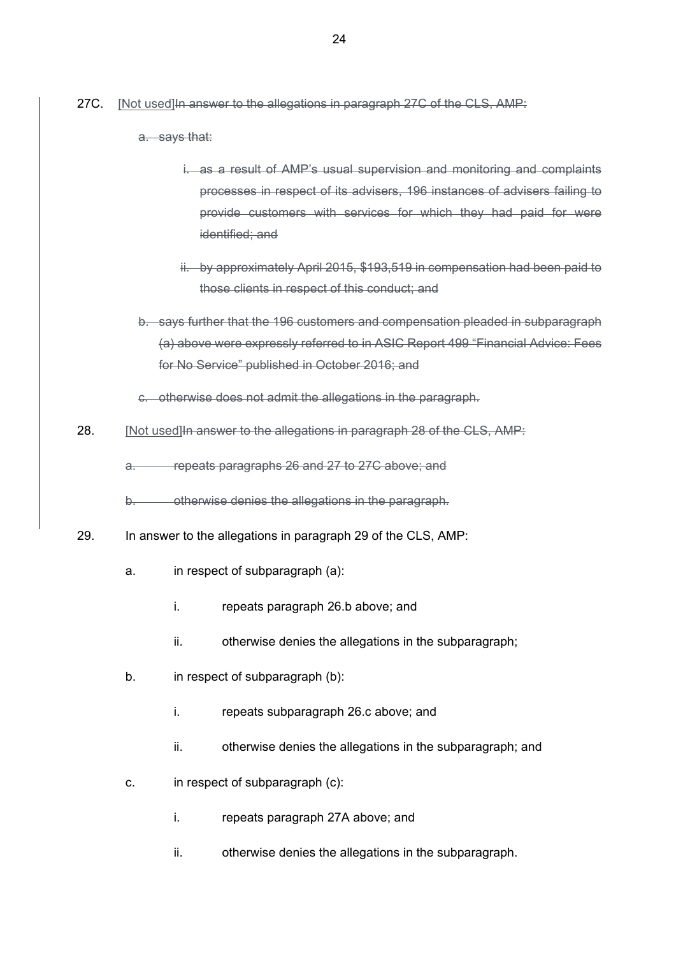- 27C. [Not used]In answer to the allegations in paragraph 27C of the CLS, AMP:
	- a. says that:
		- i. as a result of AMP's usual supervision and monitoring and complaints processes in respect of its advisers, 196 instances of advisers failing to provide customers with services for which they had paid for were identified; and
		- ii. by approximately April 2015, \$193,519 in compensation had been paid to those clients in respect of this conduct; and
	- b. says further that the 196 customers and compensation pleaded in subparagraph (a) above were expressly referred to in ASIC Report 499 "Financial Advice: Fees for No Service" published in October 2016; and
	- c. otherwise does not admit the allegations in the paragraph.
- 28. [Not used] In answer to the allegations in paragraph 28 of the CLS, AMP:

a. repeats paragraphs 26 and 27 to 27C above; and

b. otherwise denies the allegations in the paragraph.

- 29. In answer to the allegations in paragraph 29 of the CLS, AMP:
	- a. in respect of subparagraph (a):
		- i. repeats paragraph 26.b above; and
		- ii. otherwise denies the allegations in the subparagraph;
	- b. in respect of subparagraph (b):
		- i. repeats subparagraph 26.c above; and
		- ii. otherwise denies the allegations in the subparagraph; and
	- c. in respect of subparagraph (c):
		- i. repeats paragraph 27A above; and
		- ii. otherwise denies the allegations in the subparagraph.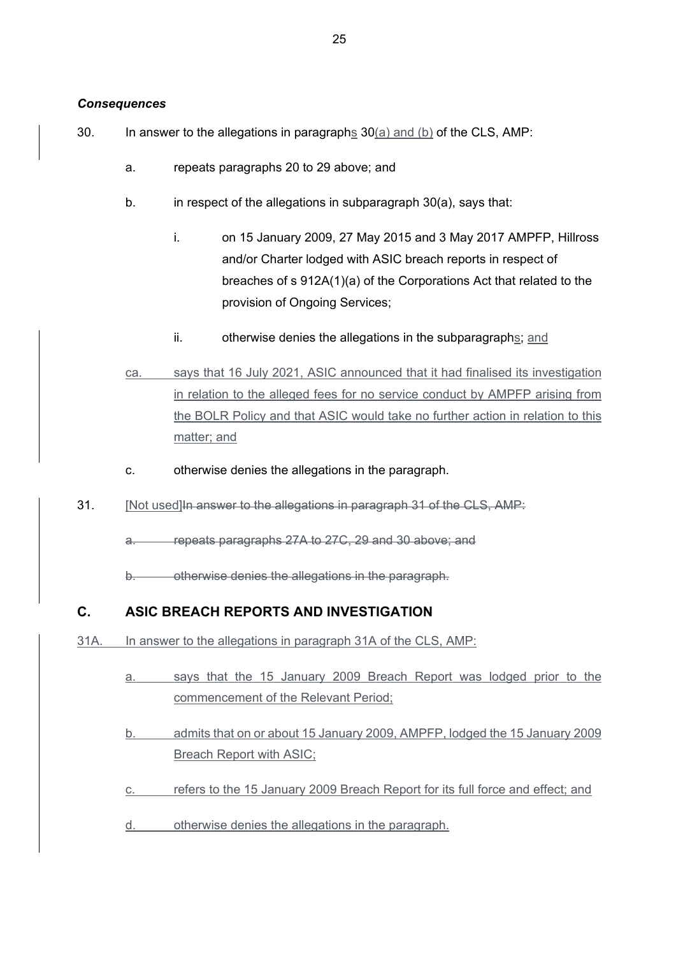### *Consequences*

- 30. In answer to the allegations in paragraphs 30(a) and (b) of the CLS, AMP:
	- a. repeats paragraphs 20 to 29 above; and
	- b. in respect of the allegations in subparagraph 30(a), says that:
		- i. on 15 January 2009, 27 May 2015 and 3 May 2017 AMPFP, Hillross and/or Charter lodged with ASIC breach reports in respect of breaches of s 912A(1)(a) of the Corporations Act that related to the provision of Ongoing Services;
		- ii. otherwise denies the allegations in the subparagraphs; and
	- ca. says that 16 July 2021, ASIC announced that it had finalised its investigation in relation to the alleged fees for no service conduct by AMPFP arising from the BOLR Policy and that ASIC would take no further action in relation to this matter; and
	- c. otherwise denies the allegations in the paragraph.
- 31. [Not used]In answer to the allegations in paragraph 31 of the CLS, AMP:

a. repeats paragraphs 27A to 27C, 29 and 30 above; and

b. otherwise denies the allegations in the paragraph.

# **C. ASIC BREACH REPORTS AND INVESTIGATION**

- 31A. In answer to the allegations in paragraph 31A of the CLS, AMP:
	- a. says that the 15 January 2009 Breach Report was lodged prior to the commencement of the Relevant Period;
	- b. admits that on or about 15 January 2009, AMPFP, lodged the 15 January 2009 Breach Report with ASIC;
	- c. refers to the 15 January 2009 Breach Report for its full force and effect; and
	- d. otherwise denies the allegations in the paragraph.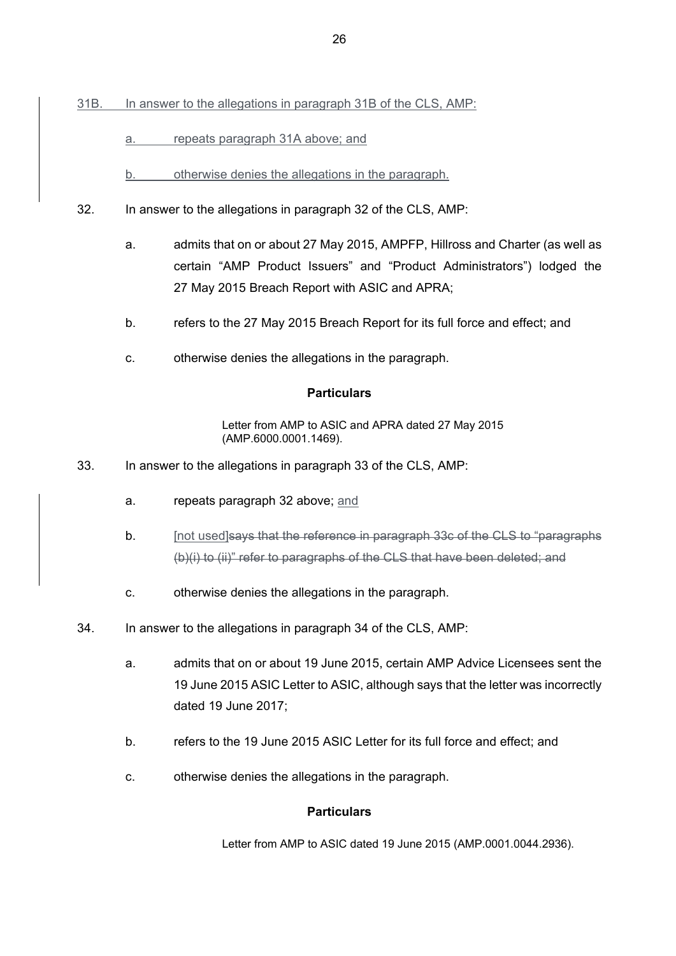- 31B. In answer to the allegations in paragraph 31B of the CLS, AMP:
	- a. repeats paragraph 31A above; and
	- b. otherwise denies the allegations in the paragraph.
- 32. In answer to the allegations in paragraph 32 of the CLS, AMP:
	- a. admits that on or about 27 May 2015, AMPFP, Hillross and Charter (as well as certain "AMP Product Issuers" and "Product Administrators") lodged the 27 May 2015 Breach Report with ASIC and APRA;
	- b. refers to the 27 May 2015 Breach Report for its full force and effect; and
	- c. otherwise denies the allegations in the paragraph.

Letter from AMP to ASIC and APRA dated 27 May 2015 (AMP.6000.0001.1469).

- 33. In answer to the allegations in paragraph 33 of the CLS, AMP:
	- a. repeats paragraph 32 above; and
	- b. **[not used]says that the reference in paragraph 33c of the CLS to "paragraphs** (b)(i) to (ii)" refer to paragraphs of the CLS that have been deleted; and
	- c. otherwise denies the allegations in the paragraph.
- 34. In answer to the allegations in paragraph 34 of the CLS, AMP:
	- a. admits that on or about 19 June 2015, certain AMP Advice Licensees sent the 19 June 2015 ASIC Letter to ASIC, although says that the letter was incorrectly dated 19 June 2017;
	- b. refers to the 19 June 2015 ASIC Letter for its full force and effect; and
	- c. otherwise denies the allegations in the paragraph.

### **Particulars**

Letter from AMP to ASIC dated 19 June 2015 (AMP.0001.0044.2936).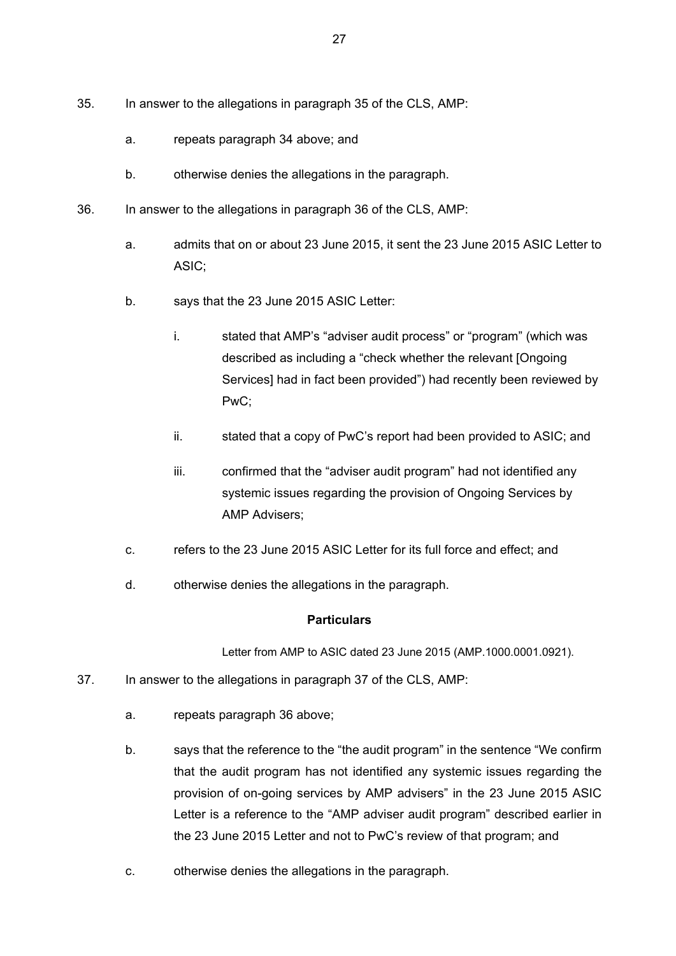- 35. In answer to the allegations in paragraph 35 of the CLS, AMP:
	- a. repeats paragraph 34 above; and
	- b. otherwise denies the allegations in the paragraph.
- 36. In answer to the allegations in paragraph 36 of the CLS, AMP:
	- a. admits that on or about 23 June 2015, it sent the 23 June 2015 ASIC Letter to ASIC;
	- b. says that the 23 June 2015 ASIC Letter:
		- i. stated that AMP's "adviser audit process" or "program" (which was described as including a "check whether the relevant [Ongoing Services] had in fact been provided") had recently been reviewed by PwC;
		- ii. stated that a copy of PwC's report had been provided to ASIC; and
		- iii. confirmed that the "adviser audit program" had not identified any systemic issues regarding the provision of Ongoing Services by AMP Advisers;
	- c. refers to the 23 June 2015 ASIC Letter for its full force and effect; and
	- d. otherwise denies the allegations in the paragraph.

Letter from AMP to ASIC dated 23 June 2015 (AMP.1000.0001.0921).

- 37. In answer to the allegations in paragraph 37 of the CLS, AMP:
	- a. repeats paragraph 36 above;
	- b. says that the reference to the "the audit program" in the sentence "We confirm that the audit program has not identified any systemic issues regarding the provision of on-going services by AMP advisers" in the 23 June 2015 ASIC Letter is a reference to the "AMP adviser audit program" described earlier in the 23 June 2015 Letter and not to PwC's review of that program; and
	- c. otherwise denies the allegations in the paragraph.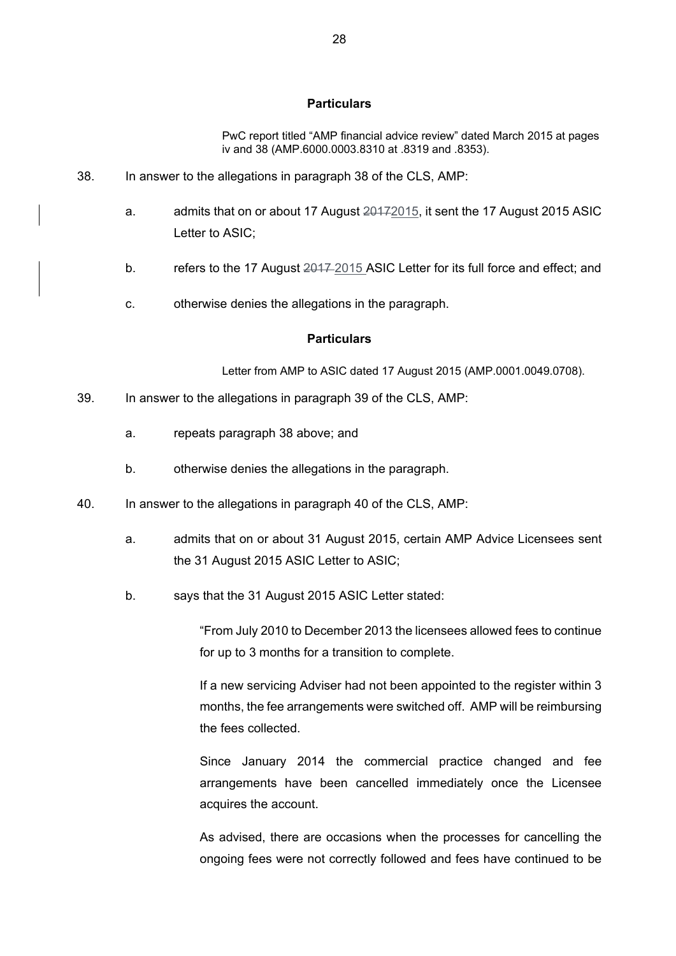PwC report titled "AMP financial advice review" dated March 2015 at pages iv and 38 (AMP.6000.0003.8310 at .8319 and .8353).

- 38. In answer to the allegations in paragraph 38 of the CLS, AMP:
	- a. admits that on or about 17 August 20172015, it sent the 17 August 2015 ASIC Letter to ASIC;
	- b. refers to the 17 August 2017-2015 ASIC Letter for its full force and effect: and
	- c. otherwise denies the allegations in the paragraph.

#### **Particulars**

Letter from AMP to ASIC dated 17 August 2015 (AMP.0001.0049.0708).

- 39. In answer to the allegations in paragraph 39 of the CLS, AMP:
	- a. repeats paragraph 38 above; and
	- b. otherwise denies the allegations in the paragraph.
- 40. In answer to the allegations in paragraph 40 of the CLS, AMP:
	- a. admits that on or about 31 August 2015, certain AMP Advice Licensees sent the 31 August 2015 ASIC Letter to ASIC;
	- b. says that the 31 August 2015 ASIC Letter stated:

"From July 2010 to December 2013 the licensees allowed fees to continue for up to 3 months for a transition to complete.

If a new servicing Adviser had not been appointed to the register within 3 months, the fee arrangements were switched off. AMP will be reimbursing the fees collected.

Since January 2014 the commercial practice changed and fee arrangements have been cancelled immediately once the Licensee acquires the account.

As advised, there are occasions when the processes for cancelling the ongoing fees were not correctly followed and fees have continued to be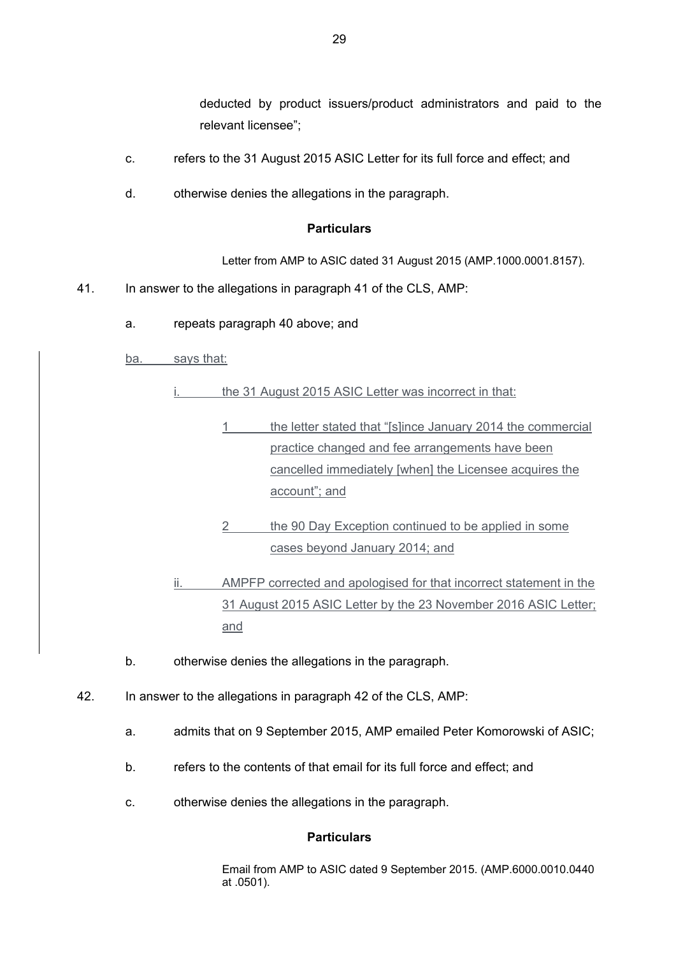deducted by product issuers/product administrators and paid to the relevant licensee";

- c. refers to the 31 August 2015 ASIC Letter for its full force and effect; and
- d. otherwise denies the allegations in the paragraph.

#### **Particulars**

Letter from AMP to ASIC dated 31 August 2015 (AMP.1000.0001.8157).

- 41. In answer to the allegations in paragraph 41 of the CLS, AMP:
	- a. repeats paragraph 40 above; and
	- ba. says that:

the 31 August 2015 ASIC Letter was incorrect in that:

- 1 the letter stated that "[s]ince January 2014 the commercial practice changed and fee arrangements have been cancelled immediately [when] the Licensee acquires the account"; and
- 2 the 90 Day Exception continued to be applied in some cases beyond January 2014; and

ii. AMPFP corrected and apologised for that incorrect statement in the 31 August 2015 ASIC Letter by the 23 November 2016 ASIC Letter; and

- b. otherwise denies the allegations in the paragraph.
- 42. In answer to the allegations in paragraph 42 of the CLS, AMP:
	- a. admits that on 9 September 2015, AMP emailed Peter Komorowski of ASIC;
	- b. refers to the contents of that email for its full force and effect; and
	- c. otherwise denies the allegations in the paragraph.

#### **Particulars**

Email from AMP to ASIC dated 9 September 2015. (AMP.6000.0010.0440 at .0501).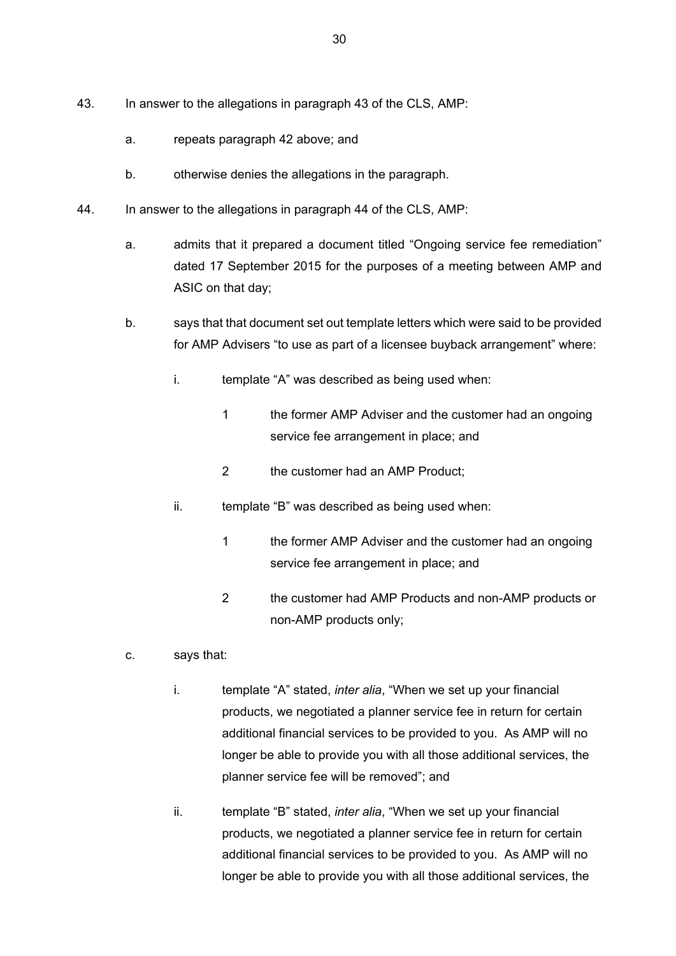- 43. In answer to the allegations in paragraph 43 of the CLS, AMP:
	- a. repeats paragraph 42 above; and
	- b. otherwise denies the allegations in the paragraph.
- 44. In answer to the allegations in paragraph 44 of the CLS, AMP:
	- a. admits that it prepared a document titled "Ongoing service fee remediation" dated 17 September 2015 for the purposes of a meeting between AMP and ASIC on that day;
	- b. says that that document set out template letters which were said to be provided for AMP Advisers "to use as part of a licensee buyback arrangement" where:
		- i. template "A" was described as being used when:
			- 1 the former AMP Adviser and the customer had an ongoing service fee arrangement in place; and
			- 2 the customer had an AMP Product;
		- ii. template "B" was described as being used when:
			- 1 the former AMP Adviser and the customer had an ongoing service fee arrangement in place; and
			- 2 the customer had AMP Products and non-AMP products or non-AMP products only;
	- c. says that:
		- i. template "A" stated, *inter alia*, "When we set up your financial products, we negotiated a planner service fee in return for certain additional financial services to be provided to you. As AMP will no longer be able to provide you with all those additional services, the planner service fee will be removed"; and
		- ii. template "B" stated, *inter alia*, "When we set up your financial products, we negotiated a planner service fee in return for certain additional financial services to be provided to you. As AMP will no longer be able to provide you with all those additional services, the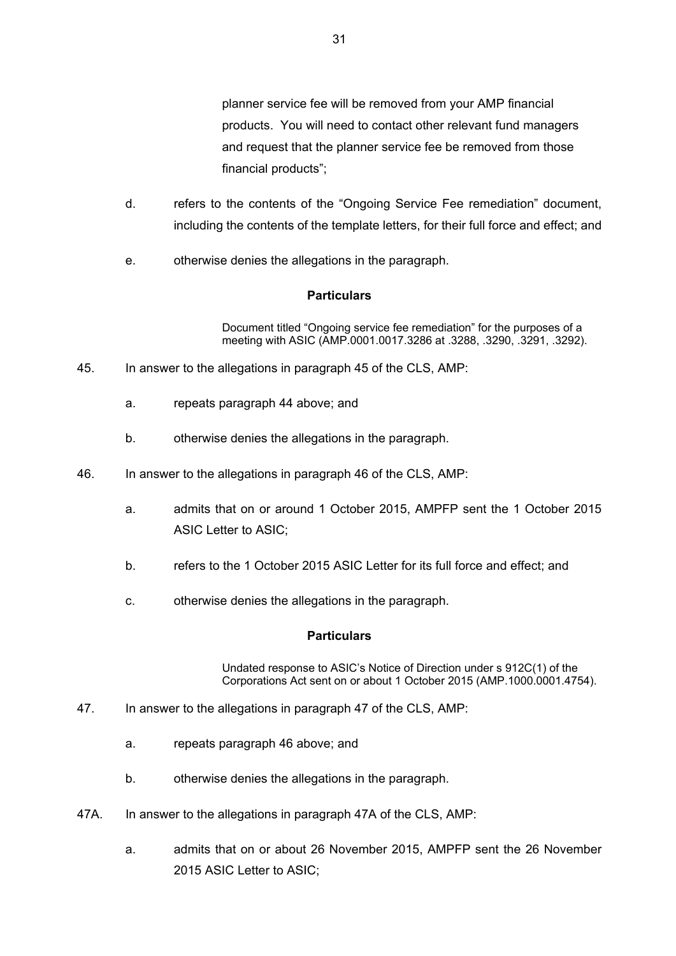planner service fee will be removed from your AMP financial products. You will need to contact other relevant fund managers and request that the planner service fee be removed from those financial products";

- d. refers to the contents of the "Ongoing Service Fee remediation" document, including the contents of the template letters, for their full force and effect; and
- e. otherwise denies the allegations in the paragraph.

# **Particulars**

Document titled "Ongoing service fee remediation" for the purposes of a meeting with ASIC (AMP.0001.0017.3286 at .3288, .3290, .3291, .3292).

- 45. In answer to the allegations in paragraph 45 of the CLS, AMP:
	- a. repeats paragraph 44 above; and
	- b. otherwise denies the allegations in the paragraph.
- 46. In answer to the allegations in paragraph 46 of the CLS, AMP:
	- a. admits that on or around 1 October 2015, AMPFP sent the 1 October 2015 ASIC Letter to ASIC;
	- b. refers to the 1 October 2015 ASIC Letter for its full force and effect; and
	- c. otherwise denies the allegations in the paragraph.

### **Particulars**

Undated response to ASIC's Notice of Direction under s 912C(1) of the Corporations Act sent on or about 1 October 2015 (AMP.1000.0001.4754).

- 47. In answer to the allegations in paragraph 47 of the CLS, AMP:
	- a. repeats paragraph 46 above; and
	- b. otherwise denies the allegations in the paragraph.
- 47A. In answer to the allegations in paragraph 47A of the CLS, AMP:
	- a. admits that on or about 26 November 2015, AMPFP sent the 26 November 2015 ASIC Letter to ASIC;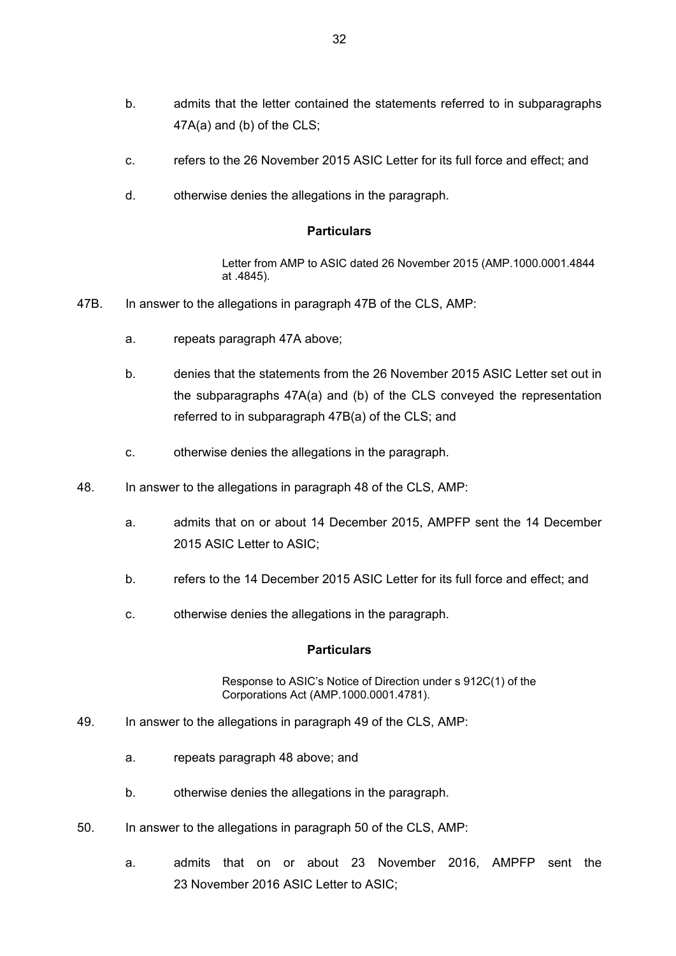- b. admits that the letter contained the statements referred to in subparagraphs 47A(a) and (b) of the CLS;
- c. refers to the 26 November 2015 ASIC Letter for its full force and effect; and
- d. otherwise denies the allegations in the paragraph.

Letter from AMP to ASIC dated 26 November 2015 (AMP.1000.0001.4844 at .4845).

- 47B. In answer to the allegations in paragraph 47B of the CLS, AMP:
	- a. repeats paragraph 47A above;
	- b. denies that the statements from the 26 November 2015 ASIC Letter set out in the subparagraphs 47A(a) and (b) of the CLS conveyed the representation referred to in subparagraph 47B(a) of the CLS; and
	- c. otherwise denies the allegations in the paragraph.
- 48. In answer to the allegations in paragraph 48 of the CLS, AMP:
	- a. admits that on or about 14 December 2015, AMPFP sent the 14 December 2015 ASIC Letter to ASIC;
	- b. refers to the 14 December 2015 ASIC Letter for its full force and effect; and
	- c. otherwise denies the allegations in the paragraph.

#### **Particulars**

Response to ASIC's Notice of Direction under s 912C(1) of the Corporations Act (AMP.1000.0001.4781).

- 49. In answer to the allegations in paragraph 49 of the CLS, AMP:
	- a. repeats paragraph 48 above; and
	- b. otherwise denies the allegations in the paragraph.
- 50. In answer to the allegations in paragraph 50 of the CLS, AMP:
	- a. admits that on or about 23 November 2016, AMPFP sent the 23 November 2016 ASIC Letter to ASIC;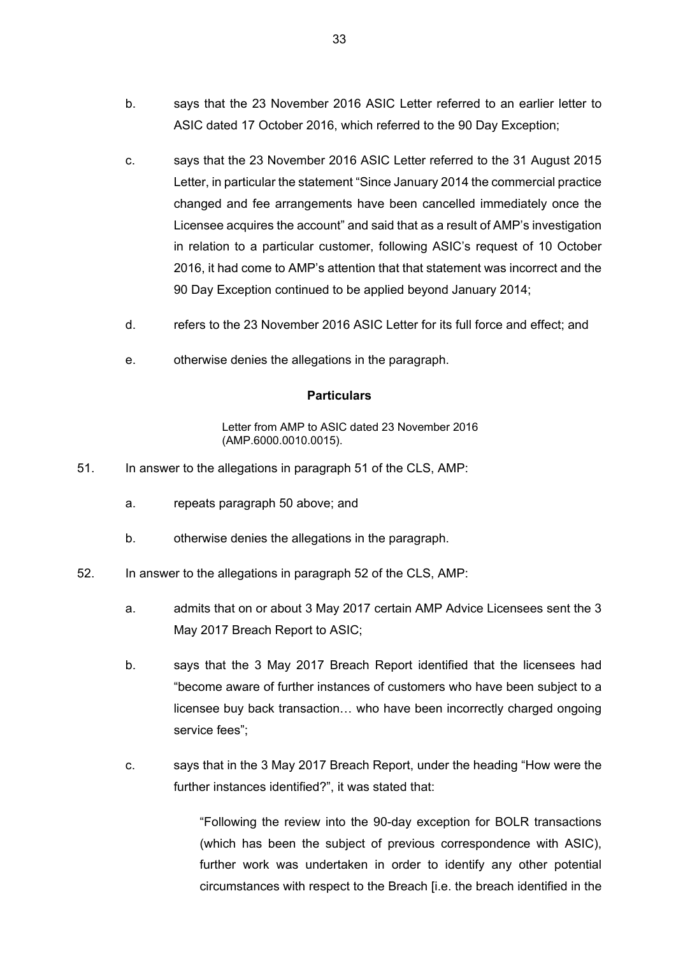- b. says that the 23 November 2016 ASIC Letter referred to an earlier letter to ASIC dated 17 October 2016, which referred to the 90 Day Exception;
- c. says that the 23 November 2016 ASIC Letter referred to the 31 August 2015 Letter, in particular the statement "Since January 2014 the commercial practice changed and fee arrangements have been cancelled immediately once the Licensee acquires the account" and said that as a result of AMP's investigation in relation to a particular customer, following ASIC's request of 10 October 2016, it had come to AMP's attention that that statement was incorrect and the 90 Day Exception continued to be applied beyond January 2014;
- d. refers to the 23 November 2016 ASIC Letter for its full force and effect; and
- e. otherwise denies the allegations in the paragraph.

Letter from AMP to ASIC dated 23 November 2016 (AMP.6000.0010.0015).

- 51. In answer to the allegations in paragraph 51 of the CLS, AMP:
	- a. repeats paragraph 50 above; and
	- b. otherwise denies the allegations in the paragraph.
- 52. In answer to the allegations in paragraph 52 of the CLS, AMP:
	- a. admits that on or about 3 May 2017 certain AMP Advice Licensees sent the 3 May 2017 Breach Report to ASIC;
	- b. says that the 3 May 2017 Breach Report identified that the licensees had "become aware of further instances of customers who have been subject to a licensee buy back transaction… who have been incorrectly charged ongoing service fees";
	- c. says that in the 3 May 2017 Breach Report, under the heading "How were the further instances identified?", it was stated that:

"Following the review into the 90-day exception for BOLR transactions (which has been the subject of previous correspondence with ASIC), further work was undertaken in order to identify any other potential circumstances with respect to the Breach [i.e. the breach identified in the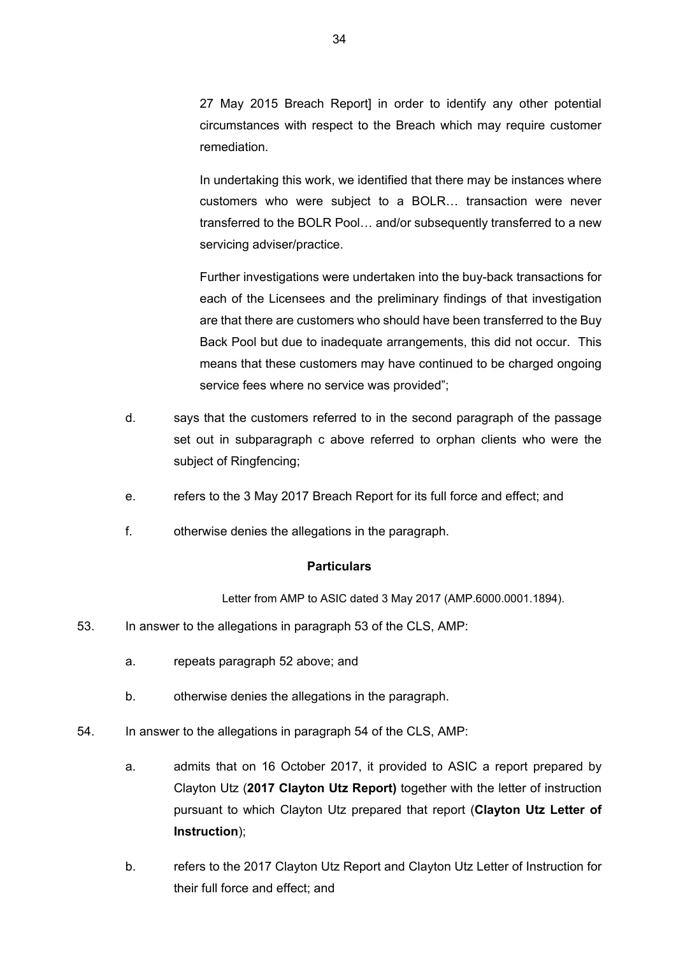27 May 2015 Breach Report] in order to identify any other potential circumstances with respect to the Breach which may require customer remediation.

In undertaking this work, we identified that there may be instances where customers who were subject to a BOLR… transaction were never transferred to the BOLR Pool… and/or subsequently transferred to a new servicing adviser/practice.

Further investigations were undertaken into the buy-back transactions for each of the Licensees and the preliminary findings of that investigation are that there are customers who should have been transferred to the Buy Back Pool but due to inadequate arrangements, this did not occur. This means that these customers may have continued to be charged ongoing service fees where no service was provided";

- d. says that the customers referred to in the second paragraph of the passage set out in subparagraph c above referred to orphan clients who were the subject of Ringfencing;
- e. refers to the 3 May 2017 Breach Report for its full force and effect; and
- f. otherwise denies the allegations in the paragraph.

### **Particulars**

Letter from AMP to ASIC dated 3 May 2017 (AMP.6000.0001.1894).

- 53. In answer to the allegations in paragraph 53 of the CLS, AMP:
	- a. repeats paragraph 52 above; and
	- b. otherwise denies the allegations in the paragraph.
- 54. In answer to the allegations in paragraph 54 of the CLS, AMP:
	- a. admits that on 16 October 2017, it provided to ASIC a report prepared by Clayton Utz (**2017 Clayton Utz Report)** together with the letter of instruction pursuant to which Clayton Utz prepared that report (**Clayton Utz Letter of Instruction**);
	- b. refers to the 2017 Clayton Utz Report and Clayton Utz Letter of Instruction for their full force and effect; and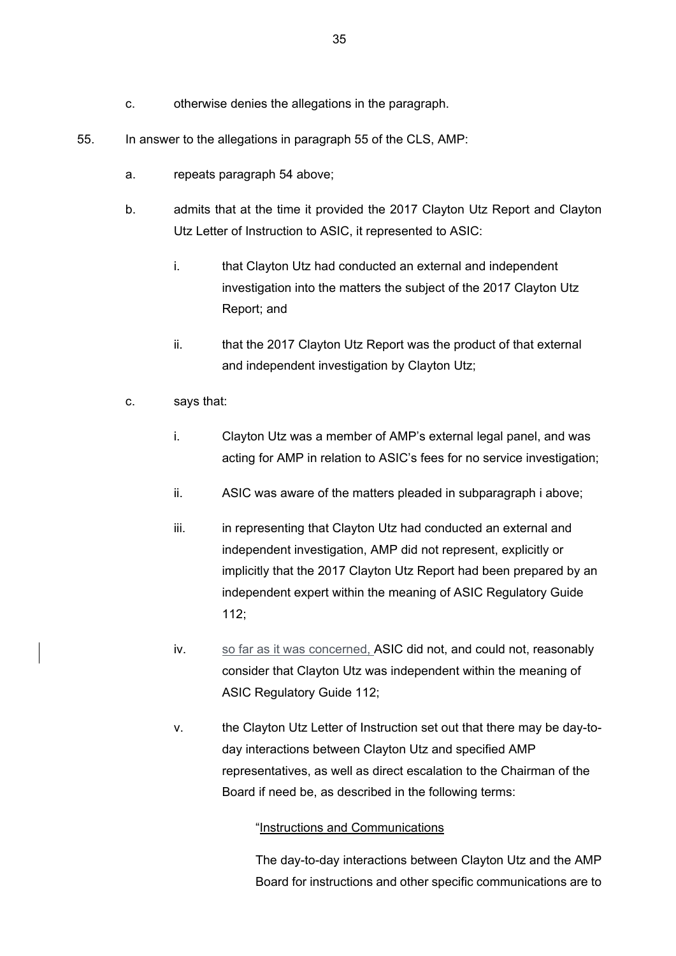- c. otherwise denies the allegations in the paragraph.
- 55. In answer to the allegations in paragraph 55 of the CLS, AMP:
	- a. repeats paragraph 54 above;
	- b. admits that at the time it provided the 2017 Clayton Utz Report and Clayton Utz Letter of Instruction to ASIC, it represented to ASIC:
		- i. that Clayton Utz had conducted an external and independent investigation into the matters the subject of the 2017 Clayton Utz Report; and
		- ii. that the 2017 Clayton Utz Report was the product of that external and independent investigation by Clayton Utz;
	- c. says that:
		- i. Clayton Utz was a member of AMP's external legal panel, and was acting for AMP in relation to ASIC's fees for no service investigation;
		- ii. ASIC was aware of the matters pleaded in subparagraph i above;
		- iii. in representing that Clayton Utz had conducted an external and independent investigation, AMP did not represent, explicitly or implicitly that the 2017 Clayton Utz Report had been prepared by an independent expert within the meaning of ASIC Regulatory Guide 112;
		- iv. so far as it was concerned, ASIC did not, and could not, reasonably consider that Clayton Utz was independent within the meaning of ASIC Regulatory Guide 112;
		- v. the Clayton Utz Letter of Instruction set out that there may be day-today interactions between Clayton Utz and specified AMP representatives, as well as direct escalation to the Chairman of the Board if need be, as described in the following terms:

### "Instructions and Communications

The day-to-day interactions between Clayton Utz and the AMP Board for instructions and other specific communications are to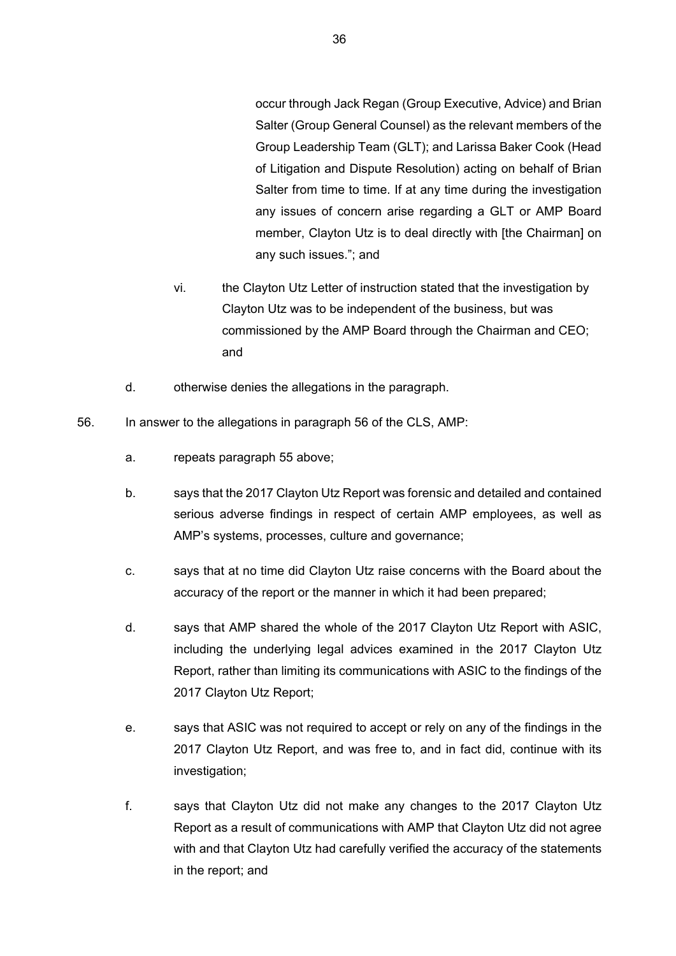occur through Jack Regan (Group Executive, Advice) and Brian Salter (Group General Counsel) as the relevant members of the Group Leadership Team (GLT); and Larissa Baker Cook (Head of Litigation and Dispute Resolution) acting on behalf of Brian Salter from time to time. If at any time during the investigation any issues of concern arise regarding a GLT or AMP Board member, Clayton Utz is to deal directly with [the Chairman] on any such issues."; and

- vi. the Clayton Utz Letter of instruction stated that the investigation by Clayton Utz was to be independent of the business, but was commissioned by the AMP Board through the Chairman and CEO; and
- d. otherwise denies the allegations in the paragraph.
- 56. In answer to the allegations in paragraph 56 of the CLS, AMP:
	- a. repeats paragraph 55 above;
	- b. says that the 2017 Clayton Utz Report was forensic and detailed and contained serious adverse findings in respect of certain AMP employees, as well as AMP's systems, processes, culture and governance;
	- c. says that at no time did Clayton Utz raise concerns with the Board about the accuracy of the report or the manner in which it had been prepared;
	- d. says that AMP shared the whole of the 2017 Clayton Utz Report with ASIC, including the underlying legal advices examined in the 2017 Clayton Utz Report, rather than limiting its communications with ASIC to the findings of the 2017 Clayton Utz Report;
	- e. says that ASIC was not required to accept or rely on any of the findings in the 2017 Clayton Utz Report, and was free to, and in fact did, continue with its investigation;
	- f. says that Clayton Utz did not make any changes to the 2017 Clayton Utz Report as a result of communications with AMP that Clayton Utz did not agree with and that Clayton Utz had carefully verified the accuracy of the statements in the report; and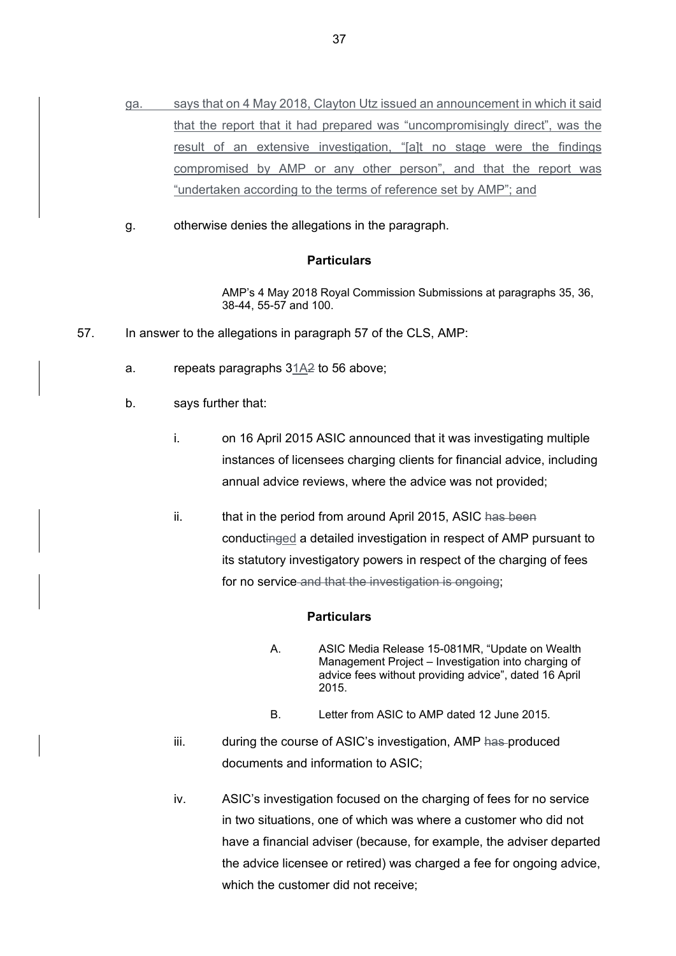- ga. says that on 4 May 2018, Clayton Utz issued an announcement in which it said that the report that it had prepared was "uncompromisingly direct", was the result of an extensive investigation, "[a]t no stage were the findings compromised by AMP or any other person", and that the report was "undertaken according to the terms of reference set by AMP"; and
- g. otherwise denies the allegations in the paragraph.

AMP's 4 May 2018 Royal Commission Submissions at paragraphs 35, 36, 38-44, 55-57 and 100.

- 57. In answer to the allegations in paragraph 57 of the CLS, AMP:
	- a. repeats paragraphs 31A2 to 56 above;
	- b. says further that:
		- i. on 16 April 2015 ASIC announced that it was investigating multiple instances of licensees charging clients for financial advice, including annual advice reviews, where the advice was not provided;
		- ii. that in the period from around April 2015, ASIC has been conductinged a detailed investigation in respect of AMP pursuant to its statutory investigatory powers in respect of the charging of fees for no service and that the investigation is ongoing;

### **Particulars**

- A. ASIC Media Release 15-081MR, "Update on Wealth Management Project – Investigation into charging of advice fees without providing advice", dated 16 April 2015.
- B. Letter from ASIC to AMP dated 12 June 2015.
- iii. during the course of ASIC's investigation, AMP has produced documents and information to ASIC;
- iv. ASIC's investigation focused on the charging of fees for no service in two situations, one of which was where a customer who did not have a financial adviser (because, for example, the adviser departed the advice licensee or retired) was charged a fee for ongoing advice, which the customer did not receive;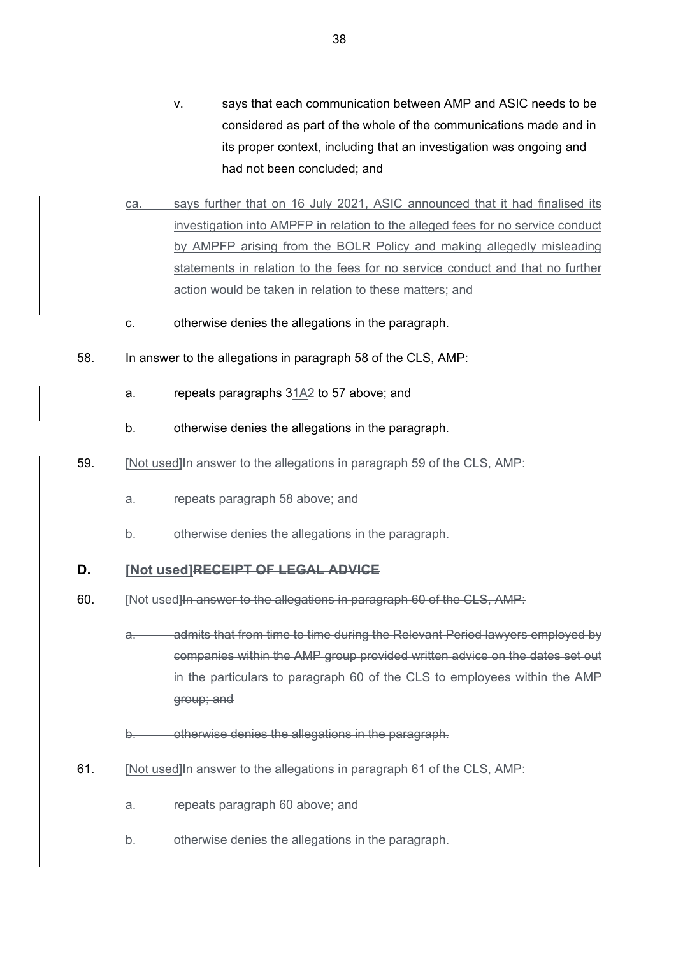- v. says that each communication between AMP and ASIC needs to be considered as part of the whole of the communications made and in its proper context, including that an investigation was ongoing and had not been concluded; and
- ca. says further that on 16 July 2021, ASIC announced that it had finalised its investigation into AMPFP in relation to the alleged fees for no service conduct by AMPFP arising from the BOLR Policy and making allegedly misleading statements in relation to the fees for no service conduct and that no further action would be taken in relation to these matters; and
- c. otherwise denies the allegations in the paragraph.
- 58. In answer to the allegations in paragraph 58 of the CLS, AMP:
	- a. repeats paragraphs 31A2 to 57 above; and
	- b. otherwise denies the allegations in the paragraph.
- 59. [Not used]In answer to the allegations in paragraph 59 of the CLS, AMP:

a. repeats paragraph 58 above; and

b. otherwise denies the allegations in the paragraph.

### **D. [Not used]RECEIPT OF LEGAL ADVICE**

- 60. [Not used]In answer to the allegations in paragraph 60 of the CLS, AMP:
	- admits that from time to time during the Relevant Period lawyers employed by companies within the AMP group provided written advice on the dates set out in the particulars to paragraph 60 of the CLS to employees within the AMP group; and

b. otherwise denies the allegations in the paragraph.

61. [Not used]In answer to the allegations in paragraph 61 of the CLS, AMP:

a. repeats paragraph 60 above; and

b. otherwise denies the allegations in the paragraph.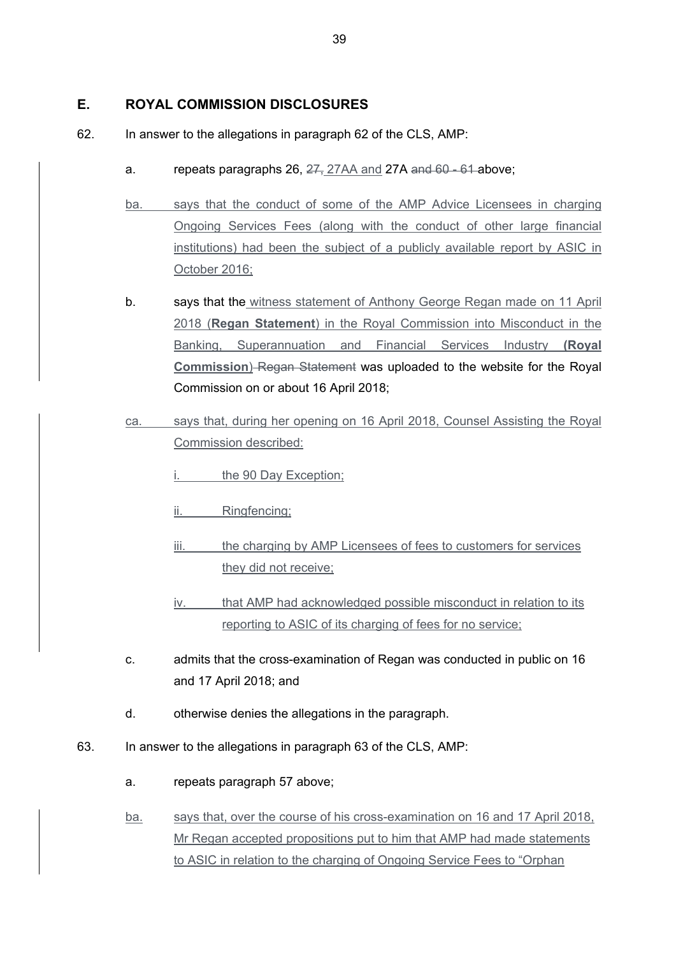# **E. ROYAL COMMISSION DISCLOSURES**

- 62. In answer to the allegations in paragraph 62 of the CLS, AMP:
	- a. repeats paragraphs 26, 27, 27AA and 27A and 60 61 above;
	- ba. says that the conduct of some of the AMP Advice Licensees in charging Ongoing Services Fees (along with the conduct of other large financial institutions) had been the subject of a publicly available report by ASIC in October 2016;
	- b. says that the witness statement of Anthony George Regan made on 11 April 2018 (**Regan Statement**) in the Royal Commission into Misconduct in the Banking, Superannuation and Financial Services Industry **(Royal Commission**) Regan Statement was uploaded to the website for the Royal Commission on or about 16 April 2018;
	- ca. says that, during her opening on 16 April 2018, Counsel Assisting the Royal Commission described:
		- the 90 Day Exception;
		- ii. Ringfencing;
		- iii. the charging by AMP Licensees of fees to customers for services they did not receive;
		- iv. that AMP had acknowledged possible misconduct in relation to its reporting to ASIC of its charging of fees for no service;
	- c. admits that the cross-examination of Regan was conducted in public on 16 and 17 April 2018; and
	- d. otherwise denies the allegations in the paragraph.
- 63. In answer to the allegations in paragraph 63 of the CLS, AMP:
	- a. repeats paragraph 57 above;
	- ba. says that, over the course of his cross-examination on 16 and 17 April 2018, Mr Regan accepted propositions put to him that AMP had made statements to ASIC in relation to the charging of Ongoing Service Fees to "Orphan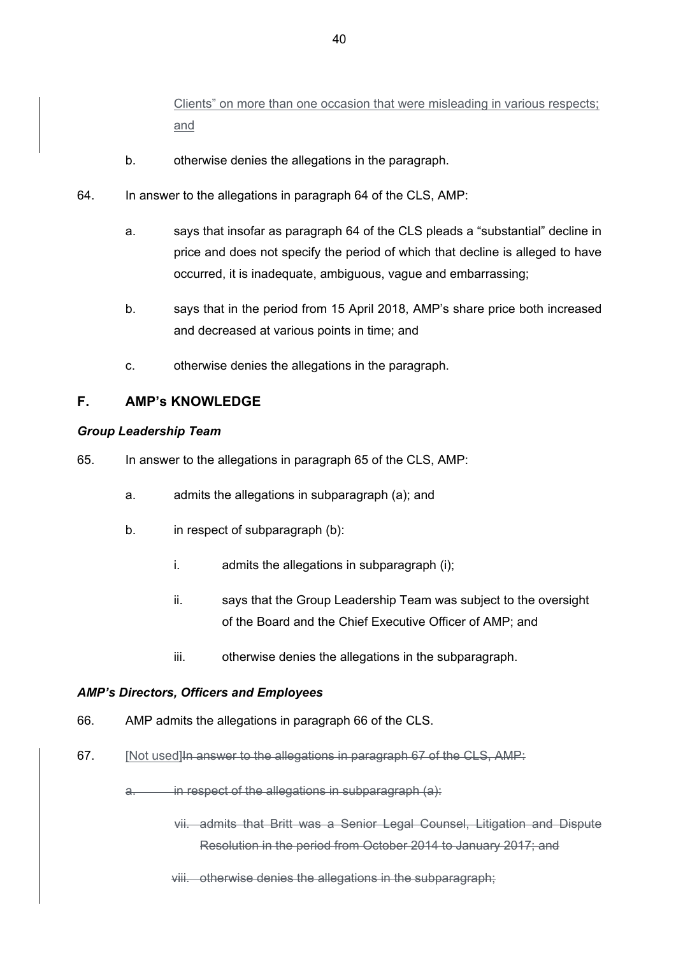Clients" on more than one occasion that were misleading in various respects; and

- b. otherwise denies the allegations in the paragraph.
- 64. In answer to the allegations in paragraph 64 of the CLS, AMP:
	- a. says that insofar as paragraph 64 of the CLS pleads a "substantial" decline in price and does not specify the period of which that decline is alleged to have occurred, it is inadequate, ambiguous, vague and embarrassing;
	- b. says that in the period from 15 April 2018, AMP's share price both increased and decreased at various points in time; and
	- c. otherwise denies the allegations in the paragraph.

# **F. AMP's KNOWLEDGE**

### *Group Leadership Team*

- 65. In answer to the allegations in paragraph 65 of the CLS, AMP:
	- a. admits the allegations in subparagraph (a); and
	- b. in respect of subparagraph (b):
		- i. admits the allegations in subparagraph (i);
		- ii. says that the Group Leadership Team was subject to the oversight of the Board and the Chief Executive Officer of AMP; and
		- iii. otherwise denies the allegations in the subparagraph.

### *AMP's Directors, Officers and Employees*

- 66. AMP admits the allegations in paragraph 66 of the CLS.
- 67. [Not used] In answer to the allegations in paragraph 67 of the CLS, AMP:
	- a. in respect of the allegations in subparagraph (a):
		- vii. admits that Britt was a Senior Legal Counsel, Litigation and Dispute Resolution in the period from October 2014 to January 2017; and
		- viii. otherwise denies the allegations in the subparagraph;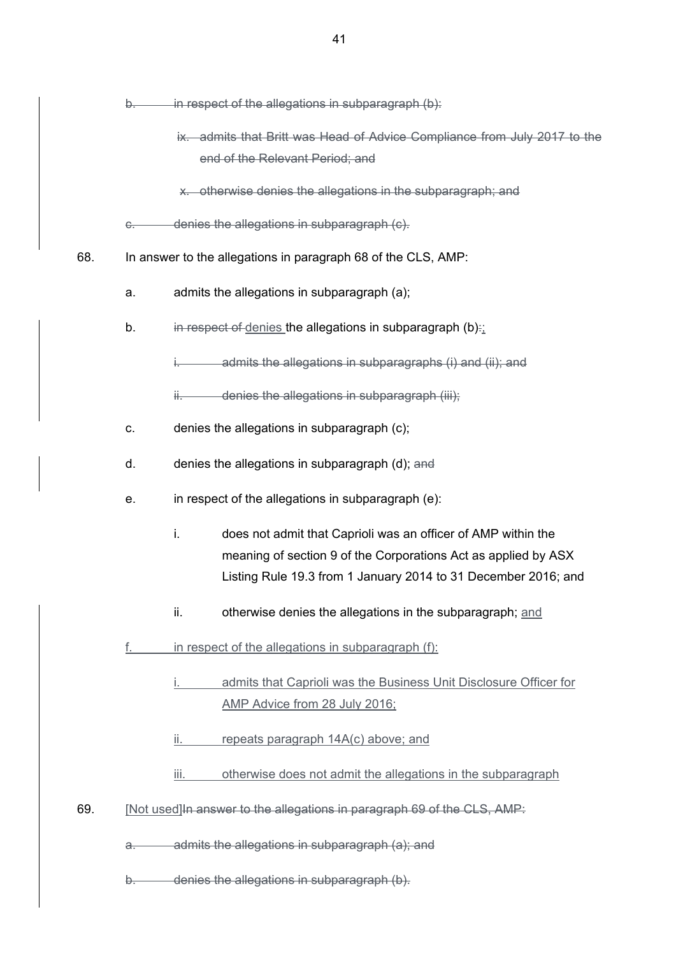|     | b.            | in respect of the allegations in subparagraph (b):                        |
|-----|---------------|---------------------------------------------------------------------------|
|     |               | ix. admits that Britt was Head of Advice Compliance from July 2017 to the |
|     |               | end of the Relevant Period; and                                           |
|     |               | x. otherwise denies the allegations in the subparagraph; and              |
|     | <del>C.</del> | denies the allegations in subparagraph (c).                               |
| 68. |               | In answer to the allegations in paragraph 68 of the CLS, AMP:             |
|     | a.            | admits the allegations in subparagraph (a);                               |
|     | b.            | in respect of denies the allegations in subparagraph (b).                 |
|     |               | admits the allegations in subparagraphs (i) and (ii); and                 |
|     |               | ii. denies the allegations in subparagraph (iii);                         |
|     | C.            | denies the allegations in subparagraph (c);                               |
|     | d.            | denies the allegations in subparagraph (d); and                           |
|     | е.            | in respect of the allegations in subparagraph (e):                        |
|     |               | i.<br>does not admit that Caprioli was an officer of AMP within the       |
|     |               | meaning of section 9 of the Corporations Act as applied by ASX            |
|     |               | Listing Rule 19.3 from 1 January 2014 to 31 December 2016; and            |
|     |               | ii.<br>otherwise denies the allegations in the subparagraph; and          |
|     | <u>f. </u>    | in respect of the allegations in subparagraph (f):                        |
|     |               | admits that Caprioli was the Business Unit Disclosure Officer for         |
|     |               | AMP Advice from 28 July 2016;                                             |
|     |               | repeats paragraph 14A(c) above; and<br>ii.                                |
|     |               | otherwise does not admit the allegations in the subparagraph<br>iii.      |
| 69. |               | [Not used] In answer to the allegations in paragraph 69 of the CLS, AMP:  |
|     | a.            | admits the allegations in subparagraph (a); and                           |
|     | b.            | denies the allegations in subparagraph (b).                               |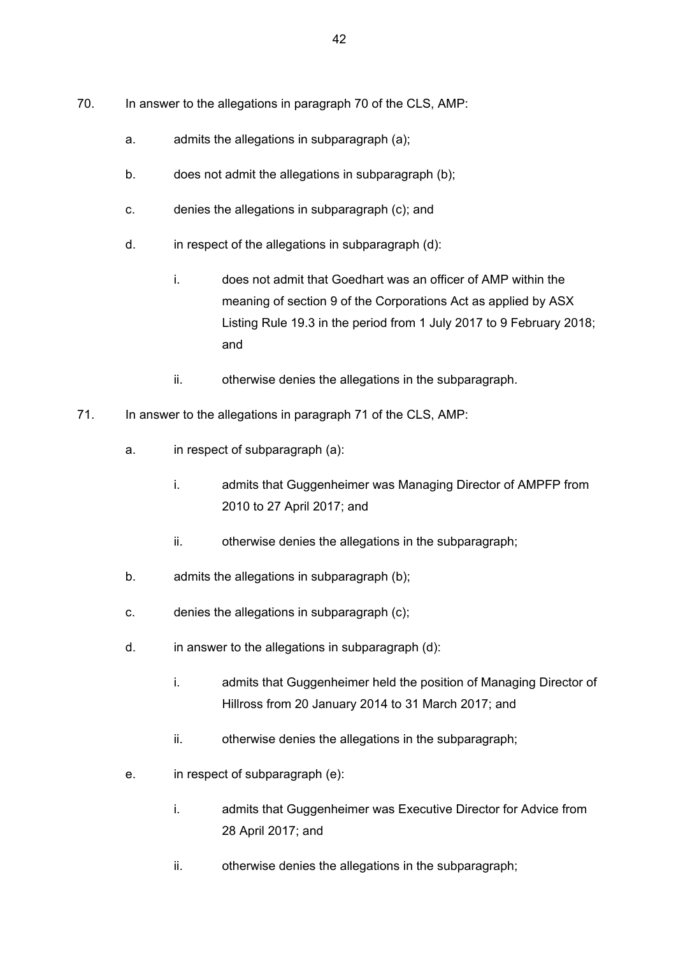- 70. In answer to the allegations in paragraph 70 of the CLS, AMP:
	- a. admits the allegations in subparagraph (a);
	- b. does not admit the allegations in subparagraph (b);
	- c. denies the allegations in subparagraph (c); and
	- d. in respect of the allegations in subparagraph (d):
		- i. does not admit that Goedhart was an officer of AMP within the meaning of section 9 of the Corporations Act as applied by ASX Listing Rule 19.3 in the period from 1 July 2017 to 9 February 2018; and
		- ii. otherwise denies the allegations in the subparagraph.
- 71. In answer to the allegations in paragraph 71 of the CLS, AMP:
	- a. in respect of subparagraph (a):
		- i. admits that Guggenheimer was Managing Director of AMPFP from 2010 to 27 April 2017; and
		- ii. otherwise denies the allegations in the subparagraph:
	- b. admits the allegations in subparagraph (b);
	- c. denies the allegations in subparagraph (c);
	- d. in answer to the allegations in subparagraph (d):
		- i. admits that Guggenheimer held the position of Managing Director of Hillross from 20 January 2014 to 31 March 2017; and
		- ii. otherwise denies the allegations in the subparagraph;
	- e. in respect of subparagraph (e):
		- i. admits that Guggenheimer was Executive Director for Advice from 28 April 2017; and
		- ii. otherwise denies the allegations in the subparagraph;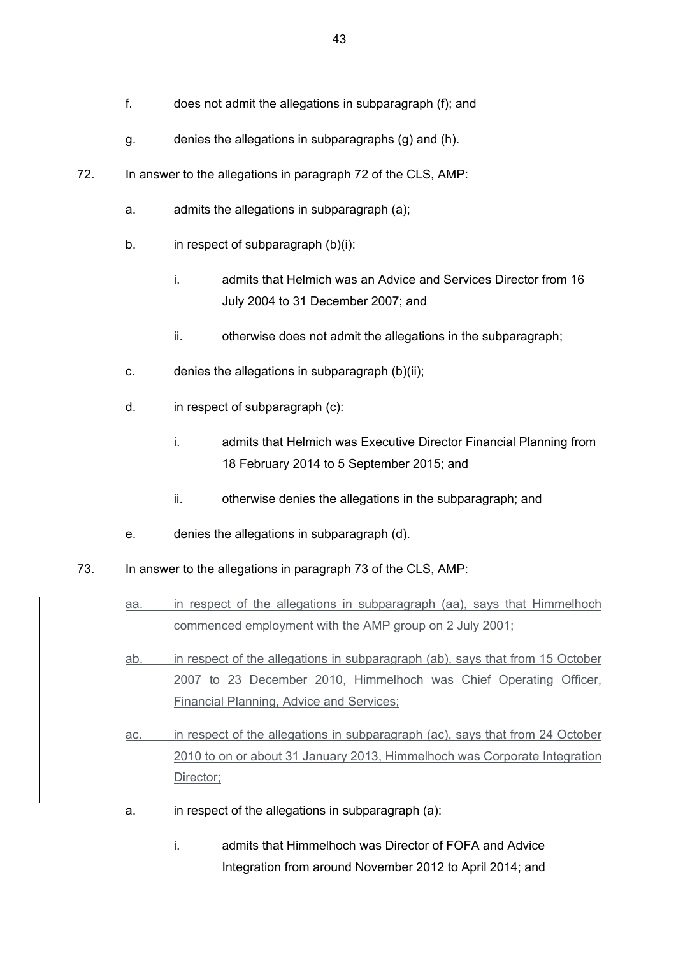- f. does not admit the allegations in subparagraph (f); and
- g. denies the allegations in subparagraphs (g) and (h).
- 72. In answer to the allegations in paragraph 72 of the CLS, AMP:
	- a. admits the allegations in subparagraph (a);
	- b. in respect of subparagraph (b)(i):
		- i. admits that Helmich was an Advice and Services Director from 16 July 2004 to 31 December 2007; and
		- ii. otherwise does not admit the allegations in the subparagraph;
	- c. denies the allegations in subparagraph (b)(ii);
	- d. in respect of subparagraph (c):
		- i. admits that Helmich was Executive Director Financial Planning from 18 February 2014 to 5 September 2015; and
		- ii. otherwise denies the allegations in the subparagraph; and
	- e. denies the allegations in subparagraph (d).
- 73. In answer to the allegations in paragraph 73 of the CLS, AMP:
	- aa. in respect of the allegations in subparagraph (aa), says that Himmelhoch commenced employment with the AMP group on 2 July 2001;
	- ab. in respect of the allegations in subparagraph (ab), says that from 15 October 2007 to 23 December 2010, Himmelhoch was Chief Operating Officer, Financial Planning, Advice and Services;
	- ac. in respect of the allegations in subparagraph (ac), says that from 24 October 2010 to on or about 31 January 2013, Himmelhoch was Corporate Integration Director;
	- a. in respect of the allegations in subparagraph (a):
		- i. admits that Himmelhoch was Director of FOFA and Advice Integration from around November 2012 to April 2014; and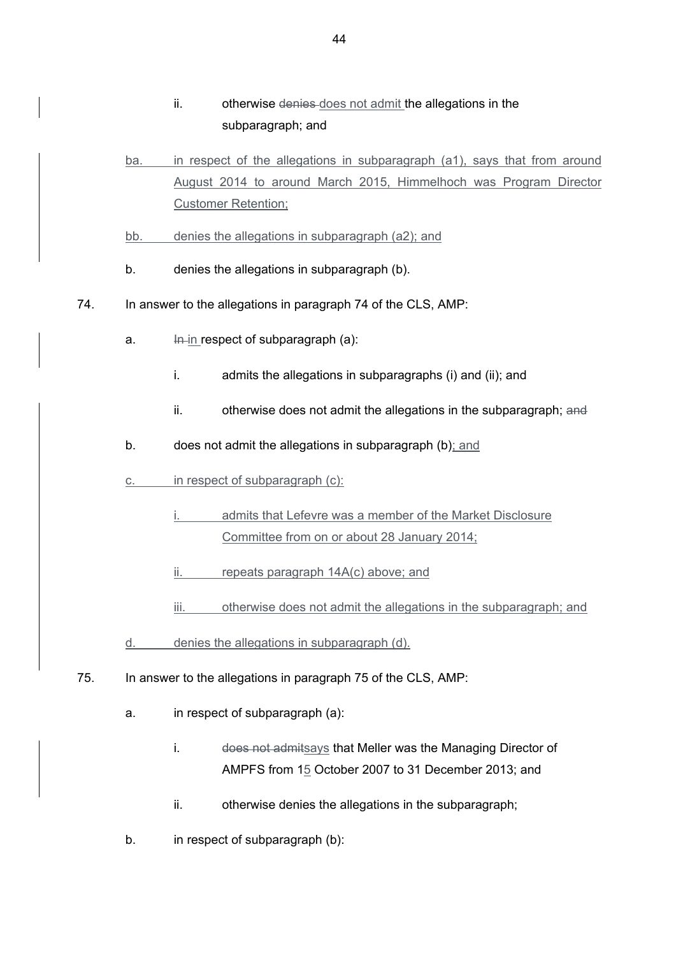- ii. otherwise denies does not admit the allegations in the subparagraph; and
- ba. in respect of the allegations in subparagraph (a1), says that from around August 2014 to around March 2015, Himmelhoch was Program Director Customer Retention;
- bb. denies the allegations in subparagraph (a2); and
- b. denies the allegations in subparagraph (b).
- 74. In answer to the allegations in paragraph 74 of the CLS, AMP:
	- a.  $\frac{1}{2}$  In respect of subparagraph (a):
		- i. admits the allegations in subparagraphs (i) and (ii); and
		- ii. otherwise does not admit the allegations in the subparagraph; and
	- b. does not admit the allegations in subparagraph (b); and
	- c. in respect of subparagraph (c):
		- admits that Lefevre was a member of the Market Disclosure Committee from on or about 28 January 2014;
		- ii. repeats paragraph 14A(c) above; and
		- iii. otherwise does not admit the allegations in the subparagraph; and
	- d. denies the allegations in subparagraph (d).
- 75. In answer to the allegations in paragraph 75 of the CLS, AMP:
	- a. in respect of subparagraph (a):
		- i. does not admitsays that Meller was the Managing Director of AMPFS from 15 October 2007 to 31 December 2013; and
		- ii. otherwise denies the allegations in the subparagraph;
	- b. in respect of subparagraph (b):

44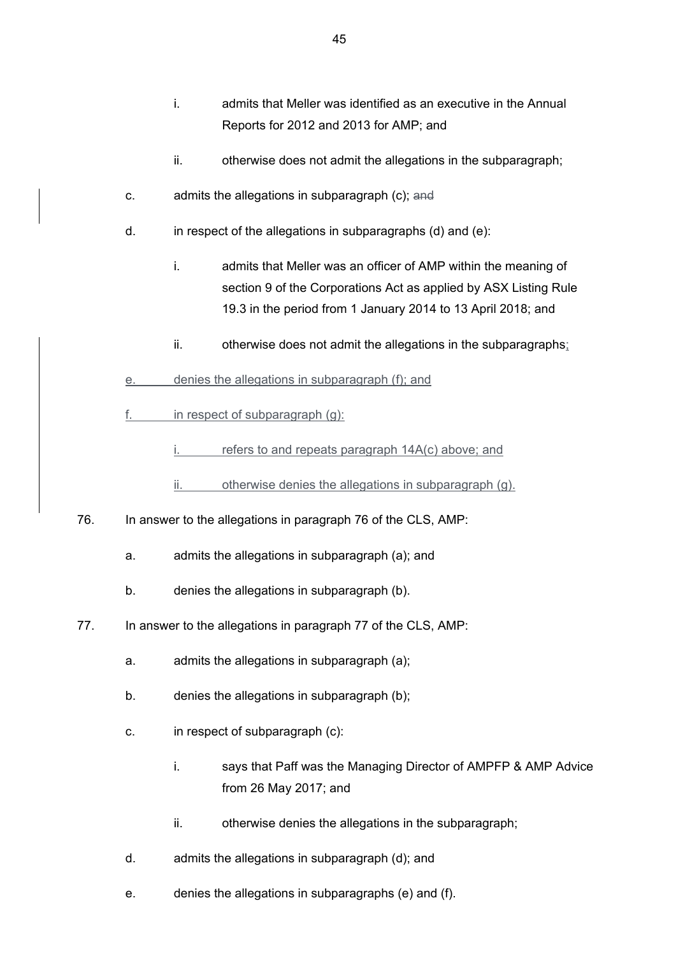- i. admits that Meller was identified as an executive in the Annual Reports for 2012 and 2013 for AMP; and
- ii. otherwise does not admit the allegations in the subparagraph;
- c. admits the allegations in subparagraph (c); and
- d. in respect of the allegations in subparagraphs (d) and (e):
	- i. admits that Meller was an officer of AMP within the meaning of section 9 of the Corporations Act as applied by ASX Listing Rule 19.3 in the period from 1 January 2014 to 13 April 2018; and
	- ii. otherwise does not admit the allegations in the subparagraphs;
- e. denies the allegations in subparagraph (f); and
- f.  $\blacksquare$  in respect of subparagraph (g):
	- $i.$  refers to and repeats paragraph  $14A(c)$  above; and
	- ii. otherwise denies the allegations in subparagraph (g).
- 76. In answer to the allegations in paragraph 76 of the CLS, AMP:
	- a. admits the allegations in subparagraph (a); and
	- b. denies the allegations in subparagraph (b).
- 77. In answer to the allegations in paragraph 77 of the CLS, AMP:
	- a. admits the allegations in subparagraph (a);
	- b. denies the allegations in subparagraph (b);
	- c. in respect of subparagraph (c):
		- i. says that Paff was the Managing Director of AMPFP & AMP Advice from 26 May 2017; and
		- ii. otherwise denies the allegations in the subparagraph;
	- d. admits the allegations in subparagraph (d); and
	- e. denies the allegations in subparagraphs (e) and (f).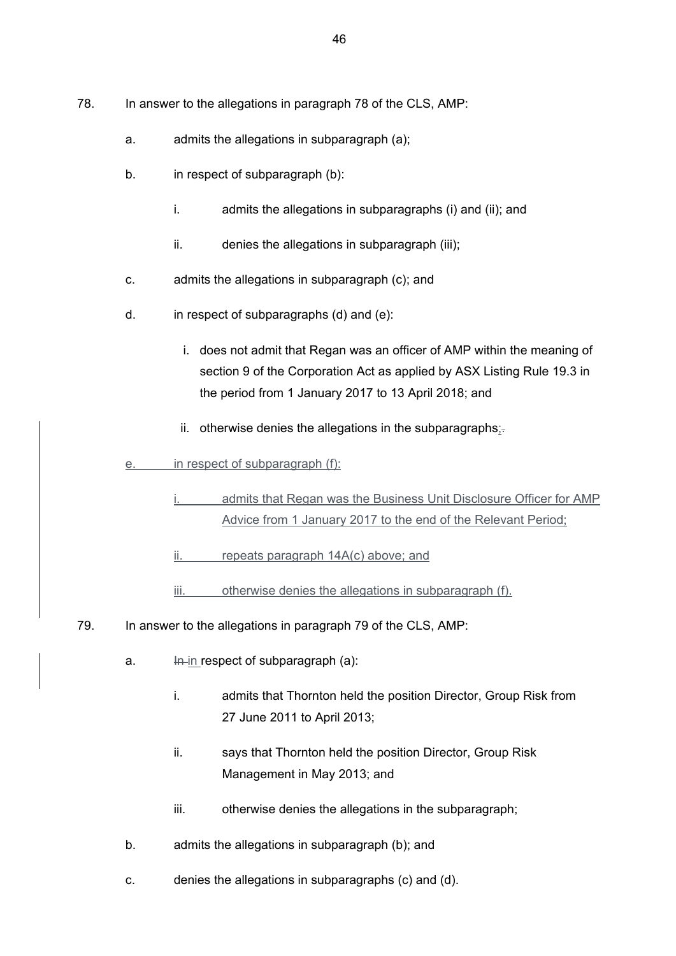- 78. In answer to the allegations in paragraph 78 of the CLS, AMP:
	- a. admits the allegations in subparagraph (a);
	- b. in respect of subparagraph (b):
		- i. admits the allegations in subparagraphs (i) and (ii); and
		- ii. denies the allegations in subparagraph (iii);
	- c. admits the allegations in subparagraph (c); and
	- d. in respect of subparagraphs (d) and (e):
		- i. does not admit that Regan was an officer of AMP within the meaning of section 9 of the Corporation Act as applied by ASX Listing Rule 19.3 in the period from 1 January 2017 to 13 April 2018; and
		- ii. otherwise denies the allegations in the subparagraphs; $=$
	- e. in respect of subparagraph (f):
		- admits that Regan was the Business Unit Disclosure Officer for AMP Advice from 1 January 2017 to the end of the Relevant Period;
		- ii. repeats paragraph 14A(c) above; and
		- iii. otherwise denies the allegations in subparagraph (f).
- 79. In answer to the allegations in paragraph 79 of the CLS, AMP:
	- a.  $\frac{1}{2}$  In respect of subparagraph (a):
		- i. admits that Thornton held the position Director, Group Risk from 27 June 2011 to April 2013;
		- ii. says that Thornton held the position Director, Group Risk Management in May 2013; and
		- iii. otherwise denies the allegations in the subparagraph;
	- b. admits the allegations in subparagraph (b); and
	- c. denies the allegations in subparagraphs (c) and (d).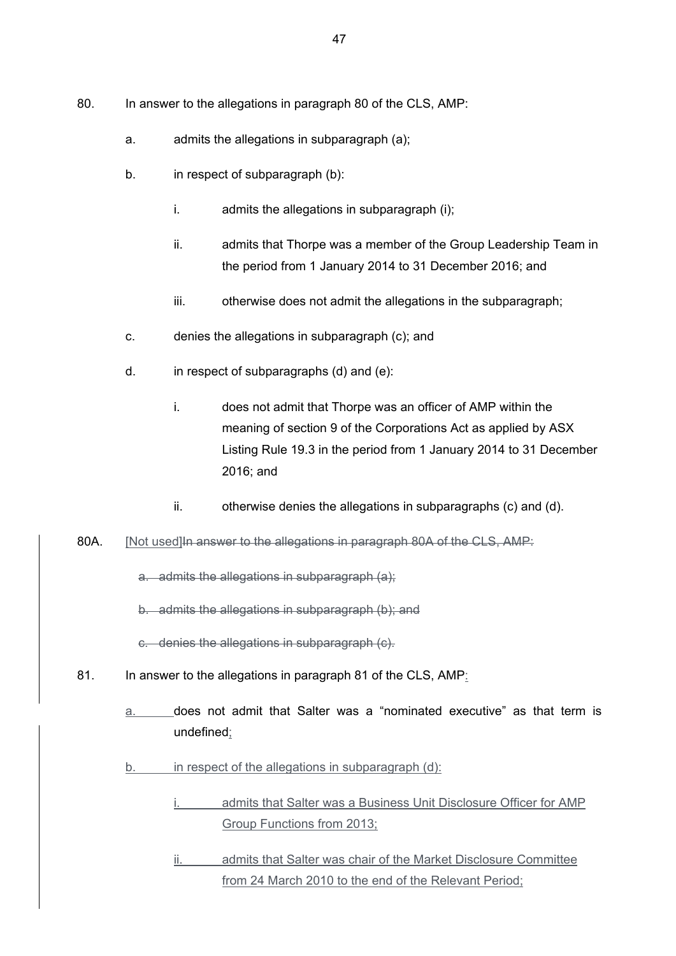- 80. In answer to the allegations in paragraph 80 of the CLS, AMP:
	- a. admits the allegations in subparagraph (a);
	- b. in respect of subparagraph (b):
		- i. admits the allegations in subparagraph (i);
		- ii. admits that Thorpe was a member of the Group Leadership Team in the period from 1 January 2014 to 31 December 2016; and
		- iii. otherwise does not admit the allegations in the subparagraph;
	- c. denies the allegations in subparagraph (c); and
	- d. in respect of subparagraphs (d) and (e):
		- i. does not admit that Thorpe was an officer of AMP within the meaning of section 9 of the Corporations Act as applied by ASX Listing Rule 19.3 in the period from 1 January 2014 to 31 December 2016; and
		- ii. otherwise denies the allegations in subparagraphs (c) and (d).
- 80A. [Not used]In answer to the allegations in paragraph 80A of the CLS. AMP:

a. admits the allegations in subparagraph (a);

b. admits the allegations in subparagraph (b); and

c. denies the allegations in subparagraph (c).

- 81. In answer to the allegations in paragraph 81 of the CLS, AMP:
	- a. does not admit that Salter was a "nominated executive" as that term is undefined;
	- b. in respect of the allegations in subparagraph (d):
		- i. admits that Salter was a Business Unit Disclosure Officer for AMP Group Functions from 2013;
		- ii. admits that Salter was chair of the Market Disclosure Committee from 24 March 2010 to the end of the Relevant Period;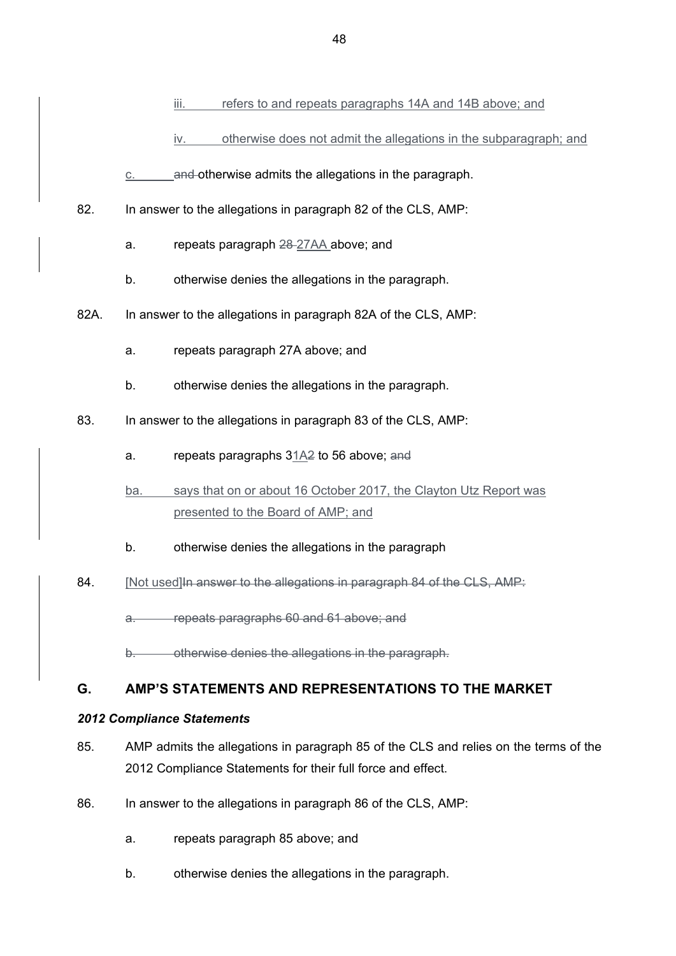- iii. refers to and repeats paragraphs 14A and 14B above; and
- iv. otherwise does not admit the allegations in the subparagraph; and
- c. and otherwise admits the allegations in the paragraph.
- 82. In answer to the allegations in paragraph 82 of the CLS, AMP:
	- a. repeats paragraph 28 27AA above; and
	- b. otherwise denies the allegations in the paragraph.
- 82A. In answer to the allegations in paragraph 82A of the CLS, AMP:
	- a. repeats paragraph 27A above; and
	- b. otherwise denies the allegations in the paragraph.
- 83. In answer to the allegations in paragraph 83 of the CLS, AMP:
	- a. repeats paragraphs 31A2 to 56 above; and
	- ba. says that on or about 16 October 2017, the Clayton Utz Report was presented to the Board of AMP; and
	- b. otherwise denies the allegations in the paragraph
- 84. [Not used] In answer to the allegations in paragraph 84 of the CLS, AMP:

a. repeats paragraphs 60 and 61 above; and

otherwise denies the allegations in the paragraph.

# **G. AMP'S STATEMENTS AND REPRESENTATIONS TO THE MARKET**

### *2012 Compliance Statements*

- 85. AMP admits the allegations in paragraph 85 of the CLS and relies on the terms of the 2012 Compliance Statements for their full force and effect.
- 86. In answer to the allegations in paragraph 86 of the CLS, AMP:
	- a. repeats paragraph 85 above; and
	- b. otherwise denies the allegations in the paragraph.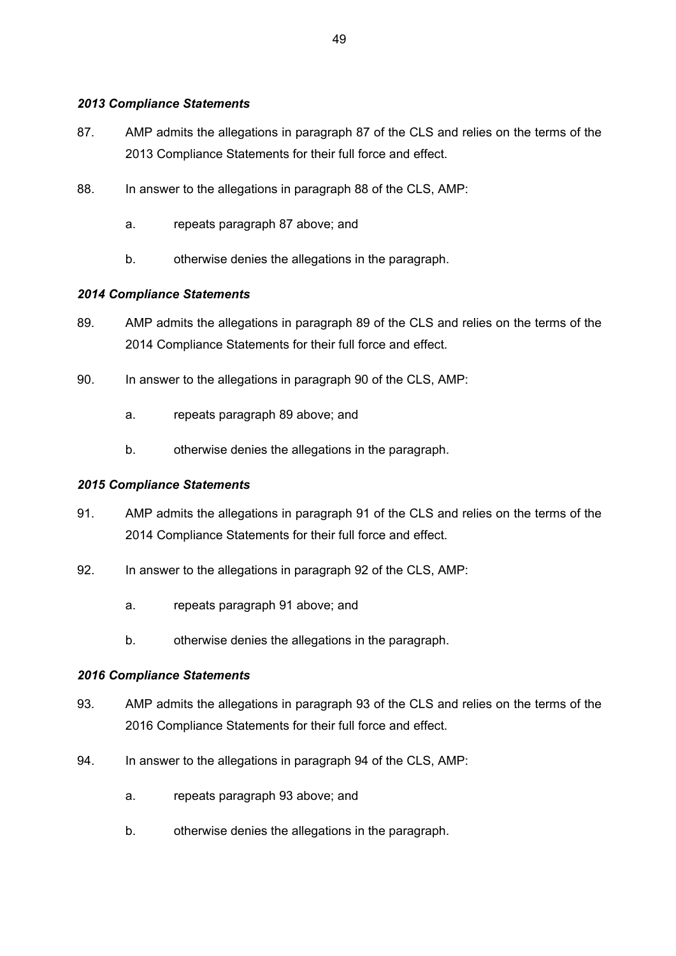### *2013 Compliance Statements*

- 87. AMP admits the allegations in paragraph 87 of the CLS and relies on the terms of the 2013 Compliance Statements for their full force and effect.
- 88. In answer to the allegations in paragraph 88 of the CLS, AMP:
	- a. repeats paragraph 87 above; and
	- b. otherwise denies the allegations in the paragraph.

# *2014 Compliance Statements*

- 89. AMP admits the allegations in paragraph 89 of the CLS and relies on the terms of the 2014 Compliance Statements for their full force and effect.
- 90. In answer to the allegations in paragraph 90 of the CLS, AMP:
	- a. repeats paragraph 89 above; and
	- b. otherwise denies the allegations in the paragraph.

### *2015 Compliance Statements*

- 91. AMP admits the allegations in paragraph 91 of the CLS and relies on the terms of the 2014 Compliance Statements for their full force and effect.
- 92. In answer to the allegations in paragraph 92 of the CLS, AMP:
	- a. repeats paragraph 91 above; and
	- b. otherwise denies the allegations in the paragraph.

### *2016 Compliance Statements*

- 93. AMP admits the allegations in paragraph 93 of the CLS and relies on the terms of the 2016 Compliance Statements for their full force and effect.
- 94. In answer to the allegations in paragraph 94 of the CLS, AMP:
	- a. repeats paragraph 93 above; and
	- b. otherwise denies the allegations in the paragraph.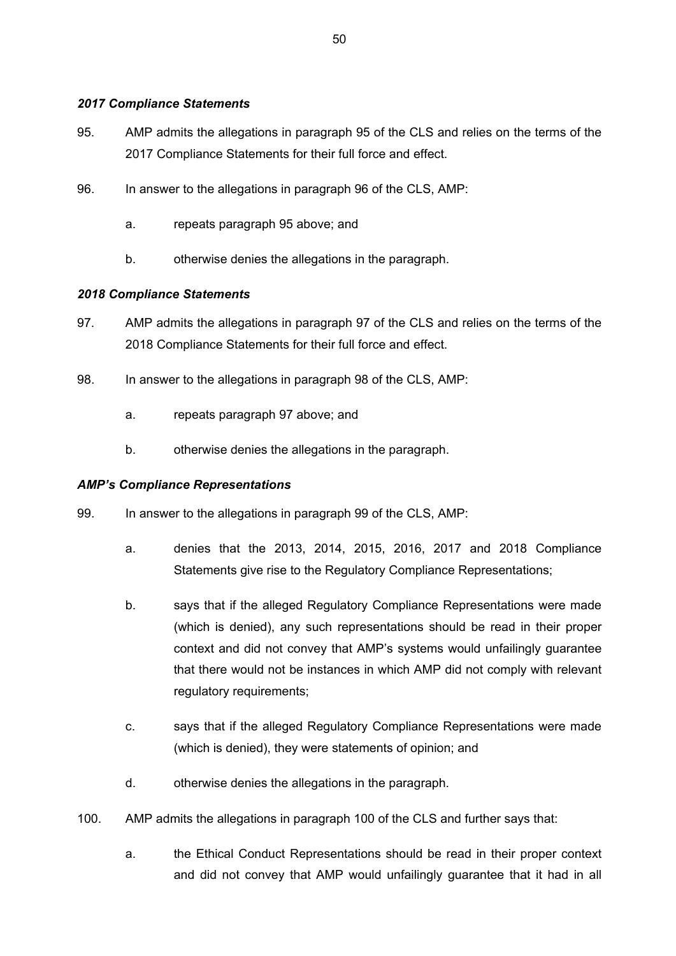### *2017 Compliance Statements*

- 95. AMP admits the allegations in paragraph 95 of the CLS and relies on the terms of the 2017 Compliance Statements for their full force and effect.
- 96. In answer to the allegations in paragraph 96 of the CLS, AMP:
	- a. repeats paragraph 95 above; and
	- b. otherwise denies the allegations in the paragraph.

# *2018 Compliance Statements*

- 97. AMP admits the allegations in paragraph 97 of the CLS and relies on the terms of the 2018 Compliance Statements for their full force and effect.
- 98. In answer to the allegations in paragraph 98 of the CLS, AMP:
	- a. repeats paragraph 97 above; and
	- b. otherwise denies the allegations in the paragraph.

### *AMP's Compliance Representations*

- 99. In answer to the allegations in paragraph 99 of the CLS, AMP:
	- a. denies that the 2013, 2014, 2015, 2016, 2017 and 2018 Compliance Statements give rise to the Regulatory Compliance Representations;
	- b. says that if the alleged Regulatory Compliance Representations were made (which is denied), any such representations should be read in their proper context and did not convey that AMP's systems would unfailingly guarantee that there would not be instances in which AMP did not comply with relevant regulatory requirements;
	- c. says that if the alleged Regulatory Compliance Representations were made (which is denied), they were statements of opinion; and
	- d. otherwise denies the allegations in the paragraph.
- 100. AMP admits the allegations in paragraph 100 of the CLS and further says that:
	- a. the Ethical Conduct Representations should be read in their proper context and did not convey that AMP would unfailingly guarantee that it had in all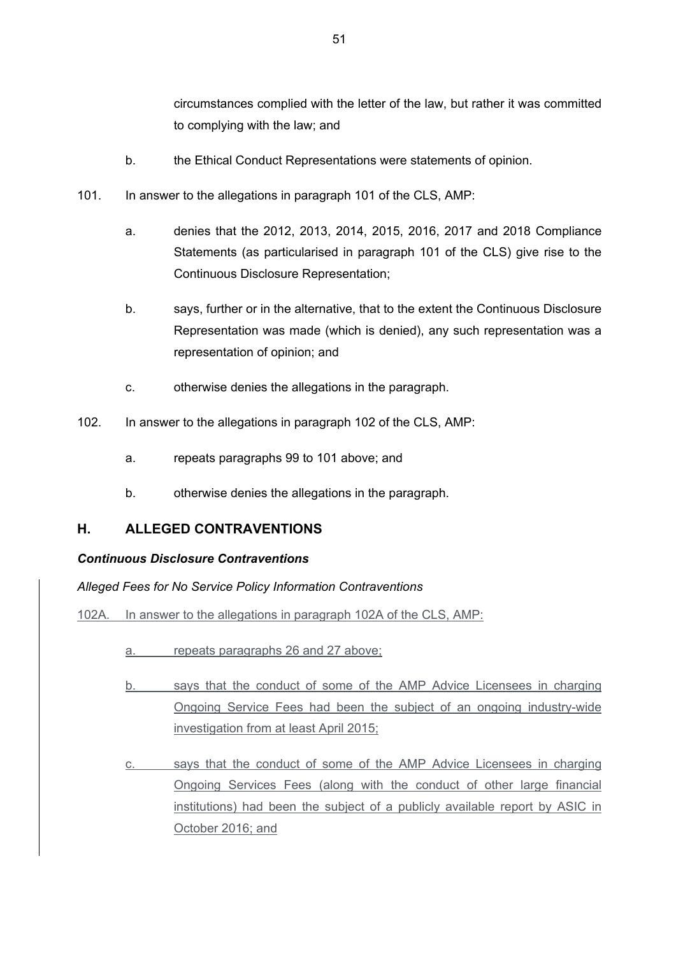circumstances complied with the letter of the law, but rather it was committed to complying with the law; and

- b. the Ethical Conduct Representations were statements of opinion.
- 101. In answer to the allegations in paragraph 101 of the CLS, AMP:
	- a. denies that the 2012, 2013, 2014, 2015, 2016, 2017 and 2018 Compliance Statements (as particularised in paragraph 101 of the CLS) give rise to the Continuous Disclosure Representation;
	- b. says, further or in the alternative, that to the extent the Continuous Disclosure Representation was made (which is denied), any such representation was a representation of opinion; and
	- c. otherwise denies the allegations in the paragraph.
- 102. In answer to the allegations in paragraph 102 of the CLS, AMP:
	- a. repeats paragraphs 99 to 101 above; and
	- b. otherwise denies the allegations in the paragraph.

# **H. ALLEGED CONTRAVENTIONS**

### *Continuous Disclosure Contraventions*

*Alleged Fees for No Service Policy Information Contraventions*

102A. In answer to the allegations in paragraph 102A of the CLS, AMP:

- a. repeats paragraphs 26 and 27 above;
- b. says that the conduct of some of the AMP Advice Licensees in charging Ongoing Service Fees had been the subject of an ongoing industry-wide investigation from at least April 2015;
- c. says that the conduct of some of the AMP Advice Licensees in charging Ongoing Services Fees (along with the conduct of other large financial institutions) had been the subject of a publicly available report by ASIC in October 2016; and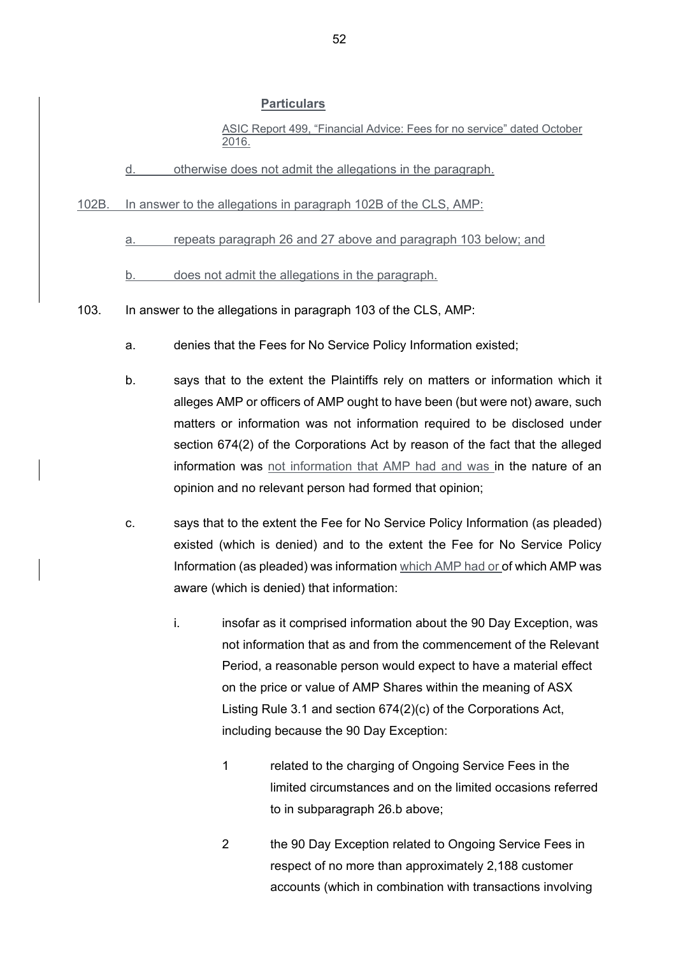ASIC Report 499, "Financial Advice: Fees for no service" dated October 2016.

d. otherwise does not admit the allegations in the paragraph.

102B. In answer to the allegations in paragraph 102B of the CLS, AMP:

a. repeats paragraph 26 and 27 above and paragraph 103 below; and

b. does not admit the allegations in the paragraph.

103. In answer to the allegations in paragraph 103 of the CLS, AMP:

- a. denies that the Fees for No Service Policy Information existed;
- b. says that to the extent the Plaintiffs rely on matters or information which it alleges AMP or officers of AMP ought to have been (but were not) aware, such matters or information was not information required to be disclosed under section 674(2) of the Corporations Act by reason of the fact that the alleged information was not information that AMP had and was in the nature of an opinion and no relevant person had formed that opinion;
- c. says that to the extent the Fee for No Service Policy Information (as pleaded) existed (which is denied) and to the extent the Fee for No Service Policy Information (as pleaded) was information which AMP had or of which AMP was aware (which is denied) that information:
	- i. insofar as it comprised information about the 90 Day Exception, was not information that as and from the commencement of the Relevant Period, a reasonable person would expect to have a material effect on the price or value of AMP Shares within the meaning of ASX Listing Rule 3.1 and section 674(2)(c) of the Corporations Act, including because the 90 Day Exception:
		- 1 related to the charging of Ongoing Service Fees in the limited circumstances and on the limited occasions referred to in subparagraph 26.b above;
		- 2 the 90 Day Exception related to Ongoing Service Fees in respect of no more than approximately 2,188 customer accounts (which in combination with transactions involving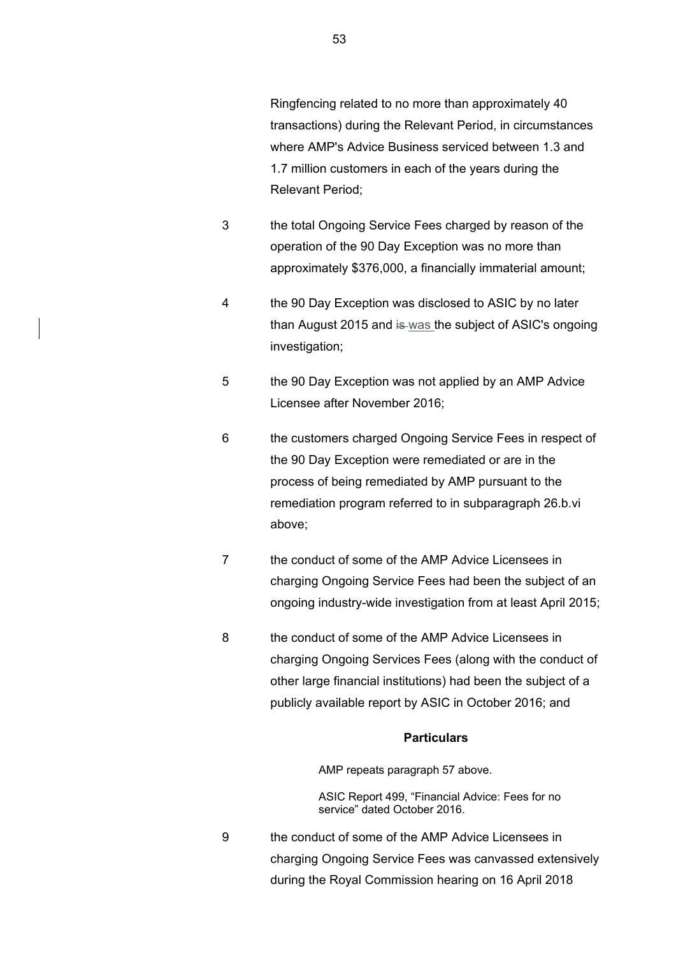- 3 the total Ongoing Service Fees charged by reason of the operation of the 90 Day Exception was no more than approximately \$376,000, a financially immaterial amount;
- 4 the 90 Day Exception was disclosed to ASIC by no later than August 2015 and is was the subject of ASIC's ongoing investigation;
- 5 the 90 Day Exception was not applied by an AMP Advice Licensee after November 2016;
- 6 the customers charged Ongoing Service Fees in respect of the 90 Day Exception were remediated or are in the process of being remediated by AMP pursuant to the remediation program referred to in subparagraph 26.b.vi above;
- 7 the conduct of some of the AMP Advice Licensees in charging Ongoing Service Fees had been the subject of an ongoing industry-wide investigation from at least April 2015;
- 8 the conduct of some of the AMP Advice Licensees in charging Ongoing Services Fees (along with the conduct of other large financial institutions) had been the subject of a publicly available report by ASIC in October 2016; and

AMP repeats paragraph 57 above.

ASIC Report 499, "Financial Advice: Fees for no service" dated October 2016.

9 the conduct of some of the AMP Advice Licensees in charging Ongoing Service Fees was canvassed extensively during the Royal Commission hearing on 16 April 2018

Relevant Period;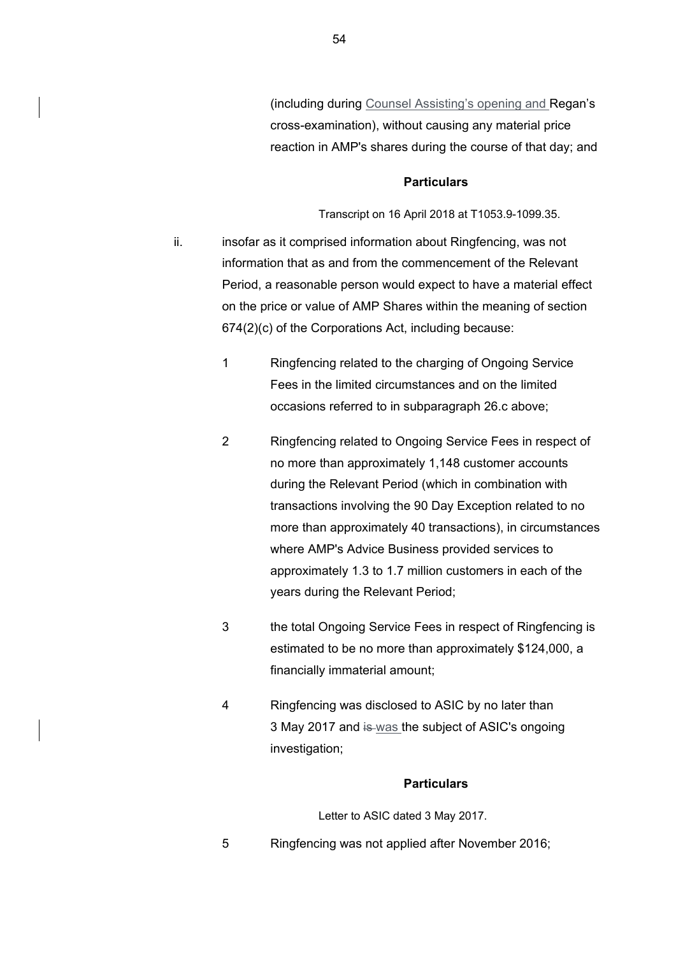(including during Counsel Assisting's opening and Regan's cross-examination), without causing any material price reaction in AMP's shares during the course of that day; and

### **Particulars**

Transcript on 16 April 2018 at T1053.9-1099.35.

- ii. insofar as it comprised information about Ringfencing, was not information that as and from the commencement of the Relevant Period, a reasonable person would expect to have a material effect on the price or value of AMP Shares within the meaning of section 674(2)(c) of the Corporations Act, including because:
	- 1 Ringfencing related to the charging of Ongoing Service Fees in the limited circumstances and on the limited occasions referred to in subparagraph 26.c above;
	- 2 Ringfencing related to Ongoing Service Fees in respect of no more than approximately 1,148 customer accounts during the Relevant Period (which in combination with transactions involving the 90 Day Exception related to no more than approximately 40 transactions), in circumstances where AMP's Advice Business provided services to approximately 1.3 to 1.7 million customers in each of the years during the Relevant Period;
	- 3 the total Ongoing Service Fees in respect of Ringfencing is estimated to be no more than approximately \$124,000, a financially immaterial amount;
	- 4 Ringfencing was disclosed to ASIC by no later than 3 May 2017 and is was the subject of ASIC's ongoing investigation;

#### **Particulars**

Letter to ASIC dated 3 May 2017.

5 Ringfencing was not applied after November 2016;

54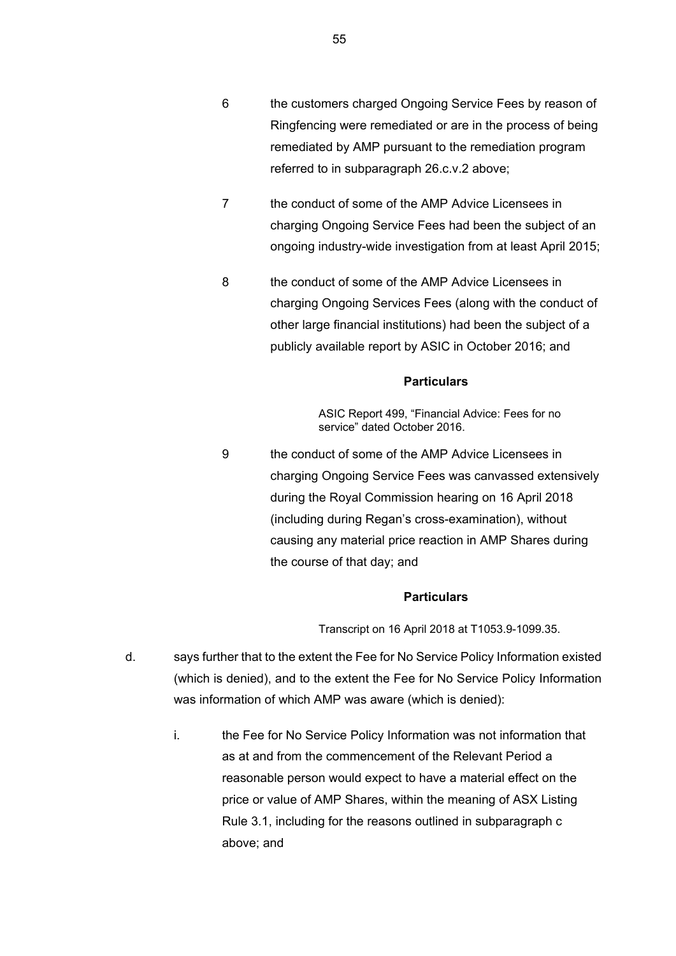- 6 the customers charged Ongoing Service Fees by reason of Ringfencing were remediated or are in the process of being remediated by AMP pursuant to the remediation program referred to in subparagraph 26.c.v.2 above;
- 7 the conduct of some of the AMP Advice Licensees in charging Ongoing Service Fees had been the subject of an ongoing industry-wide investigation from at least April 2015;
- 8 the conduct of some of the AMP Advice Licensees in charging Ongoing Services Fees (along with the conduct of other large financial institutions) had been the subject of a publicly available report by ASIC in October 2016; and

ASIC Report 499, "Financial Advice: Fees for no service" dated October 2016.

9 the conduct of some of the AMP Advice Licensees in charging Ongoing Service Fees was canvassed extensively during the Royal Commission hearing on 16 April 2018 (including during Regan's cross-examination), without causing any material price reaction in AMP Shares during the course of that day; and

#### **Particulars**

Transcript on 16 April 2018 at T1053.9-1099.35.

- d. says further that to the extent the Fee for No Service Policy Information existed (which is denied), and to the extent the Fee for No Service Policy Information was information of which AMP was aware (which is denied):
	- i. the Fee for No Service Policy Information was not information that as at and from the commencement of the Relevant Period a reasonable person would expect to have a material effect on the price or value of AMP Shares, within the meaning of ASX Listing Rule 3.1, including for the reasons outlined in subparagraph c above; and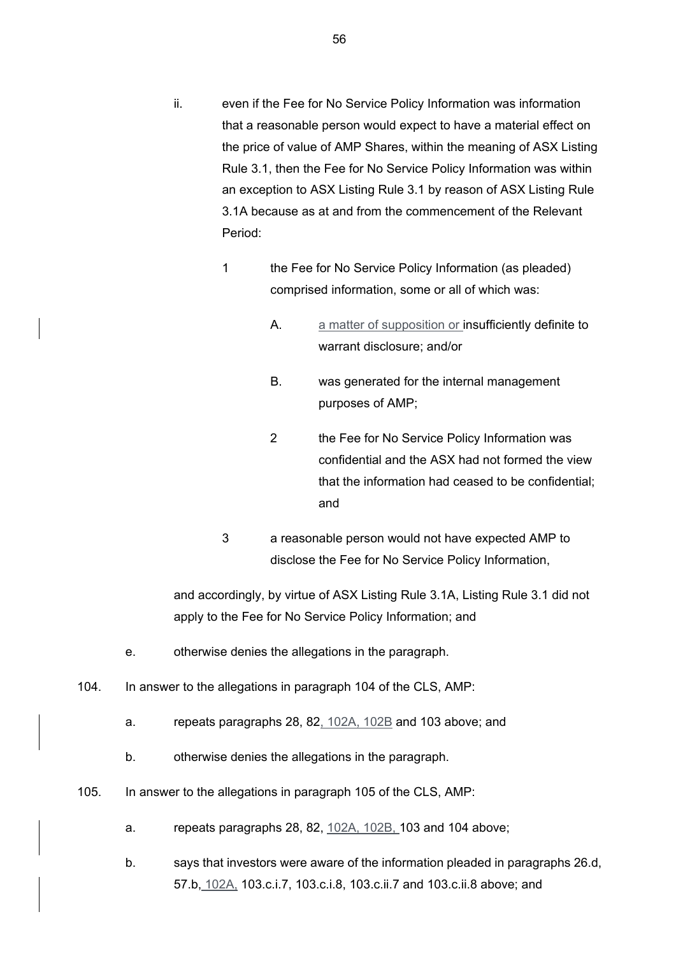- ii. even if the Fee for No Service Policy Information was information that a reasonable person would expect to have a material effect on the price of value of AMP Shares, within the meaning of ASX Listing Rule 3.1, then the Fee for No Service Policy Information was within an exception to ASX Listing Rule 3.1 by reason of ASX Listing Rule 3.1A because as at and from the commencement of the Relevant Period:
	- 1 the Fee for No Service Policy Information (as pleaded) comprised information, some or all of which was:
		- A. a matter of supposition or insufficiently definite to warrant disclosure; and/or
		- B. was generated for the internal management purposes of AMP;
		- 2 the Fee for No Service Policy Information was confidential and the ASX had not formed the view that the information had ceased to be confidential; and
	- 3 a reasonable person would not have expected AMP to disclose the Fee for No Service Policy Information,

and accordingly, by virtue of ASX Listing Rule 3.1A, Listing Rule 3.1 did not apply to the Fee for No Service Policy Information; and

- e. otherwise denies the allegations in the paragraph.
- 104. In answer to the allegations in paragraph 104 of the CLS, AMP:
	- a. repeats paragraphs 28, 82, 102A, 102B and 103 above; and
	- b. otherwise denies the allegations in the paragraph.
- 105. In answer to the allegations in paragraph 105 of the CLS, AMP:
	- a. repeats paragraphs 28, 82, 102A, 102B, 103 and 104 above;
	- b. says that investors were aware of the information pleaded in paragraphs 26.d, 57.b, 102A, 103.c.i.7, 103.c.i.8, 103.c.ii.7 and 103.c.ii.8 above; and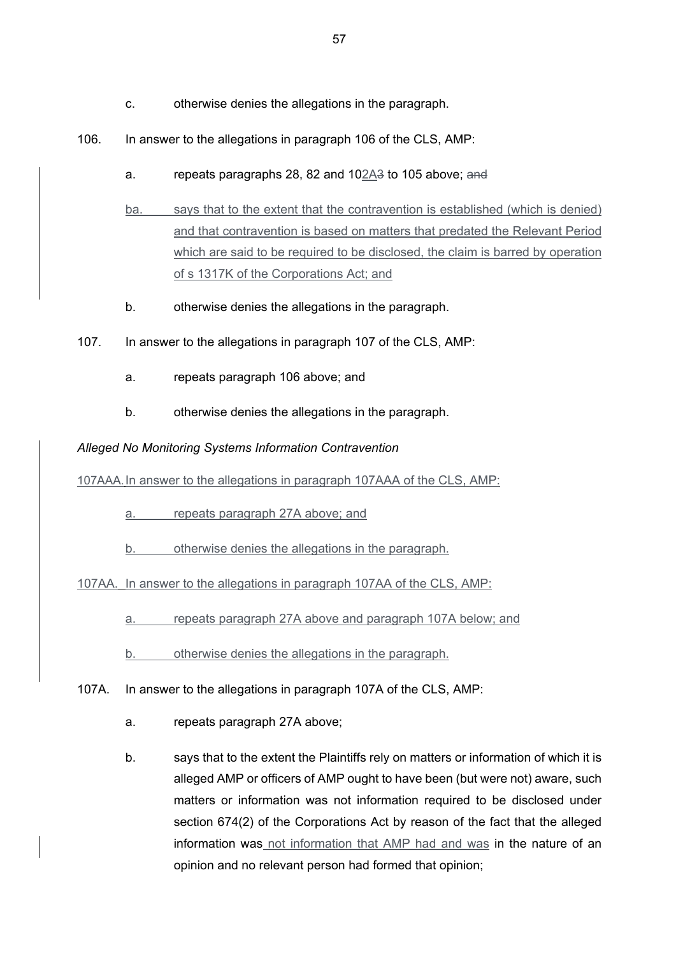- c. otherwise denies the allegations in the paragraph.
- 106. In answer to the allegations in paragraph 106 of the CLS, AMP:
	- a. repeats paragraphs 28, 82 and 102A3 to 105 above; and
	- ba. says that to the extent that the contravention is established (which is denied) and that contravention is based on matters that predated the Relevant Period which are said to be required to be disclosed, the claim is barred by operation of s 1317K of the Corporations Act; and
	- b. otherwise denies the allegations in the paragraph.
- 107. In answer to the allegations in paragraph 107 of the CLS, AMP:
	- a. repeats paragraph 106 above; and
	- b. otherwise denies the allegations in the paragraph.

*Alleged No Monitoring Systems Information Contravention*

107AAA.In answer to the allegations in paragraph 107AAA of the CLS, AMP:

- a. repeats paragraph 27A above; and
- b. otherwise denies the allegations in the paragraph.

107AA. In answer to the allegations in paragraph 107AA of the CLS, AMP:

- a. repeats paragraph 27A above and paragraph 107A below; and
- b. otherwise denies the allegations in the paragraph.
- 107A. In answer to the allegations in paragraph 107A of the CLS, AMP:
	- a. repeats paragraph 27A above;
	- b. says that to the extent the Plaintiffs rely on matters or information of which it is alleged AMP or officers of AMP ought to have been (but were not) aware, such matters or information was not information required to be disclosed under section 674(2) of the Corporations Act by reason of the fact that the alleged information was not information that AMP had and was in the nature of an opinion and no relevant person had formed that opinion;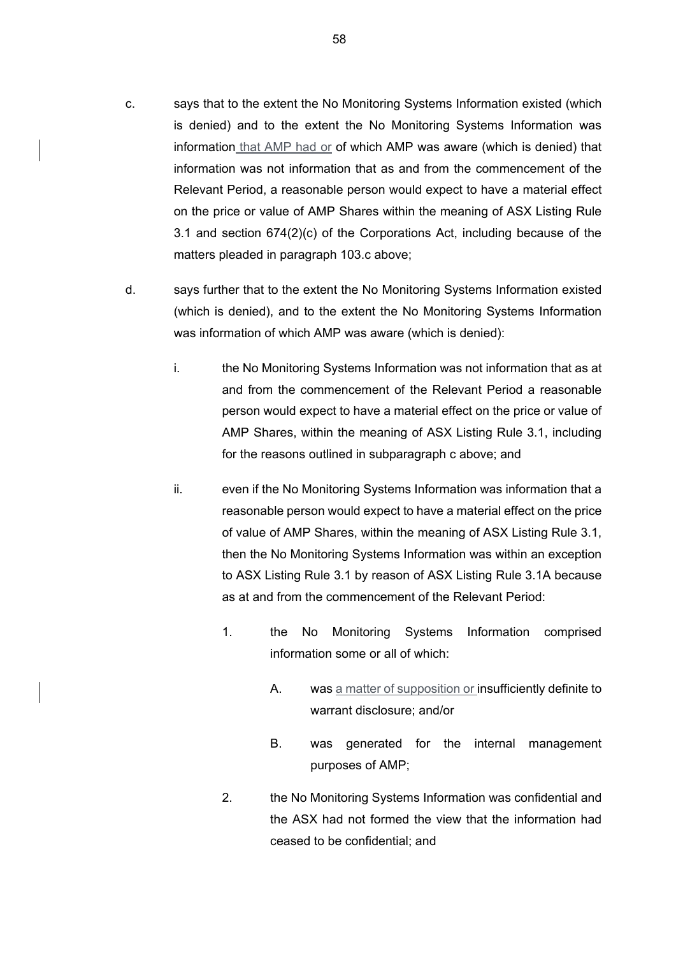- c. says that to the extent the No Monitoring Systems Information existed (which is denied) and to the extent the No Monitoring Systems Information was information that AMP had or of which AMP was aware (which is denied) that information was not information that as and from the commencement of the Relevant Period, a reasonable person would expect to have a material effect on the price or value of AMP Shares within the meaning of ASX Listing Rule 3.1 and section 674(2)(c) of the Corporations Act, including because of the matters pleaded in paragraph 103.c above;
- d. says further that to the extent the No Monitoring Systems Information existed (which is denied), and to the extent the No Monitoring Systems Information was information of which AMP was aware (which is denied):
	- i. the No Monitoring Systems Information was not information that as at and from the commencement of the Relevant Period a reasonable person would expect to have a material effect on the price or value of AMP Shares, within the meaning of ASX Listing Rule 3.1, including for the reasons outlined in subparagraph c above; and
	- ii. even if the No Monitoring Systems Information was information that a reasonable person would expect to have a material effect on the price of value of AMP Shares, within the meaning of ASX Listing Rule 3.1, then the No Monitoring Systems Information was within an exception to ASX Listing Rule 3.1 by reason of ASX Listing Rule 3.1A because as at and from the commencement of the Relevant Period:
		- 1. the No Monitoring Systems Information comprised information some or all of which:
			- A. was a matter of supposition or insufficiently definite to warrant disclosure; and/or
			- B. was generated for the internal management purposes of AMP;
		- 2. the No Monitoring Systems Information was confidential and the ASX had not formed the view that the information had ceased to be confidential; and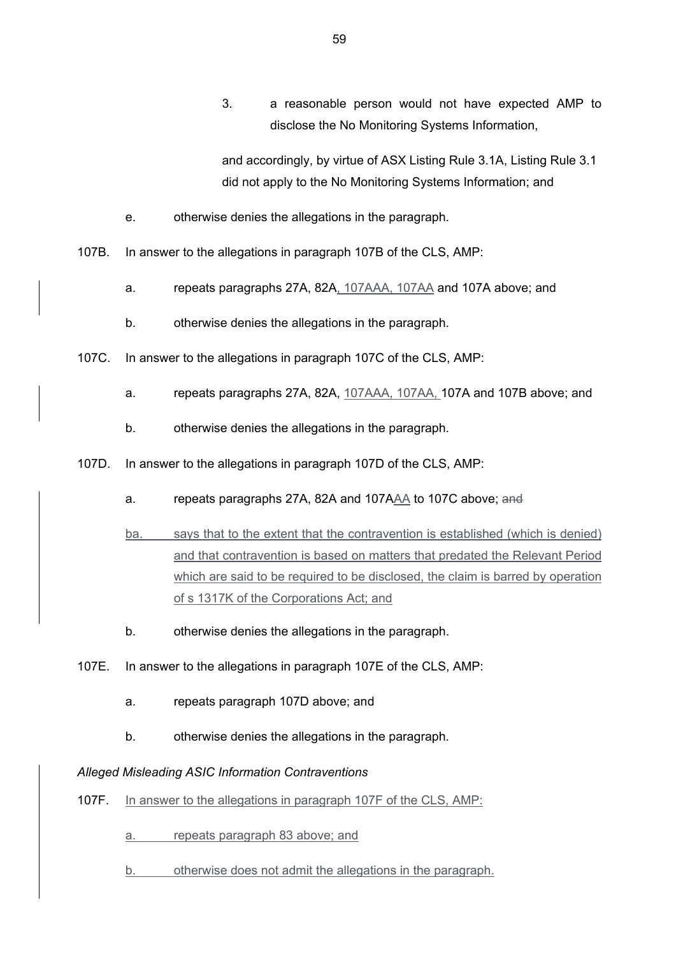3. a reasonable person would not have expected AMP to disclose the No Monitoring Systems Information,

and accordingly, by virtue of ASX Listing Rule 3.1A, Listing Rule 3.1 did not apply to the No Monitoring Systems Information; and

- e. otherwise denies the allegations in the paragraph.
- 107B. In answer to the allegations in paragraph 107B of the CLS, AMP:
	- a. repeats paragraphs 27A, 82A, 107AAA, 107AA and 107A above; and
	- b. otherwise denies the allegations in the paragraph.
- 107C. In answer to the allegations in paragraph 107C of the CLS, AMP:
	- a. repeats paragraphs 27A, 82A, 107AAA, 107AA, 107A and 107B above; and
	- b. otherwise denies the allegations in the paragraph.
- 107D. In answer to the allegations in paragraph 107D of the CLS, AMP:
	- a. repeats paragraphs 27A, 82A and 107AAA to 107C above; and
	- ba. says that to the extent that the contravention is established (which is denied) and that contravention is based on matters that predated the Relevant Period which are said to be required to be disclosed, the claim is barred by operation of s 1317K of the Corporations Act; and
	- b. otherwise denies the allegations in the paragraph.
- 107E. In answer to the allegations in paragraph 107E of the CLS, AMP:
	- a. repeats paragraph 107D above; and
	- b. otherwise denies the allegations in the paragraph.

### *Alleged Misleading ASIC Information Contraventions*

107F. In answer to the allegations in paragraph 107F of the CLS, AMP:

a. repeats paragraph 83 above; and

b. otherwise does not admit the allegations in the paragraph.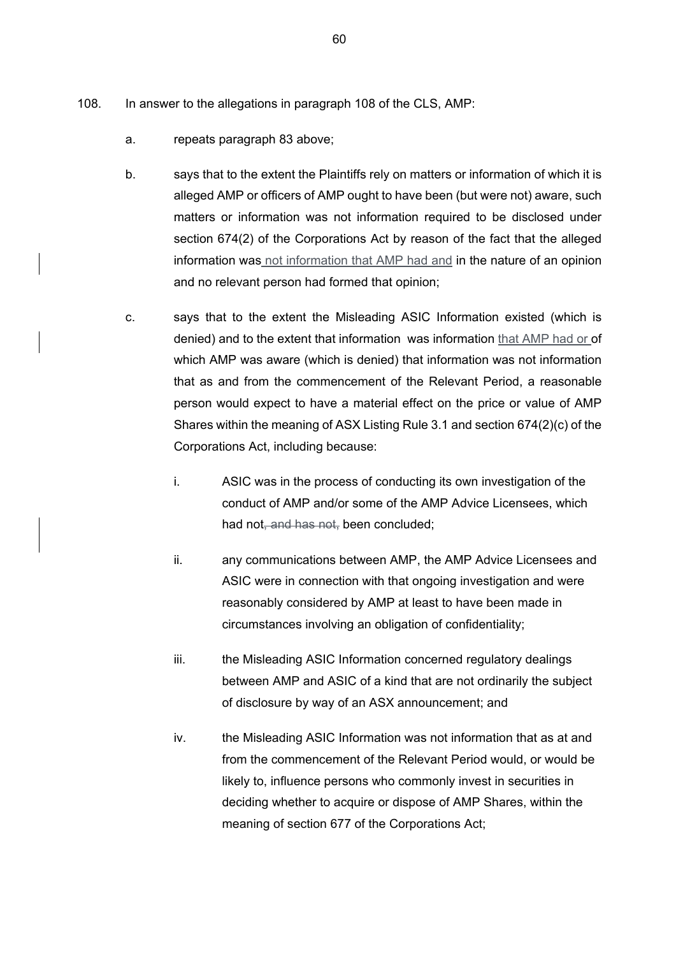- 108. In answer to the allegations in paragraph 108 of the CLS, AMP:
	- a. repeats paragraph 83 above;
	- b. says that to the extent the Plaintiffs rely on matters or information of which it is alleged AMP or officers of AMP ought to have been (but were not) aware, such matters or information was not information required to be disclosed under section 674(2) of the Corporations Act by reason of the fact that the alleged information was not information that AMP had and in the nature of an opinion and no relevant person had formed that opinion;
	- c. says that to the extent the Misleading ASIC Information existed (which is denied) and to the extent that information was information that AMP had or of which AMP was aware (which is denied) that information was not information that as and from the commencement of the Relevant Period, a reasonable person would expect to have a material effect on the price or value of AMP Shares within the meaning of ASX Listing Rule 3.1 and section 674(2)(c) of the Corporations Act, including because:
		- i. ASIC was in the process of conducting its own investigation of the conduct of AMP and/or some of the AMP Advice Licensees, which had not, and has not, been concluded;
		- ii. any communications between AMP, the AMP Advice Licensees and ASIC were in connection with that ongoing investigation and were reasonably considered by AMP at least to have been made in circumstances involving an obligation of confidentiality;
		- iii. the Misleading ASIC Information concerned regulatory dealings between AMP and ASIC of a kind that are not ordinarily the subject of disclosure by way of an ASX announcement; and
		- iv. the Misleading ASIC Information was not information that as at and from the commencement of the Relevant Period would, or would be likely to, influence persons who commonly invest in securities in deciding whether to acquire or dispose of AMP Shares, within the meaning of section 677 of the Corporations Act;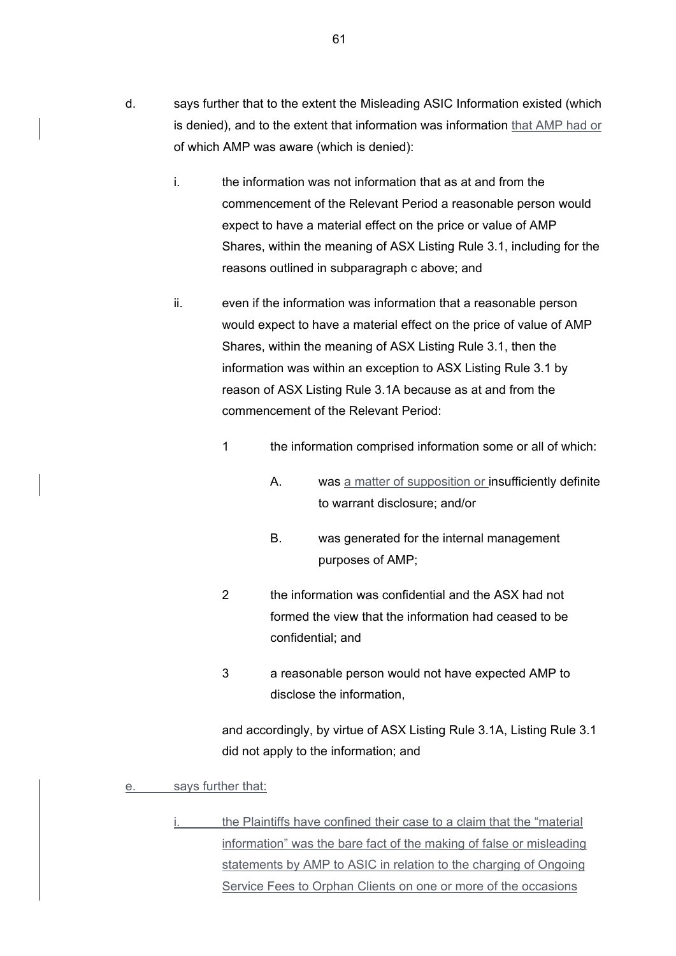- d. says further that to the extent the Misleading ASIC Information existed (which is denied), and to the extent that information was information that AMP had or of which AMP was aware (which is denied):
	- i. the information was not information that as at and from the commencement of the Relevant Period a reasonable person would expect to have a material effect on the price or value of AMP Shares, within the meaning of ASX Listing Rule 3.1, including for the reasons outlined in subparagraph c above; and
	- ii. even if the information was information that a reasonable person would expect to have a material effect on the price of value of AMP Shares, within the meaning of ASX Listing Rule 3.1, then the information was within an exception to ASX Listing Rule 3.1 by reason of ASX Listing Rule 3.1A because as at and from the commencement of the Relevant Period:
		- 1 the information comprised information some or all of which:
			- A. was a matter of supposition or insufficiently definite to warrant disclosure; and/or
			- B. was generated for the internal management purposes of AMP;
		- 2 the information was confidential and the ASX had not formed the view that the information had ceased to be confidential; and
		- 3 a reasonable person would not have expected AMP to disclose the information,

and accordingly, by virtue of ASX Listing Rule 3.1A, Listing Rule 3.1 did not apply to the information; and

- e. says further that:
	- the Plaintiffs have confined their case to a claim that the "material information" was the bare fact of the making of false or misleading statements by AMP to ASIC in relation to the charging of Ongoing Service Fees to Orphan Clients on one or more of the occasions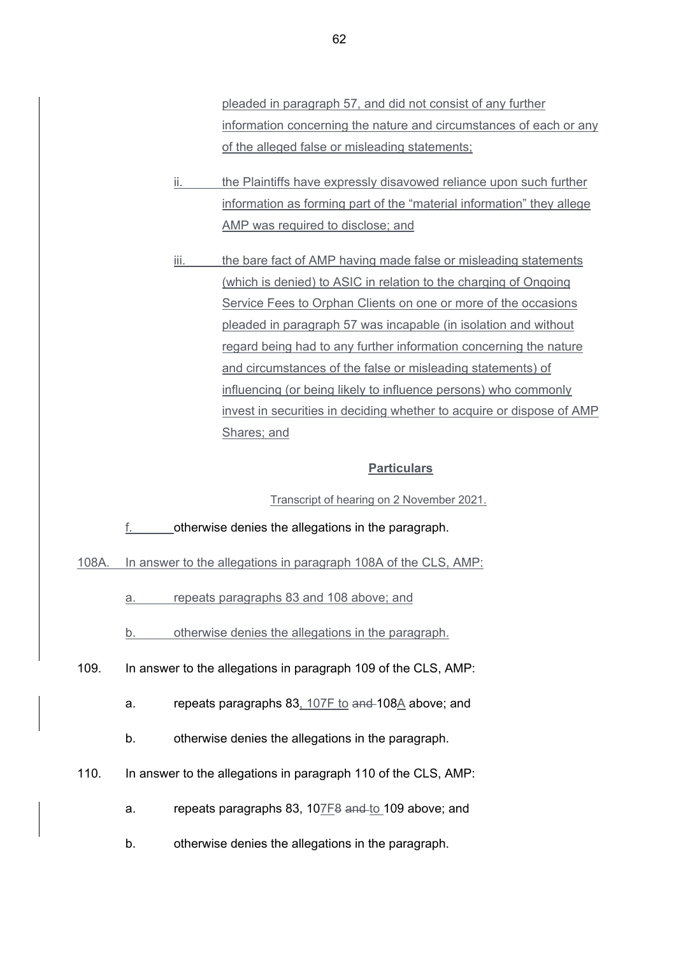pleaded in paragraph 57, and did not consist of any further information concerning the nature and circumstances of each or any of the alleged false or misleading statements;

- ii. the Plaintiffs have expressly disavowed reliance upon such further information as forming part of the "material information" they allege AMP was required to disclose; and
- iii. the bare fact of AMP having made false or misleading statements (which is denied) to ASIC in relation to the charging of Ongoing Service Fees to Orphan Clients on one or more of the occasions pleaded in paragraph 57 was incapable (in isolation and without regard being had to any further information concerning the nature and circumstances of the false or misleading statements) of influencing (or being likely to influence persons) who commonly invest in securities in deciding whether to acquire or dispose of AMP Shares; and

#### **Particulars**

### Transcript of hearing on 2 November 2021.

f. otherwise denies the allegations in the paragraph.

108A. In answer to the allegations in paragraph 108A of the CLS, AMP:

a. repeats paragraphs 83 and 108 above; and

- b. otherwise denies the allegations in the paragraph.
- 109. In answer to the allegations in paragraph 109 of the CLS, AMP:
	- a. repeats paragraphs 83, 107F to and 108A above; and
	- b. otherwise denies the allegations in the paragraph.
- 110. In answer to the allegations in paragraph 110 of the CLS, AMP:
	- a. repeats paragraphs 83, 107F8 and to 109 above; and
	- b. otherwise denies the allegations in the paragraph.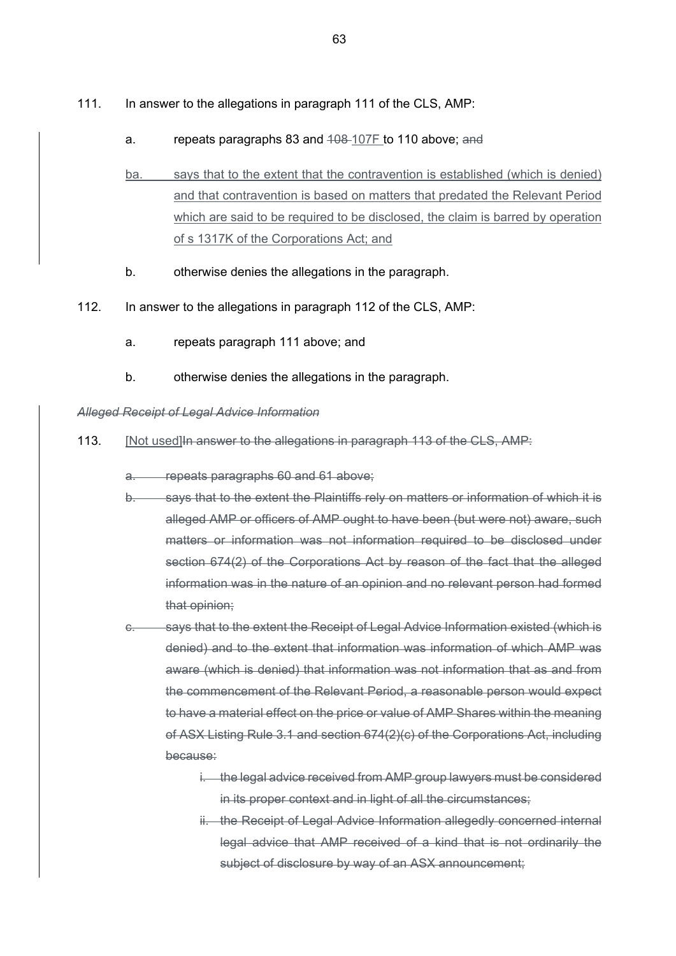- 111. In answer to the allegations in paragraph 111 of the CLS, AMP:
	- a. repeats paragraphs 83 and 408-107F to 110 above; and
	- ba. says that to the extent that the contravention is established (which is denied) and that contravention is based on matters that predated the Relevant Period which are said to be required to be disclosed, the claim is barred by operation of s 1317K of the Corporations Act; and
	- b. otherwise denies the allegations in the paragraph.
- 112. In answer to the allegations in paragraph 112 of the CLS, AMP:
	- a. repeats paragraph 111 above; and
	- b. otherwise denies the allegations in the paragraph.

### *Alleged Receipt of Legal Advice Information*

- 113. [Not used]In answer to the allegations in paragraph 113 of the CLS, AMP:
	- a. repeats paragraphs 60 and 61 above;
	- b. says that to the extent the Plaintiffs rely on matters or information of which it is alleged AMP or officers of AMP ought to have been (but were not) aware, such matters or information was not information required to be disclosed under section 674(2) of the Corporations Act by reason of the fact that the alleged information was in the nature of an opinion and no relevant person had formed that opinion;
	- c. says that to the extent the Receipt of Legal Advice Information existed (which is denied) and to the extent that information was information of which AMP was aware (which is denied) that information was not information that as and from the commencement of the Relevant Period, a reasonable person would expect to have a material effect on the price or value of AMP Shares within the meaning of ASX Listing Rule 3.1 and section 674(2)(c) of the Corporations Act, including because:
		- i. the legal advice received from AMP group lawyers must be considered in its proper context and in light of all the circumstances;
		- ii. the Receipt of Legal Advice Information allegedly concerned internal legal advice that AMP received of a kind that is not ordinarily the subject of disclosure by way of an ASX announcement: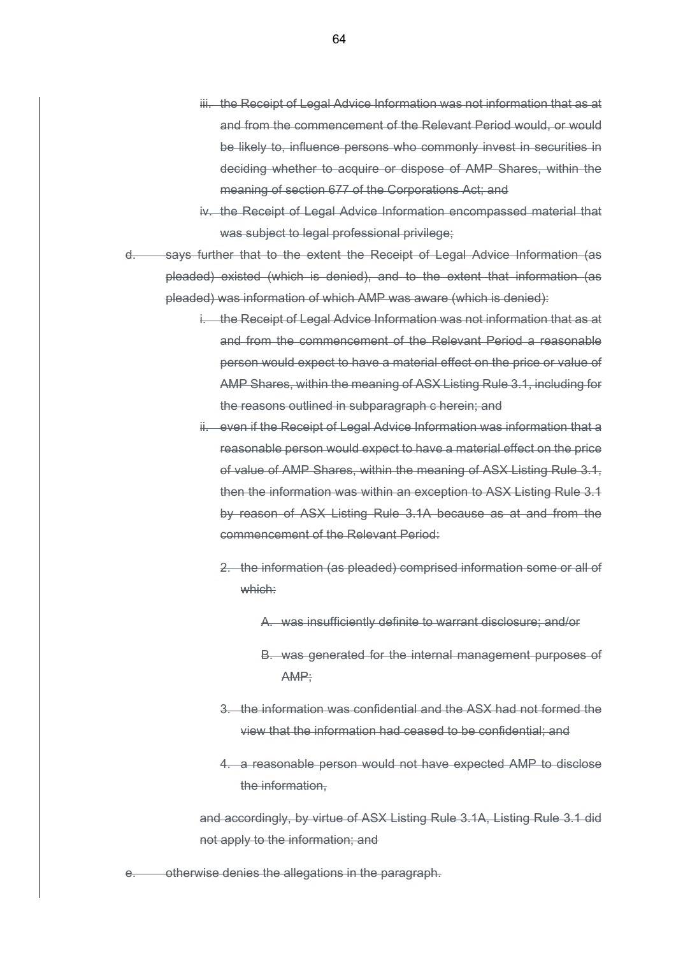- iii. the Receipt of Legal Advice Information was not information that as at and from the commencement of the Relevant Period would, or would be likely to, influence persons who commonly invest in securities in deciding whether to acquire or dispose of AMP Shares, within the meaning of section 677 of the Corporations Act; and
- iv. the Receipt of Legal Advice Information encompassed material that was subject to legal professional privilege;
- says further that to the extent the Receipt of Legal Advice Information (as pleaded) existed (which is denied), and to the extent that information (as pleaded) was information of which AMP was aware (which is denied):
	- i. the Receipt of Legal Advice Information was not information that as at and from the commencement of the Relevant Period a reasonable person would expect to have a material effect on the price or value of AMP Shares, within the meaning of ASX Listing Rule 3.1, including for the reasons outlined in subparagraph c herein; and
	- ii. even if the Receipt of Legal Advice Information was information that a reasonable person would expect to have a material effect on the price of value of AMP Shares, within the meaning of ASX Listing Rule 3.1, then the information was within an exception to ASX Listing Rule 3.1 by reason of ASX Listing Rule 3.1A because as at and from the commencement of the Relevant Period:
		- 2. the information (as pleaded) comprised information some or all of which:
			- A. was insufficiently definite to warrant disclosure; and/or
			- B. was generated for the internal management purposes of AMP;
		- 3. the information was confidential and the ASX had not formed the view that the information had ceased to be confidential; and
		- 4. a reasonable person would not have expected AMP to disclose the information,

and accordingly, by virtue of ASX Listing Rule 3.1A, Listing Rule 3.1 did not apply to the information; and

otherwise denies the allegations in the paragraph.

64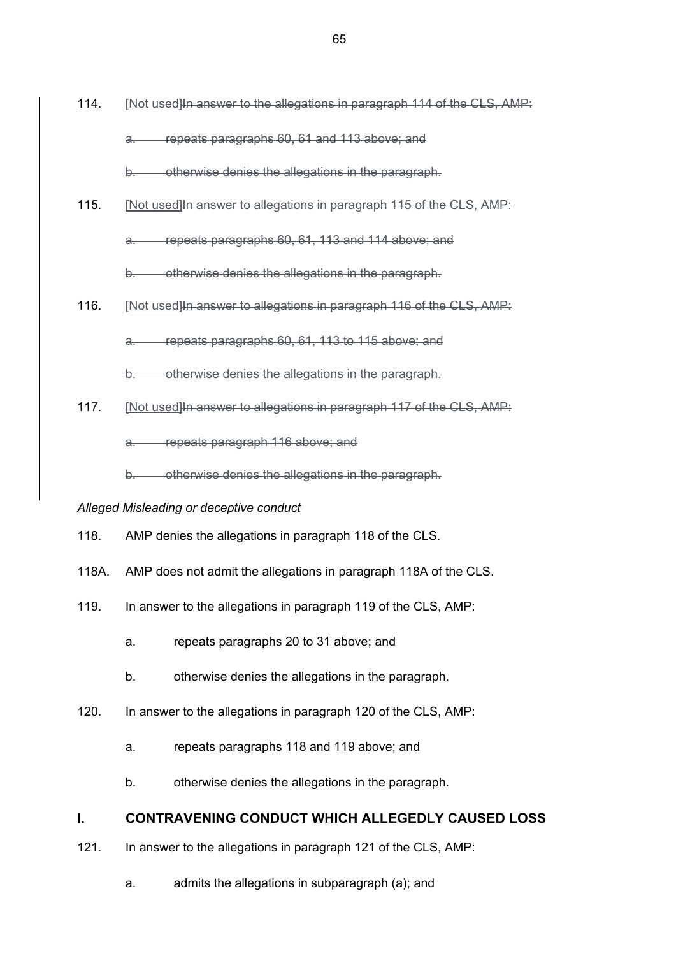114. [Not used]In answer to the allegations in paragraph 114 of the CLS, AMP: a. repeats paragraphs 60, 61 and 113 above; and

b. otherwise denies the allegations in the paragraph.

115. [Not used]In answer to allegations in paragraph 115 of the CLS, AMP:

a. repeats paragraphs 60, 61, 113 and 114 above; and

b. otherwise denies the allegations in the paragraph.

116. [Not used]In answer to allegations in paragraph 116 of the CLS, AMP:

a. repeats paragraphs 60, 61, 113 to 115 above; and

b. otherwise denies the allegations in the paragraph.

117. [Not used] In answer to allegations in paragraph 117 of the CLS, AMP:

a. repeats paragraph 116 above; and

b. otherwise denies the allegations in the paragraph.

#### *Alleged Misleading or deceptive conduct*

- 118. AMP denies the allegations in paragraph 118 of the CLS.
- 118A. AMP does not admit the allegations in paragraph 118A of the CLS.
- 119. In answer to the allegations in paragraph 119 of the CLS, AMP:
	- a. repeats paragraphs 20 to 31 above; and
	- b. otherwise denies the allegations in the paragraph.
- 120. In answer to the allegations in paragraph 120 of the CLS, AMP:
	- a. repeats paragraphs 118 and 119 above; and
	- b. otherwise denies the allegations in the paragraph.

# **I. CONTRAVENING CONDUCT WHICH ALLEGEDLY CAUSED LOSS**

- 121. In answer to the allegations in paragraph 121 of the CLS, AMP:
	- a. admits the allegations in subparagraph (a); and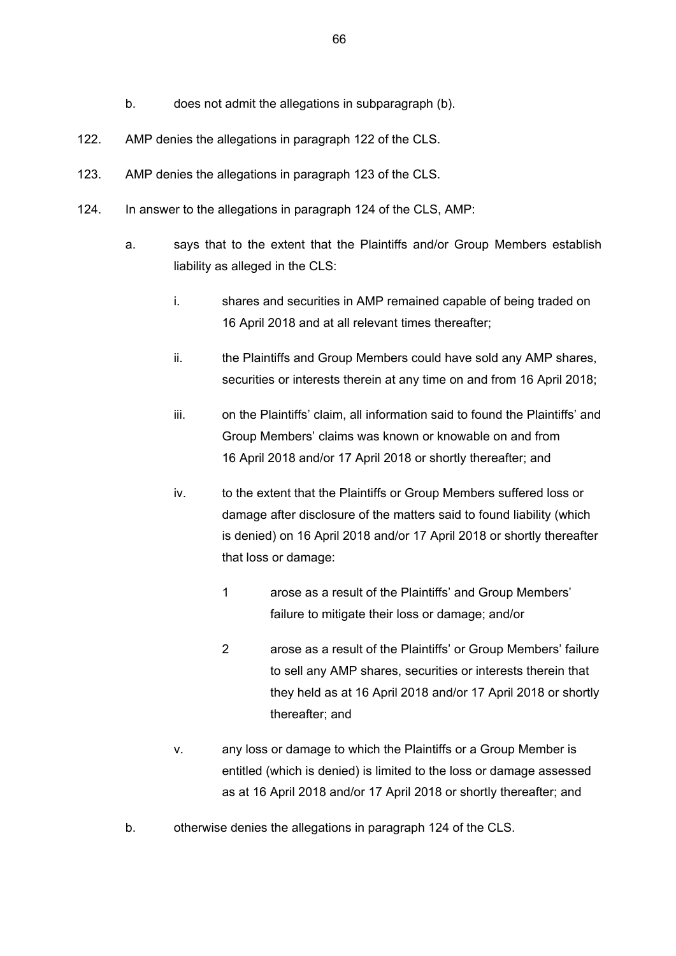- b. does not admit the allegations in subparagraph (b).
- 122. AMP denies the allegations in paragraph 122 of the CLS.
- 123. AMP denies the allegations in paragraph 123 of the CLS.
- 124. In answer to the allegations in paragraph 124 of the CLS, AMP:
	- a. says that to the extent that the Plaintiffs and/or Group Members establish liability as alleged in the CLS:
		- i. shares and securities in AMP remained capable of being traded on 16 April 2018 and at all relevant times thereafter;
		- ii. the Plaintiffs and Group Members could have sold any AMP shares, securities or interests therein at any time on and from 16 April 2018;
		- iii. on the Plaintiffs' claim, all information said to found the Plaintiffs' and Group Members' claims was known or knowable on and from 16 April 2018 and/or 17 April 2018 or shortly thereafter; and
		- iv. to the extent that the Plaintiffs or Group Members suffered loss or damage after disclosure of the matters said to found liability (which is denied) on 16 April 2018 and/or 17 April 2018 or shortly thereafter that loss or damage:
			- 1 arose as a result of the Plaintiffs' and Group Members' failure to mitigate their loss or damage; and/or
			- 2 arose as a result of the Plaintiffs' or Group Members' failure to sell any AMP shares, securities or interests therein that they held as at 16 April 2018 and/or 17 April 2018 or shortly thereafter; and
		- v. any loss or damage to which the Plaintiffs or a Group Member is entitled (which is denied) is limited to the loss or damage assessed as at 16 April 2018 and/or 17 April 2018 or shortly thereafter; and
	- b. otherwise denies the allegations in paragraph 124 of the CLS.